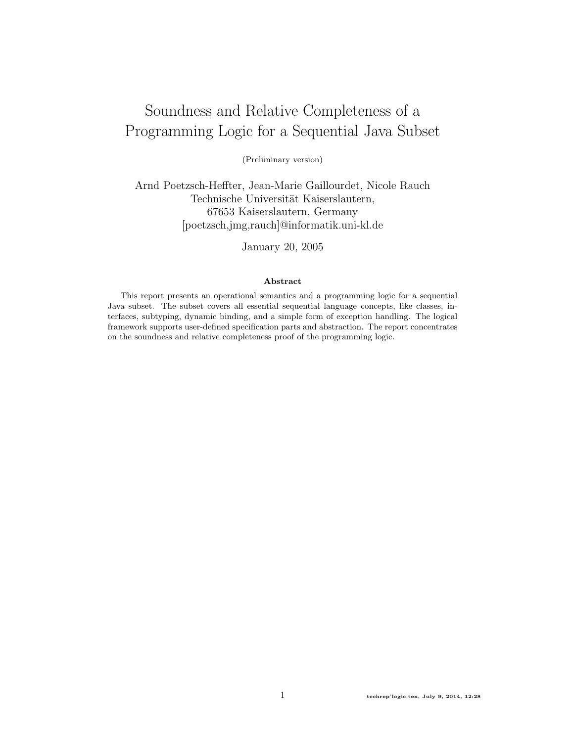# <span id="page-0-0"></span>Soundness and Relative Completeness of a Programming Logic for a Sequential Java Subset

(Preliminary version)

Arnd Poetzsch-Heffter, Jean-Marie Gaillourdet, Nicole Rauch Technische Universität Kaiserslautern, 67653 Kaiserslautern, Germany [poetzsch,jmg,rauch]@informatik.uni-kl.de

January 20, 2005

#### Abstract

This report presents an operational semantics and a programming logic for a sequential Java subset. The subset covers all essential sequential language concepts, like classes, interfaces, subtyping, dynamic binding, and a simple form of exception handling. The logical framework supports user-defined specification parts and abstraction. The report concentrates on the soundness and relative completeness proof of the programming logic.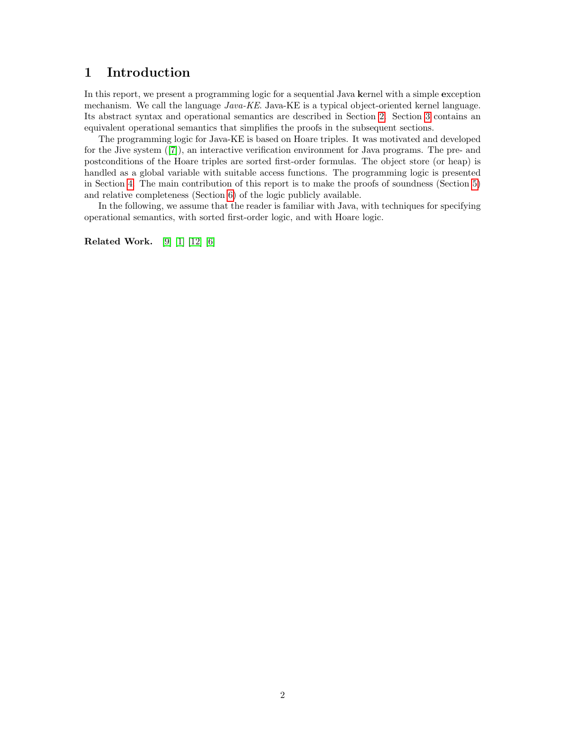## 1 Introduction

In this report, we present a programming logic for a sequential Java kernel with a simple exception mechanism. We call the language  $Java-KE$ . Java-KE is a typical object-oriented kernel language. Its abstract syntax and operational semantics are described in Section [2.](#page-2-0) Section [3](#page-11-0) contains an equivalent operational semantics that simplifies the proofs in the subsequent sections.

The programming logic for Java-KE is based on Hoare triples. It was motivated and developed for the Jive system ([\[7\]](#page-68-0)), an interactive verification environment for Java programs. The pre- and postconditions of the Hoare triples are sorted first-order formulas. The object store (or heap) is handled as a global variable with suitable access functions. The programming logic is presented in Section [4.](#page-15-0) The main contribution of this report is to make the proofs of soundness (Section [5\)](#page-23-0) and relative completeness (Section [6\)](#page-43-0) of the logic publicly available.

In the following, we assume that the reader is familiar with Java, with techniques for specifying operational semantics, with sorted first-order logic, and with Hoare logic.

Related Work. [\[9\]](#page-68-1) [\[1\]](#page-68-2) [\[12\]](#page-68-3) [\[6\]](#page-68-4)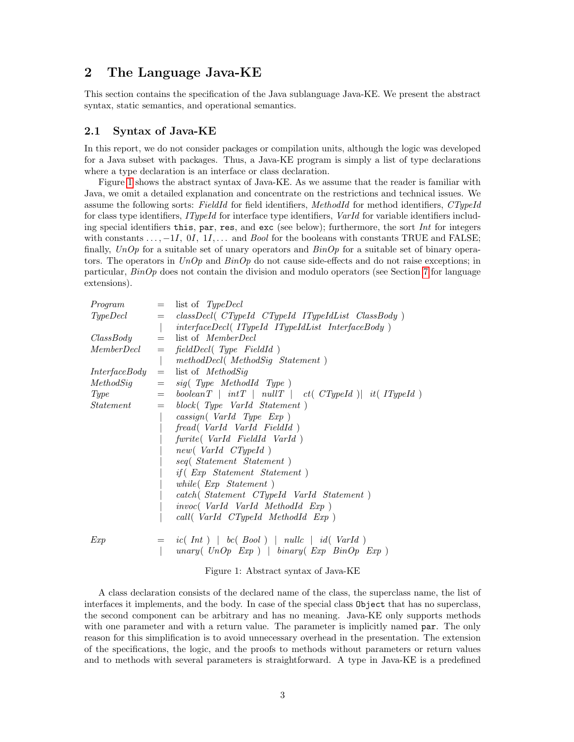## <span id="page-2-0"></span>2 The Language Java-KE

This section contains the specification of the Java sublanguage Java-KE. We present the abstract syntax, static semantics, and operational semantics.

## 2.1 Syntax of Java-KE

In this report, we do not consider packages or compilation units, although the logic was developed for a Java subset with packages. Thus, a Java-KE program is simply a list of type declarations where a type declaration is an interface or class declaration.

Figure [1](#page-2-1) shows the abstract syntax of Java-KE. As we assume that the reader is familiar with Java, we omit a detailed explanation and concentrate on the restrictions and technical issues. We assume the following sorts: FieldId for field identifiers, MethodId for method identifiers, CTypeId for class type identifiers, ITypeId for interface type identifiers, VarId for variable identifiers including special identifiers this, par, res, and exc (see below); furthermore, the sort Int for integers with constants  $\dots$ ,  $-1I$ ,  $0I$ ,  $1I$ ,  $\dots$  and *Bool* for the booleans with constants TRUE and FALSE; finally, UnOp for a suitable set of unary operators and  $\sin Op$  for a suitable set of binary operators. The operators in  $UnOp$  and  $BinOp$  do not cause side-effects and do not raise exceptions; in particular,  $BinOp$  does not contain the division and modulo operators (see Section [7](#page-0-0) for language extensions).

| Program              | $=$                                          | list of TypeDecl                                                      |
|----------------------|----------------------------------------------|-----------------------------------------------------------------------|
| Type Decl            |                                              | $=$ classDecl(CTypeId CTypeId ITypeIdList ClassBody)                  |
|                      |                                              | $interface Decl(IPypeIdIPypeIdListInterfaceBody)$                     |
| $ClassBody =$        |                                              | list of <i>MemberDecl</i>                                             |
|                      |                                              | $MemberDecl$ = fieldDecl(Type FieldId)                                |
|                      |                                              | methodDecl (MethodSig Statement)                                      |
| <i>InterfaceBody</i> | $=$                                          | list of <i>MethodSig</i>                                              |
| MethodSig            | $=$                                          | sig(Type MethodId Type)                                               |
| <i>Type</i>          |                                              | $=$ boolean $T \mid intT \mid nullT \mid ct(CTypeId) \mid it(TypeId)$ |
| Statement            | $\displaystyle \qquad \qquad =\qquad \qquad$ | block(Type VarId Statement)                                           |
|                      |                                              | $\text{cassign}(\text{VarId} \text{Type} \text{Exp})$                 |
|                      |                                              | fread (VarId VarId FieldId)                                           |
|                      |                                              | fwrite (VarId FieldId VarId)                                          |
|                      |                                              | new(VarId CTypeId)                                                    |
|                      |                                              | seq (Statement Statement)                                             |
|                      |                                              | $if($ Exp Statement Statement)                                        |
|                      |                                              | while $(Exp Statement)$                                               |
|                      |                                              | catch (Statement CTypeId VarId Statement)                             |
|                      |                                              | <i>invoc</i> ( <i>VarId VarId MethodId Exp</i> )                      |
|                      |                                              | call(VarId CTypeId MethodId Exp)                                      |
| Exp                  |                                              | $=$ ic(Int)   bc(Bool)   nullc   id(VarId)                            |
|                      |                                              | unary (UnOp Exp)   binary (Exp BinOp Exp)                             |

<span id="page-2-1"></span>Figure 1: Abstract syntax of Java-KE

A class declaration consists of the declared name of the class, the superclass name, the list of interfaces it implements, and the body. In case of the special class Object that has no superclass, the second component can be arbitrary and has no meaning. Java-KE only supports methods with one parameter and with a return value. The parameter is implicitly named par. The only reason for this simplification is to avoid unnecessary overhead in the presentation. The extension of the specifications, the logic, and the proofs to methods without parameters or return values and to methods with several parameters is straightforward. A type in Java-KE is a predefined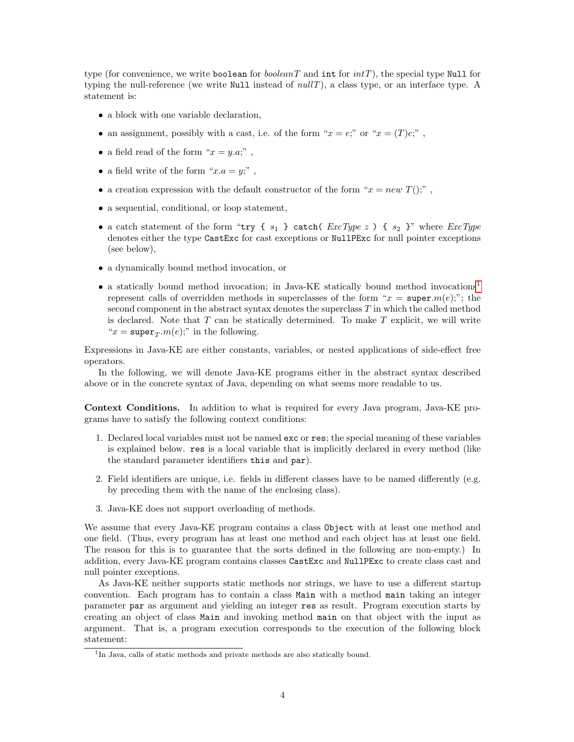type (for convenience, we write boolean for *booleanT* and int for  $intT$ ), the special type Null for typing the null-reference (we write Null instead of  $nullT$ ), a class type, or an interface type. A statement is:

- a block with one variable declaration,
- an assignment, possibly with a cast, i.e. of the form " $x = e$ ;" or " $x = (T)e$ ;",
- a field read of the form " $x = y.a;$ ",
- a field write of the form " $x.a = y$ ;",
- a creation expression with the default constructor of the form " $x = new T($ ",",
- a sequential, conditional, or loop statement,
- a catch statement of the form "try {  $s_1$  } catch(  $ExcType z$ ) {  $s_2$  }" where  $ExcType$ denotes either the type CastExc for cast exceptions or NullPExc for null pointer exceptions (see below),
- a dynamically bound method invocation, or
- a statically bound method invocation; in Java-KE statically bound method invocations<sup>[1](#page-3-0)</sup> represent calls of overridden methods in superclasses of the form " $x = \text{super.}m(e);$ "; the second component in the abstract syntax denotes the superclass T in which the called method is declared. Note that  $T$  can be statically determined. To make  $T$  explicit, we will write " $x = \text{super}_T.m(e);$ " in the following.

Expressions in Java-KE are either constants, variables, or nested applications of side-effect free operators.

In the following, we will denote Java-KE programs either in the abstract syntax described above or in the concrete syntax of Java, depending on what seems more readable to us.

Context Conditions. In addition to what is required for every Java program, Java-KE programs have to satisfy the following context conditions:

- 1. Declared local variables must not be named exc or res; the special meaning of these variables is explained below. res is a local variable that is implicitly declared in every method (like the standard parameter identifiers this and par).
- 2. Field identifiers are unique, i.e. fields in different classes have to be named differently (e.g. by preceding them with the name of the enclosing class).
- 3. Java-KE does not support overloading of methods.

We assume that every Java-KE program contains a class Object with at least one method and one field. (Thus, every program has at least one method and each object has at least one field. The reason for this is to guarantee that the sorts defined in the following are non-empty.) In addition, every Java-KE program contains classes CastExc and NullPExc to create class cast and null pointer exceptions.

As Java-KE neither supports static methods nor strings, we have to use a different startup convention. Each program has to contain a class Main with a method main taking an integer parameter par as argument and yielding an integer res as result. Program execution starts by creating an object of class Main and invoking method main on that object with the input as argument. That is, a program execution corresponds to the execution of the following block statement:

<span id="page-3-0"></span><sup>&</sup>lt;sup>1</sup>In Java, calls of static methods and private methods are also statically bound.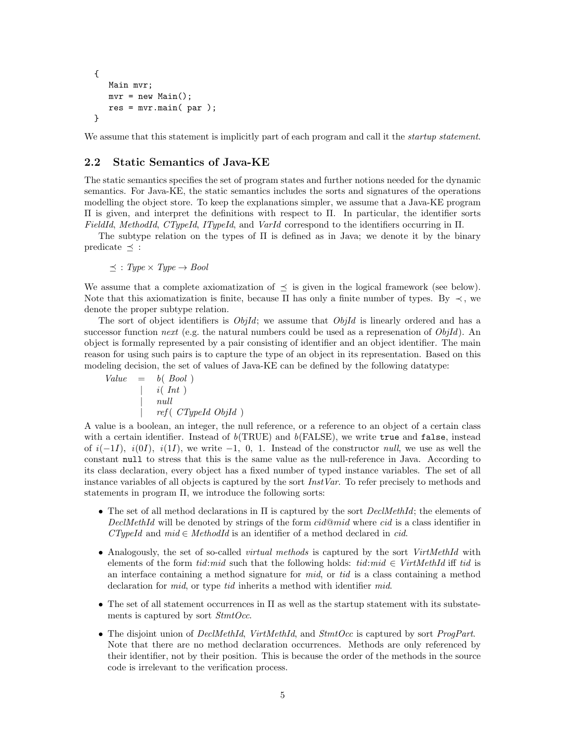```
{
   Main mvr;
   mvr = new Main();
   res = mvr.mainloop (par);
}
```
We assume that this statement is implicitly part of each program and call it the *startup statement*.

## <span id="page-4-0"></span>2.2 Static Semantics of Java-KE

The static semantics specifies the set of program states and further notions needed for the dynamic semantics. For Java-KE, the static semantics includes the sorts and signatures of the operations modelling the object store. To keep the explanations simpler, we assume that a Java-KE program Π is given, and interpret the definitions with respect to Π. In particular, the identifier sorts FieldId, MethodId, CTypeId, ITypeId, and VarId correspond to the identifiers occurring in Π.

The subtype relation on the types of Π is defined as in Java; we denote it by the binary predicate  $\prec$  :

 $\preceq$ : Type  $\times$  Type  $\rightarrow$  Bool

We assume that a complete axiomatization of  $\preceq$  is given in the logical framework (see below). Note that this axiomatization is finite, because  $\Pi$  has only a finite number of types. By  $\prec$ , we denote the proper subtype relation.

The sort of object identifiers is  $ObjId$ ; we assume that  $ObjId$  is linearly ordered and has a successor function next (e.g. the natural numbers could be used as a represenation of  $ObjId$ ). An object is formally represented by a pair consisting of identifier and an object identifier. The main reason for using such pairs is to capture the type of an object in its representation. Based on this modeling decision, the set of values of Java-KE can be defined by the following datatype:

| Value | =                            | $b($ $Bool ($ ) |
|-------|------------------------------|-----------------|
|       | $i($ $Int ($ )               |                 |
|       | $null$                       |                 |
|       | $ref($ $CTypeId$ $ObjId ($ ) |                 |

A value is a boolean, an integer, the null reference, or a reference to an object of a certain class with a certain identifier. Instead of  $b(TRUE)$  and  $b(FALSE)$ , we write true and false, instead of  $i(-1I)$ ,  $i(0I)$ ,  $i(1I)$ , we write -1, 0, 1. Instead of the constructor *null*, we use as well the constant null to stress that this is the same value as the null-reference in Java. According to its class declaration, every object has a fixed number of typed instance variables. The set of all instance variables of all objects is captured by the sort *InstVar*. To refer precisely to methods and statements in program Π, we introduce the following sorts:

- The set of all method declarations in  $\Pi$  is captured by the sort *DeclMethId*; the elements of DeclMethId will be denoted by strings of the form  $cid@mid$  where cid is a class identifier in  $CTypeld$  and  $mid \in MethodId$  is an identifier of a method declared in cid.
- Analogously, the set of so-called *virtual methods* is captured by the sort *VirtMethId* with elements of the form tid:mid such that the following holds: tid:mid  $\in$  VirtMethId iff tid is an interface containing a method signature for mid, or tid is a class containing a method declaration for *mid*, or type *tid* inherits a method with identifier *mid*.
- The set of all statement occurrences in  $\Pi$  as well as the startup statement with its substatements is captured by sort  $StntOcc$ .
- The disjoint union of DeclMethId, VirtMethId, and StmtOcc is captured by sort ProgPart. Note that there are no method declaration occurrences. Methods are only referenced by their identifier, not by their position. This is because the order of the methods in the source code is irrelevant to the verification process.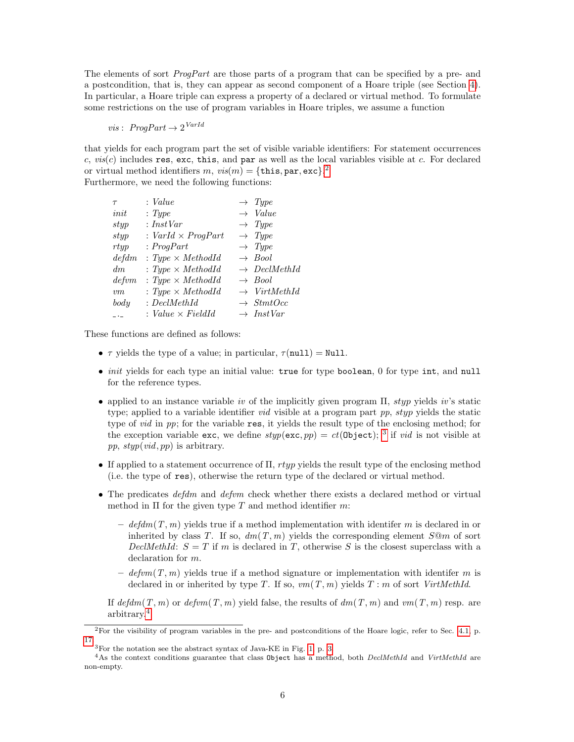The elements of sort *ProgPart* are those parts of a program that can be specified by a pre- and a postcondition, that is, they can appear as second component of a Hoare triple (see Section [4\)](#page-15-0). In particular, a Hoare triple can express a property of a declared or virtual method. To formulate some restrictions on the use of program variables in Hoare triples, we assume a function

 $vis: ProgPart \rightarrow 2^{VarId}$ 

that yields for each program part the set of visible variable identifiers: For statement occurrences c,  $vis(c)$  includes res, exc, this, and par as well as the local variables visible at c. For declared or virtual method identifiers  $m$ ,  $vis(m) = {$  this, par, exc}.<sup>[2](#page-5-0)</sup> Furthermore, we need the following functions:

| $\tau$         | : Value                   | $\rightarrow$ Type       |
|----------------|---------------------------|--------------------------|
| init           | : Type                    | $\rightarrow$ Value      |
| styp           | : InstVar                 | $\rightarrow$ Type       |
| styp           | : $VarId \times ProgPart$ | $\rightarrow$ Type       |
| rtyp           | : ProgPart                | $\rightarrow$ Type       |
| defdm          | : Type $\times$ MethodId  | $\rightarrow$ Bool       |
| dm             | : Type $\times$ MethodId  | $\rightarrow$ DeclMethId |
| $\emph{defvm}$ | : Type $\times$ MethodId  | $\rightarrow$ Bool       |
| v m            | : Type $\times$ MethodId  | $\rightarrow$ VirtMethId |
| $_{body}$      | $:$ $DeclMethod$          | $\rightarrow$ StmtOcc    |
| $ -$           | : Value $\times$ FieldId  | $\rightarrow$ InstVar    |

These functions are defined as follows:

- $\tau$  yields the type of a value; in particular,  $\tau$ (null) = Null.
- *init* yields for each type an initial value: true for type boolean, 0 for type int, and null for the reference types.
- applied to an instance variable iv of the implicitly given program  $\Pi$ , styp yields iv's static type; applied to a variable identifier *vid* visible at a program part  $pp$ ,  $styp$  yields the static type of *vid* in pp; for the variable res, it yields the result type of the enclosing method; for the exception variable exc, we define  $styp(exc, pp) = ct(0bject);$ <sup>[3](#page-5-1)</sup> if *vid* is not visible at pp,  $styp(\textit{vid}, pp)$  is arbitrary.
- If applied to a statement occurrence of  $\Pi$ ,  $rtyp$  yields the result type of the enclosing method (i.e. the type of res), otherwise the return type of the declared or virtual method.
- The predicates *defdm* and *defum* check whether there exists a declared method or virtual method in  $\Pi$  for the given type  $T$  and method identifier  $m$ :
	- defdm(T, m) yields true if a method implementation with identifer m is declared in or inherited by class T. If so,  $dm(T, m)$  yields the corresponding element  $S@m$  of sort DeclMethId:  $S = T$  if m is declared in T, otherwise S is the closest superclass with a declaration for m.
	- defum(T, m) yields true if a method signature or implementation with identifer m is declared in or inherited by type T. If so,  $vm(T, m)$  yields  $T : m$  of sort VirtMethId.

If  $\det dm(T, m)$  or  $\det m(T, m)$  yield false, the results of  $\det T, m$  and  $\nu m(T, m)$  resp. are arbitrary.[4](#page-5-2)

<span id="page-5-0"></span><sup>2</sup>For the visibility of program variables in the pre- and postconditions of the Hoare logic, refer to Sec. [4.1,](#page-15-1) p. [17.](#page-15-1)

<span id="page-5-2"></span><span id="page-5-1"></span> ${}^{3}$ For the notation see the abstract syntax of Java-KE in Fig. [1,](#page-2-1) p. [3.](#page-2-1)

 $4$ As the context conditions guarantee that class Object has a method, both DeclMethId and VirtMethId are non-empty.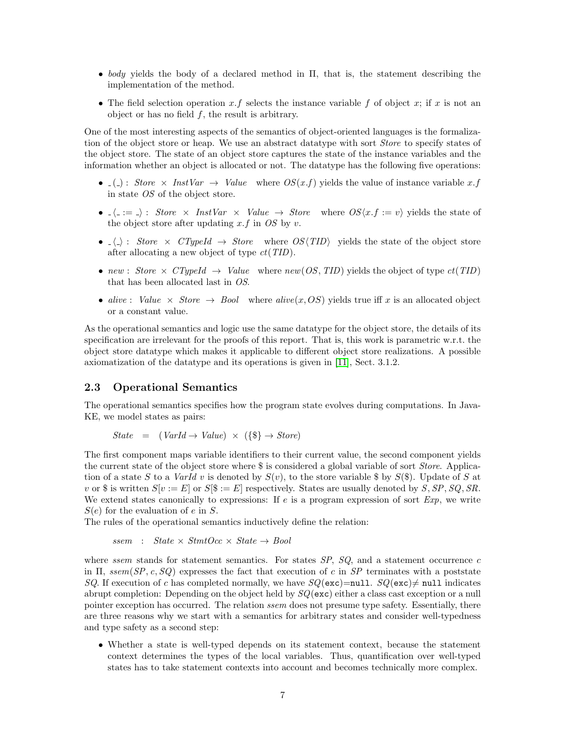- body yields the body of a declared method in  $\Pi$ , that is, the statement describing the implementation of the method.
- The field selection operation x.f selects the instance variable f of object x; if x is not an object or has no field  $f$ , the result is arbitrary.

One of the most interesting aspects of the semantics of object-oriented languages is the formalization of the object store or heap. We use an abstract datatype with sort Store to specify states of the object store. The state of an object store captures the state of the instance variables and the information whether an object is allocated or not. The datatype has the following five operations:

- ( ): Store  $\times$  InstVar  $\rightarrow$  Value where  $OS(x.f)$  yields the value of instance variable x.f in state OS of the object store.
- $\langle \cdot \rangle = \langle \cdot \rangle$ : Store × InstVar × Value  $\rightarrow$  Store where  $OS\langle x, f \rangle = v$  yields the state of the object store after updating  $x.f$  in  $OS$  by  $v$ .
- $\langle \rangle$ : Store  $\times$  CTypeId  $\rightarrow$  Store where OS $\langle TID \rangle$  yields the state of the object store after allocating a new object of type ct(TID).
- new : Store  $\times$  CTypeId  $\rightarrow$  Value where new(OS, TID) yields the object of type  $ct(TID)$ that has been allocated last in OS.
- alive: Value  $\times$  Store  $\rightarrow$  Bool where alive $(x, OS)$  yields true iff x is an allocated object or a constant value.

As the operational semantics and logic use the same datatype for the object store, the details of its specification are irrelevant for the proofs of this report. That is, this work is parametric w.r.t. the object store datatype which makes it applicable to different object store realizations. A possible axiomatization of the datatype and its operations is given in [\[11\]](#page-68-5), Sect. 3.1.2.

## 2.3 Operational Semantics

The operational semantics specifies how the program state evolves during computations. In Java-KE, we model states as pairs:

$$
State = (VarId \rightarrow Value) \times (\{\$\} \rightarrow Store)
$$

The first component maps variable identifiers to their current value, the second component yields the current state of the object store where \$ is considered a global variable of sort Store. Application of a state S to a VarId v is denoted by  $S(v)$ , to the store variable \$ by  $S(\mathcal{S})$ . Update of S at v or \$ is written  $S[v := E]$  or  $S[\$ := E]$  respectively. States are usually denoted by  $S, SP, SQ, SR$ . We extend states canonically to expressions: If  $e$  is a program expression of sort  $Exp$ , we write  $S(e)$  for the evaluation of e in S.

The rules of the operational semantics inductively define the relation:

$$
ssem : State \times StmtOcc \times State \rightarrow Bool
$$

where ssem stands for statement semantics. For states  $SP$ ,  $SQ$ , and a statement occurrence c in  $\Pi$ , ssem(SP, c, SQ) expresses the fact that execution of c in SP terminates with a poststate SQ. If execution of c has completed normally, we have  $SQ(\text{exc})=$ null.  $SQ(\text{exc})\neq$  null indicates abrupt completion: Depending on the object held by  $SQ(\text{exc})$  either a class cast exception or a null pointer exception has occurred. The relation *ssem* does not presume type safety. Essentially, there are three reasons why we start with a semantics for arbitrary states and consider well-typedness and type safety as a second step:

• Whether a state is well-typed depends on its statement context, because the statement context determines the types of the local variables. Thus, quantification over well-typed states has to take statement contexts into account and becomes technically more complex.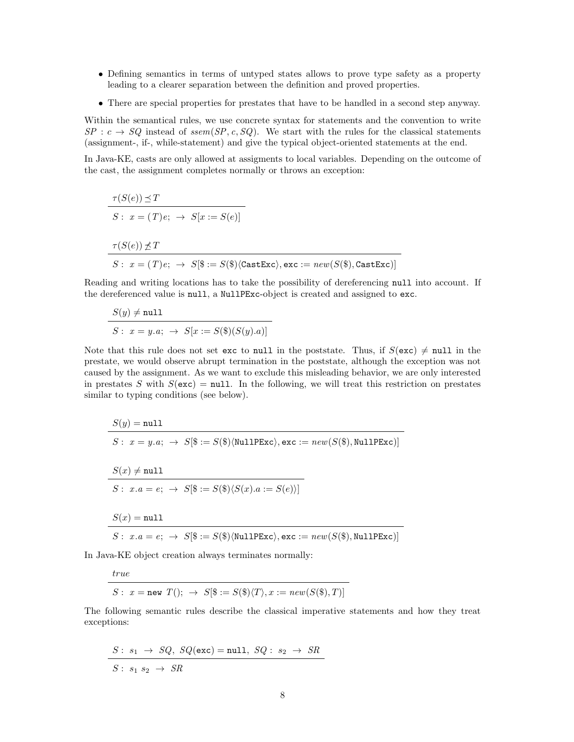- Defining semantics in terms of untyped states allows to prove type safety as a property leading to a clearer separation between the definition and proved properties.
- There are special properties for prestates that have to be handled in a second step anyway.

Within the semantical rules, we use concrete syntax for statements and the convention to write  $SP : c \rightarrow SQ$  instead of ssem(SP, c, SQ). We start with the rules for the classical statements (assignment-, if-, while-statement) and give the typical object-oriented statements at the end.

In Java-KE, casts are only allowed at assigments to local variables. Depending on the outcome of the cast, the assignment completes normally or throws an exception:

$$
\tau(S(e)) \leq T
$$
  
\n
$$
S: x = (T)e; \rightarrow S[x := S(e)]
$$
  
\n
$$
\tau(S(e)) \not\leq T
$$
  
\n
$$
S: x = (T)e; \rightarrow S[\$ := S(\$)\langle \text{CastExc}\rangle, \text{exc} := new(S(\$), \text{CastExc})]
$$

Reading and writing locations has to take the possibility of dereferencing null into account. If the dereferenced value is null, a NullPExc-object is created and assigned to exc.

$$
S(y) \neq \texttt{null}
$$
  

$$
S: x = y.a; \rightarrow S[x := S(\$)(S(y).a)]
$$

Note that this rule does not set exc to null in the poststate. Thus, if  $S(\text{exc}) \neq \text{null}$  in the prestate, we would observe abrupt termination in the poststate, although the exception was not caused by the assignment. As we want to exclude this misleading behavior, we are only interested in prestates S with  $S(\text{exc}) = \text{null}$ . In the following, we will treat this restriction on prestates similar to typing conditions (see below).

$$
S(y) = \texttt{null}
$$
\n
$$
S: x = y.a; \rightarrow S[\$ := S(\$)\langle \texttt{NullPExc}\rangle, \texttt{exc} := new(S(\$), \texttt{NullPExc})]
$$
\n
$$
S(x) \neq \texttt{null}
$$
\n
$$
S: x.a = e; \rightarrow S[\$ := S(\$)\langle S(x).a := S(e)\rangle]
$$
\n
$$
S(x) = \texttt{null}
$$
\n
$$
S: x.a = e; \rightarrow S[\$ := S(\$)\langle \texttt{NullPExc}\rangle, \texttt{exc} := new(S(\$), \texttt{NullPExc})]
$$

In Java-KE object creation always terminates normally:

$$
true
$$

 $S: x = new T(); \rightarrow S[\$ := S(\$)(T), x := new(S(\$), T)]$ 

The following semantic rules describe the classical imperative statements and how they treat exceptions:

$$
S: s_1 \rightarrow SQ, \; SQ(\text{exc}) = \text{null}, \; SQ: s_2 \rightarrow SR
$$
  

$$
S: s_1 s_2 \rightarrow SR
$$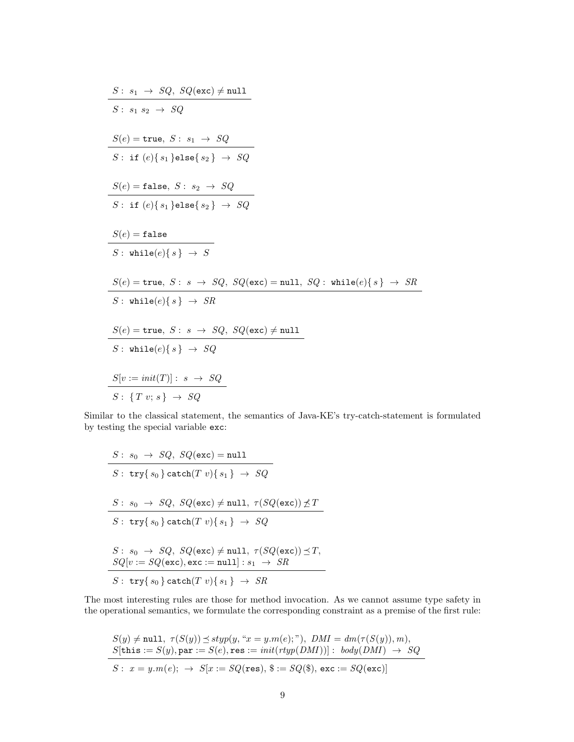$$
S: s_1 \rightarrow SQ, SQ(exc) \neq null
$$
\n
$$
S: s_1 s_2 \rightarrow SQ
$$
\n
$$
S(e) = \text{true}, S: s_1 \rightarrow SQ
$$
\n
$$
S(e) = \text{false}, S: s_1 \rightarrow SQ
$$
\n
$$
S(e) = \text{false}, S: s_2 \rightarrow SQ
$$
\n
$$
S: \text{if } (e) \{s_1\} \text{else} \{s_2\} \rightarrow SQ
$$
\n
$$
S(e) = \text{false}
$$
\n
$$
S: \text{while } (e) \{s\} \rightarrow S
$$
\n
$$
S(e) = \text{true}, S: s \rightarrow SQ, SQ(exc) = null, SQ: \text{while } (e) \{s\} \rightarrow SR
$$
\n
$$
S: \text{while } (e) \{s\} \rightarrow SR
$$
\n
$$
S(e) = \text{true}, S: s \rightarrow SQ, SQ(exc) \neq null
$$
\n
$$
S: \text{while } (e) \{s\} \rightarrow SQ
$$
\n
$$
S[v := init(T)]: s \rightarrow SQ
$$
\n
$$
S: \{Tv; s\} \rightarrow SQ
$$

Similar to the classical statement, the semantics of Java-KE's try-catch-statement is formulated by testing the special variable exc:

$$
S: s_0 \to SQ, \, SQ(\texttt{exc}) = \texttt{null}
$$
\n
$$
S: \, \texttt{try} \{s_0\} \, \texttt{catch}(T \, v) \{s_1\} \to SQ
$$
\n
$$
S: s_0 \to SQ, \, SQ(\texttt{exc}) \neq \texttt{null}, \, \tau(SQ(\texttt{exc})) \nleq T
$$
\n
$$
S: \, \texttt{try} \{s_0\} \, \texttt{catch}(T \, v) \{s_1\} \to SQ
$$
\n
$$
S: s_0 \to SQ, \, SQ(\texttt{exc}) \neq \texttt{null}, \, \tau(SQ(\texttt{exc})) \preceq T,
$$
\n
$$
SQ[v := SQ(\texttt{exc}), \texttt{exc} := \texttt{null}] : s_1 \to SR
$$
\n
$$
S: \, \texttt{try} \{s_0\} \, \texttt{catch}(T \, v) \{s_1\} \to SR
$$

The most interesting rules are those for method invocation. As we cannot assume type safety in the operational semantics, we formulate the corresponding constraint as a premise of the first rule:

$$
S(y) \neq \texttt{null}, \ \tau(S(y)) \leq \text{styp}(y, \text{``}x = y.m(e); \text{''}), \ DMI = dm(\tau(S(y)), m),
$$
  

$$
S[\texttt{this} := S(y), \texttt{par} := S(e), \texttt{res} := init(\texttt{rtyp}(DMI))] : \text{body}(DMI) \rightarrow SQ
$$
  

$$
S: \ x = y.m(e); \rightarrow S[x := SQ(\texttt{res}), \$ := SQ(\texttt{\$}), \texttt{exc} := SQ(\texttt{exc})]
$$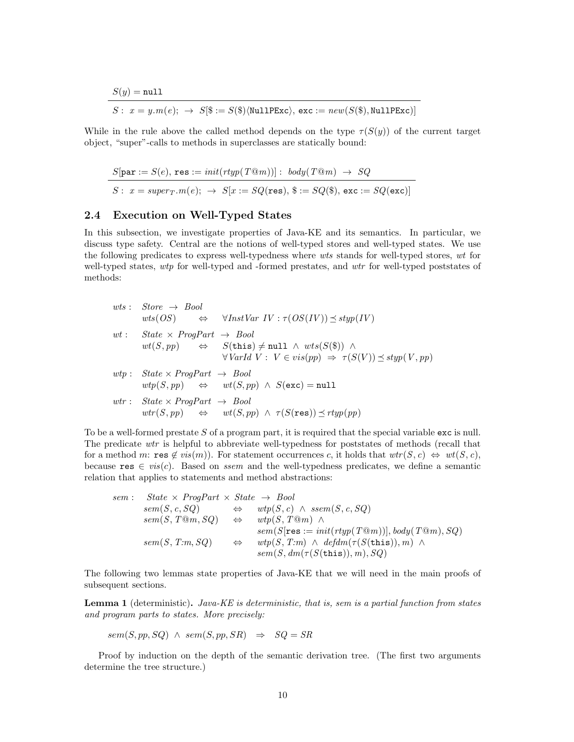$S(y) = \texttt{null}$ 

$$
S: x = y.m(e); \rightarrow S[\$ := S(\$)\langle \texttt{NullPExc}\rangle, \texttt{exc} := \textit{new}(S(\$), \texttt{NullPExc})]
$$

While in the rule above the called method depends on the type  $\tau(S(y))$  of the current target object, "super"-calls to methods in superclasses are statically bound:

$$
S[\texttt{par} := S(e), \texttt{res} := init(rtyp(T@m))]: \text{ body}(T@m) \rightarrow SQ
$$
  

$$
S: x = super_T.m(e); \rightarrow S[x := SQ(\texttt{res}), \$ := SQ(\$), \texttt{exc} := SQ(\texttt{exc})]
$$

#### 2.4 Execution on Well-Typed States

In this subsection, we investigate properties of Java-KE and its semantics. In particular, we discuss type safety. Central are the notions of well-typed stores and well-typed states. We use the following predicates to express well-typedness where wts stands for well-typed stores, wt for well-typed states, wtp for well-typed and -formed prestates, and wtr for well-typed poststates of methods:

| wts: $Store \rightarrow Bool$                  | $wts(OS) \Leftrightarrow \forall InstVar IV : \tau (OS(IV)) \preceq styp(IV)$                                                                                                                                  |
|------------------------------------------------|----------------------------------------------------------------------------------------------------------------------------------------------------------------------------------------------------------------|
| wt: State $\times$ ProgPart $\rightarrow$ Bool | $wt(S, pp) \qquad \Leftrightarrow \qquad S(\text{this}) \neq \text{null} \ \land \ wts(S(\text{\texttt{\$}})) \ \land$<br>$\forall \text{VarId } V : V \in vis(pp) \Rightarrow \tau(S(V)) \preceq styp(V, pp)$ |
| $wtp: State \times ProgPart \rightarrow Bool$  | $wtp(S, pp) \Leftrightarrow wt(S, pp) \wedge S(\text{exc}) = \text{null}$                                                                                                                                      |
| $wtr: State \times ProgPart \rightarrow Bool$  | $wtr(S,pp) \Leftrightarrow wt(S,pp) \wedge \tau(S(\text{res})) \preceq rtyp(pp)$                                                                                                                               |

To be a well-formed prestate  $S$  of a program part, it is required that the special variable  $exc$  is null. The predicate wtr is helpful to abbreviate well-typedness for poststates of methods (recall that for a method m: res  $\notin vis(m)$ . For statement occurrences c, it holds that  $wtr(S, c) \Leftrightarrow wt(S, c)$ , because res  $\in vis(c)$ . Based on *ssem* and the well-typedness predicates, we define a semantic relation that applies to statements and method abstractions:

$$
\begin{array}{rcl}\nsem: & State & \times Program \times State & \rightarrow Bool \\
sem(S, c, SQ) & \Leftrightarrow & wp(S, c) \land \text{ssem}(S, c, SQ) \\
sem(S, T@m, SQ) & \Leftrightarrow & wp(S, T@m) \land \\
sem(S[res := init(rtyp(T@m))], body(T@m), SQ) \\
sem(S, T:m, SQ) & \Leftrightarrow & wp(S, T:m) \land \text{defdm}(\tau(S(\text{this})), m) \land \\
sem(S, dm(\tau(S(\text{this})), m), SQ)\n\end{array}
$$

The following two lemmas state properties of Java-KE that we will need in the main proofs of subsequent sections.

**Lemma 1** (deterministic). Java-KE is deterministic, that is, sem is a partial function from states and program parts to states. More precisely:

$$
sem(S, pp, SQ) \wedge sem(S, pp, SR) \Rightarrow SQ = SR
$$

Proof by induction on the depth of the semantic derivation tree. (The first two arguments determine the tree structure.)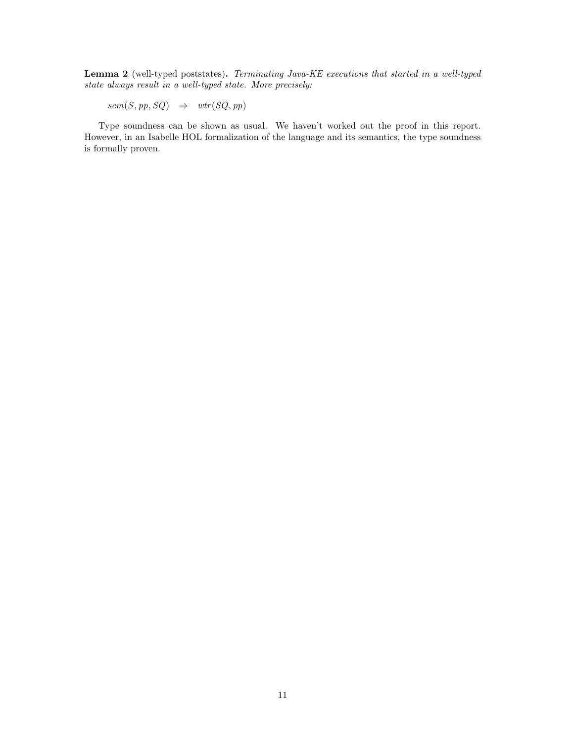Lemma 2 (well-typed poststates). Terminating Java-KE executions that started in a well-typed state always result in a well-typed state. More precisely:

 $sem(S, pp, SQ) \Rightarrow wtr(SQ, pp)$ 

Type soundness can be shown as usual. We haven't worked out the proof in this report. However, in an Isabelle HOL formalization of the language and its semantics, the type soundness is formally proven.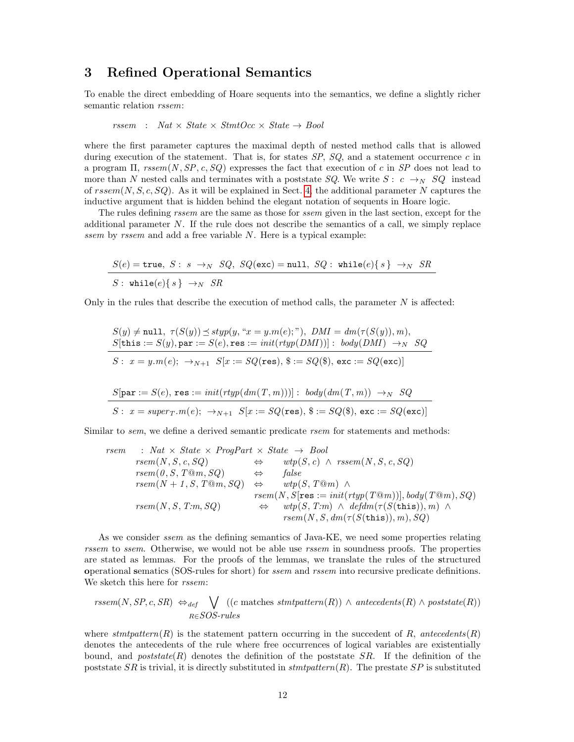## <span id="page-11-0"></span>3 Refined Operational Semantics

To enable the direct embedding of Hoare sequents into the semantics, we define a slightly richer semantic relation rssem:

$$
rssem : Nat \times State \times StmtOcc \times State \rightarrow Bool
$$

where the first parameter captures the maximal depth of nested method calls that is allowed during execution of the statement. That is, for states  $SP$ ,  $SQ$ , and a statement occurrence c in a program  $\Pi$ , rssem(N, SP, c, SQ) expresses the fact that execution of c in SP does not lead to more than N nested calls and terminates with a poststate SQ. We write  $S: c \rightarrow_{N} SQ$  instead of  $rseem(N, S, c, SQ)$ . As it will be explained in Sect. [4,](#page-15-0) the additional parameter N captures the inductive argument that is hidden behind the elegant notation of sequents in Hoare logic.

The rules defining *rssem* are the same as those for *ssem* given in the last section, except for the additional parameter  $N$ . If the rule does not describe the semantics of a call, we simply replace ssem by rssem and add a free variable N. Here is a typical example:

$$
\frac{S(e) = \texttt{true}, S: s \rightarrow_{N} SQ, \ SQ(\texttt{exc}) = \texttt{null}, \ SQ: \ \texttt{while}(e)\{s\} \rightarrow_{N} SR}{S: \ \texttt{while}(e)\{s\} \rightarrow_{N} SR}
$$

Only in the rules that describe the execution of method calls, the parameter  $N$  is affected:

$$
S(y) \neq \text{null}, \ \tau(S(y)) \leq \text{styp}(y, \text{``}x = y.m(e); \text{''}), \ DMI = dm(\tau(S(y)), m),
$$
\n
$$
S[\text{this} := S(y), \text{par} := S(e), \text{res} := init(\text{rtyp}(DMI))] : \ \text{body}(DMI) \to_{N} SQ
$$
\n
$$
S: \ x = y.m(e); \ \to_{N+1} S[x := SQ(\text{res}), \$ := SQ(\$), \text{exc} := SQ(\text{exc})]
$$
\n
$$
S[\text{par} := S(e), \text{res} := init(\text{rtyp}(dm(T, m)))]: \ \text{body}(dm(T, m)) \to_{N} SQ
$$
\n
$$
S: \ x = super_T.m(e); \ \to_{N+1} S[x := SQ(\text{res}), \$ := SQ(\$), \text{exc} := SQ(\text{exc})]
$$

Similar to *sem*, we define a derived semantic predicate *rsem* for statements and methods:

rsem : Nat × State × ProgPart × State → Bool rsem(N , S, c, SQ) ⇔ wtp(S, c) ∧ rssem(N , S, c, SQ) rsem(0 , S, T@m, SQ) ⇔ false rsem(N + 1 , S, T@m, SQ) ⇔ wtp(S, T@m) ∧ rsem(N , S[res := init(rtyp(T@m))], body(T@m), SQ) rsem(N , S, T:m, SQ) ⇔ wtp(S, T:m) ∧ defdm(τ (S(this)), m) ∧ rsem(N , S, dm(τ (S(this)), m), SQ)

As we consider *ssem* as the defining semantics of Java-KE, we need some properties relating rssem to ssem. Otherwise, we would not be able use rssem in soundness proofs. The properties are stated as lemmas. For the proofs of the lemmas, we translate the rules of the structured operational sematics (SOS-rules for short) for ssem and rssem into recursive predicate definitions. We sketch this here for  $rssem$ :

$$
rssem(N, SP, c, SR) \Leftrightarrow_{def} \bigvee_{R \in SOS-rules} ((c \text{ matches }్(R)) \wedge antecedents(R) \wedge poststate(R))
$$

where  $stmtpattern(R)$  is the statement pattern occurring in the succedent of R, antecedents(R) denotes the antecedents of the rule where free occurrences of logical variables are existentially bound, and *poststate*( $R$ ) denotes the definition of the poststate  $SR$ . If the definition of the poststate  $SR$  is trivial, it is directly substituted in  $stmtpattern(R)$ . The prestate  $SP$  is substituted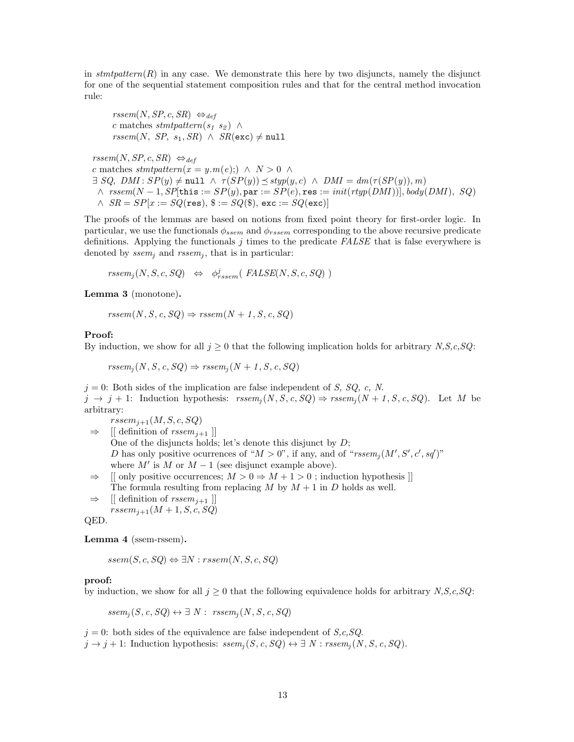in stmtpattern $(R)$  in any case. We demonstrate this here by two disjuncts, namely the disjunct for one of the sequential statement composition rules and that for the central method invocation rule:

 $rssem(N, SP, c, SR) \Leftrightarrow_{def}$ c matches stmtpattern(s<sub>1</sub> s<sub>2</sub>)  $\wedge$  $rssem(N, SP, s_1, SR) \wedge SR(\texttt{exc}) \neq \texttt{null}$ 

 $rssem(N, SP, c, SR) \Leftrightarrow_{def}$ c matches  $stmtpattern(x = y.m(e)) \wedge N > 0 \wedge$  $\exists SQ$ ,  $DMI : SP(y) \neq \text{null} \land \tau(SP(y)) \preceq styp(y, c) \land DMI = dm(\tau(SP(y)), m)$  $\wedge$  rssem(N – 1, SP[this := SP(y), par := SP(e), res := init(rtyp(DMI))], body(DMI), SQ)  $\land$   $SR = SP[x := SQ(\text{res}), \, \$ := SQ(\$), \, \text{exc} := SQ(\text{exc})]$ 

The proofs of the lemmas are based on notions from fixed point theory for first-order logic. In particular, we use the functionals  $\phi_{ssem}$  and  $\phi_{rsem}$  corresponding to the above recursive predicate definitions. Applying the functionals  $j$  times to the predicate  $FALSE$  that is false everywhere is denoted by  $ssem_i$  and  $rseem_i$ , that is in particular:

 $rssem_j(N, S, c, SQ) \Leftrightarrow \phi^j_{rssem}(\text{ FALSE}(N, S, c, SQ) )$ 

Lemma 3 (monotone).

 $rssem(N, S, c, SQ) \Rightarrow rssem(N + 1, S, c, SQ)$ 

#### Proof:

By induction, we show for all  $j \geq 0$  that the following implication holds for arbitrary N,S,c,SQ:

 $rssem_i(N, S, c, SQ) \Rightarrow rssem_i(N + 1, S, c, SQ)$ 

 $j = 0$ : Both sides of the implication are false independent of S, SQ, c, N.  $j \rightarrow j + 1$ : Induction hypothesis:  $rssem_i(N, S, c, SQ) \Rightarrow rssem_i(N + 1, S, c, SQ)$ . Let M be arbitrary:

 $r<sub>stem<sub>j+1</sub></sub>(M, S, c, SQ)$  $\Rightarrow$  [[ definition of *rssem*<sub>i+1</sub> ]] One of the disjuncts holds; let's denote this disjunct by  $D$ ; D has only positive ocurrences of " $M > 0$ ", if any, and of " $rssem_j(M',S',c',sq')$ " where  $M'$  is M or  $M - 1$  (see disjunct example above).

 $\Rightarrow$  [[ only positive occurrences;  $M > 0 \Rightarrow M + 1 > 0$ ; induction hypothesis ]] The formula resulting from replacing M by  $M + 1$  in D holds as well.

 $\Rightarrow$  [[ definition of  $rssem_{i+1}$  ]]

 $rssem_{j+1}(M + 1, S, c, SQ)$ 

QED.

Lemma 4 (ssem-rssem).

 $ssem(S, c, SQ) \Leftrightarrow \exists N : rseem(N, S, c, SQ)$ 

#### proof:

by induction, we show for all  $j \geq 0$  that the following equivalence holds for arbitrary N,S,c,SQ:

 $ssem_i(S, c, SQ) \leftrightarrow \exists N : \; rssem_i(N, S, c, SQ)$ 

 $j = 0$ : both sides of the equivalence are false independent of  $S, c, SQ$ .  $j \to j+1$ : Induction hypothesis:  $ssem_j(S, c, SQ) \leftrightarrow \exists N : rssem_j(N, S, c, SQ)$ .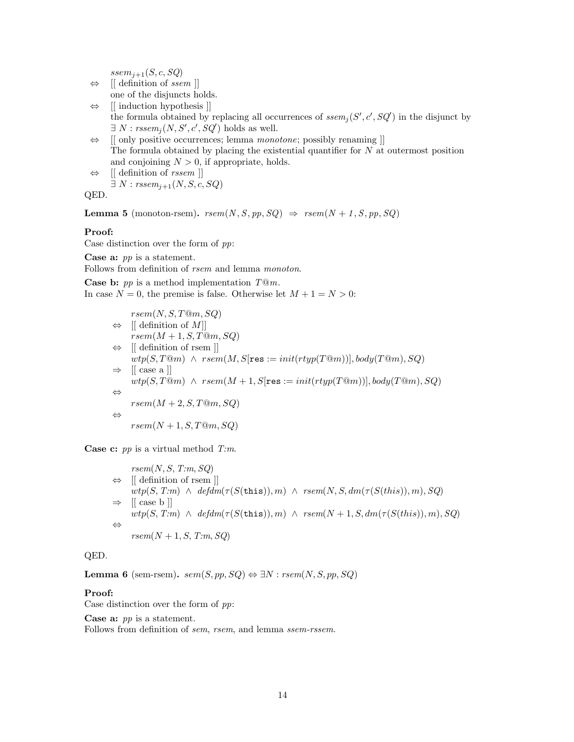$ssem_{j+1}(S, c, SQ)$ 

- $\Leftrightarrow$  [[ definition of ssem ]] one of the disjuncts holds.
- ⇔ [[ induction hypothesis ]] the formula obtained by replacing all occurrences of  $seem_j(S', c', SQ')$  in the disjunct by  $\exists N:rssem_j(N, S', c', SQ')$  holds as well.

⇔ [[ only positive occurrences; lemma monotone; possibly renaming ]] The formula obtained by placing the existential quantifier for  $N$  at outermost position and conjoining  $N > 0$ , if appropriate, holds.

 $\Leftrightarrow$  [[ definition of *rssem* ]]  $\exists N : \text{rssem}_{i+1}(N, S, c, SQ)$ 

QED.

**Lemma 5** (monoton-rsem).  $rsem(N, S, pp, SQ) \Rightarrow rsem(N + 1, S, pp, SQ)$ 

## Proof:

Case distinction over the form of  $pp$ :

Case a: pp is a statement.

Follows from definition of *rsem* and lemma *monoton*.

**Case b:**  $pp$  is a method implementation  $T@m$ . In case  $N = 0$ , the premise is false. Otherwise let  $M + 1 = N > 0$ :

$$
rsem(N, S, T@m, SQ)
$$
\n
$$
\Leftrightarrow [[\text{ definition of } M]]
$$
\n
$$
rsem(M + 1, S, T@m, SQ)
$$
\n
$$
\Leftrightarrow [[\text{ definition of resp }]]
$$
\n
$$
wtp(S, T@m) \wedge rsem(M, S[\text{res} := init(rtyp(T@m))], body(T@m), SQ)
$$
\n
$$
\Leftrightarrow [[\text{ case a }]]
$$
\n
$$
wtp(S, T@m) \wedge rsem(M + 1, S[\text{res} := init(rtyp(T@m))], body(T@m), SQ)
$$
\n
$$
\Leftrightarrow
$$
\n
$$
rsem(M + 2, S, T@m, SQ)
$$
\n
$$
\Leftrightarrow
$$
\n
$$
rsem(N + 1, S, T@m, SQ)
$$

**Case c:**  $pp$  is a virtual method  $T:m$ .

 $rsem(N, S, T:m, SQ)$ ⇔ [[ definition of rsem ]]  $wtp(S, T:m) \wedge defdm(\tau(S(this)), m) \wedge resm(N, S, dm(\tau(S(this)), m), SQ)$  $\Rightarrow$  [[ case b ]]  $wtp(S, T:m) \wedge defdm(\tau(S(this)), m) \wedge resm(N+1, S, dm(\tau(S(this)), m), SQ)$ ⇔  $rsem(N+1, S, T:m, SQ)$ 

### QED.

**Lemma 6** (sem-rsem).  $sem(S, pp, SQ) \Leftrightarrow \exists N : rsem(N, S, pp, SQ)$ 

#### Proof:

Case distinction over the form of  $pp$ :

**Case a:**  $pp$  is a statement.

Follows from definition of sem, rsem, and lemma ssem-rssem.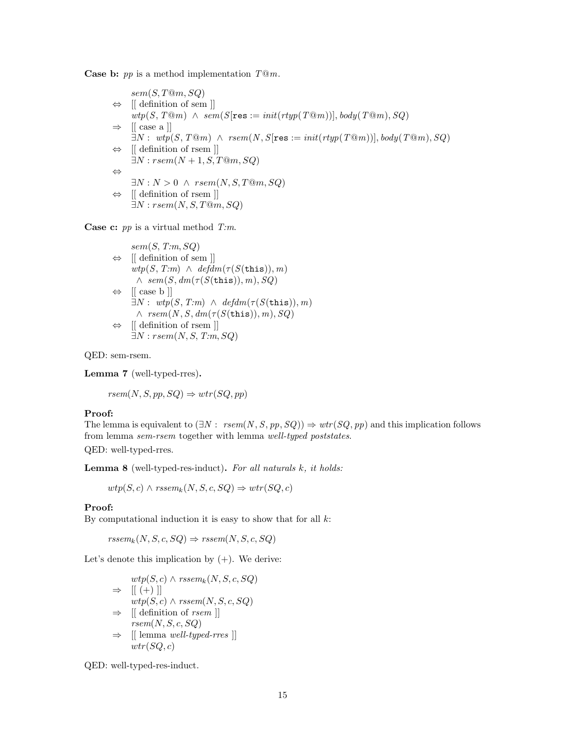**Case b:**  $pp$  is a method implementation  $T@m$ .

 $sem(S, T@m, SQ)$  $\Leftrightarrow$  [[ definition of sem ]]  $wtp(S, T@m) \wedge sem(S[res := init(rtyp(T@m))], body(T@m), SQ)$  $\Rightarrow$  [[ case a ]]  $\exists N: \text{wtp}(S, T@m) \land \text{rsem}(N, S[\text{res} := \text{init}(\text{rtyp}(T@m))], \text{body}(T@m), SQ)$ ⇔ [[ definition of rsem ]]  $\exists N : rsem(N+1, S, T@m, SQ)$ ⇔  $\exists N : N > 0 \land \text{rsem}(N, S, T@m, SQ)$ ⇔ [[ definition of rsem ]]  $\exists N : rsem(N, S, T@m, SQ)$ 

**Case c:**  $pp$  is a virtual method  $T:m$ .

```
sem(S, T:m, SQ)⇔ [[ definition of sem ]]
      wtp(S, T:m) \wedge \mathit{defdm}(\tau(S(\text{this})), m)\wedge sem(S, dm(\tau(S(\text{this})), m), SQ)⇔ [[ case b ]]
      \exists N: \text{wtp}(S, T:m) \land \text{defdm}(\tau(S(\text{this})), m)\land rsem(N, S, dm(\tau(S(\text{this})), m), SQ)
⇔ [[ definition of rsem ]]
     \exists N : rsem(N, S, T:m, SQ)
```
QED: sem-rsem.

<span id="page-14-0"></span>Lemma 7 (well-typed-rres).

 $rsem(N, S, pp, SQ) \Rightarrow wtr(SQ, pp)$ 

#### Proof:

The lemma is equivalent to  $(\exists N : \text{rsem}(N, S, pp, SQ)) \Rightarrow \text{wtr}(SQ, pp)$  and this implication follows from lemma sem-rsem together with lemma well-typed poststates. QED: well-typed-rres.

**Lemma 8** (well-typed-res-induct). For all naturals  $k$ , it holds:

 $wtp(S, c) \wedge \textit{rssem}_k(N, S, c, SQ) \Rightarrow wtr(SQ, c)$ 

#### Proof:

By computational induction it is easy to show that for all  $k$ :

 $rssem_k(N, S, c, SQ) \Rightarrow rssem(N, S, c, SQ)$ 

Let's denote this implication by  $(+)$ . We derive:

$$
wtp(S, c) \land rssem_k(N, S, c, SQ)
$$
  
\n
$$
\Rightarrow [[(+)]]
$$
  
\n
$$
wtp(S, c) \land rssem(N, S, c, SQ)
$$
  
\n
$$
\Rightarrow [[definition of rsem []
$$
  
\n
$$
rsem(N, S, c, SQ)
$$
  
\n
$$
\Rightarrow [[lemma well-typed-rres ]]
$$
  
\n
$$
wt(SQ, c)
$$

QED: well-typed-res-induct.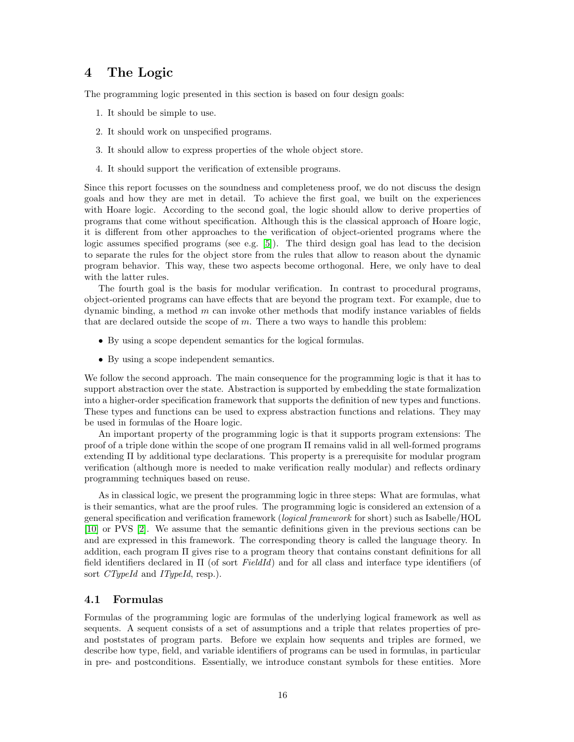## <span id="page-15-0"></span>4 The Logic

The programming logic presented in this section is based on four design goals:

- 1. It should be simple to use.
- 2. It should work on unspecified programs.
- 3. It should allow to express properties of the whole object store.
- 4. It should support the verification of extensible programs.

Since this report focusses on the soundness and completeness proof, we do not discuss the design goals and how they are met in detail. To achieve the first goal, we built on the experiences with Hoare logic. According to the second goal, the logic should allow to derive properties of programs that come without specification. Although this is the classical approach of Hoare logic, it is different from other approaches to the verification of object-oriented programs where the logic assumes specified programs (see e.g. [\[5\]](#page-68-6)). The third design goal has lead to the decision to separate the rules for the object store from the rules that allow to reason about the dynamic program behavior. This way, these two aspects become orthogonal. Here, we only have to deal with the latter rules.

The fourth goal is the basis for modular verification. In contrast to procedural programs, object-oriented programs can have effects that are beyond the program text. For example, due to dynamic binding, a method m can invoke other methods that modify instance variables of fields that are declared outside the scope of  $m$ . There a two ways to handle this problem:

- By using a scope dependent semantics for the logical formulas.
- By using a scope independent semantics.

We follow the second approach. The main consequence for the programming logic is that it has to support abstraction over the state. Abstraction is supported by embedding the state formalization into a higher-order specification framework that supports the definition of new types and functions. These types and functions can be used to express abstraction functions and relations. They may be used in formulas of the Hoare logic.

An important property of the programming logic is that it supports program extensions: The proof of a triple done within the scope of one program Π remains valid in all well-formed programs extending Π by additional type declarations. This property is a prerequisite for modular program verification (although more is needed to make verification really modular) and reflects ordinary programming techniques based on reuse.

As in classical logic, we present the programming logic in three steps: What are formulas, what is their semantics, what are the proof rules. The programming logic is considered an extension of a general specification and verification framework (logical framework for short) such as Isabelle/HOL [\[10\]](#page-68-7) or PVS [\[2\]](#page-68-8). We assume that the semantic definitions given in the previous sections can be and are expressed in this framework. The corresponding theory is called the language theory. In addition, each program Π gives rise to a program theory that contains constant definitions for all field identifiers declared in  $\Pi$  (of sort FieldId) and for all class and interface type identifiers (of sort *CTypeId* and *ITypeId*, resp.).

### <span id="page-15-1"></span>4.1 Formulas

Formulas of the programming logic are formulas of the underlying logical framework as well as sequents. A sequent consists of a set of assumptions and a triple that relates properties of preand poststates of program parts. Before we explain how sequents and triples are formed, we describe how type, field, and variable identifiers of programs can be used in formulas, in particular in pre- and postconditions. Essentially, we introduce constant symbols for these entities. More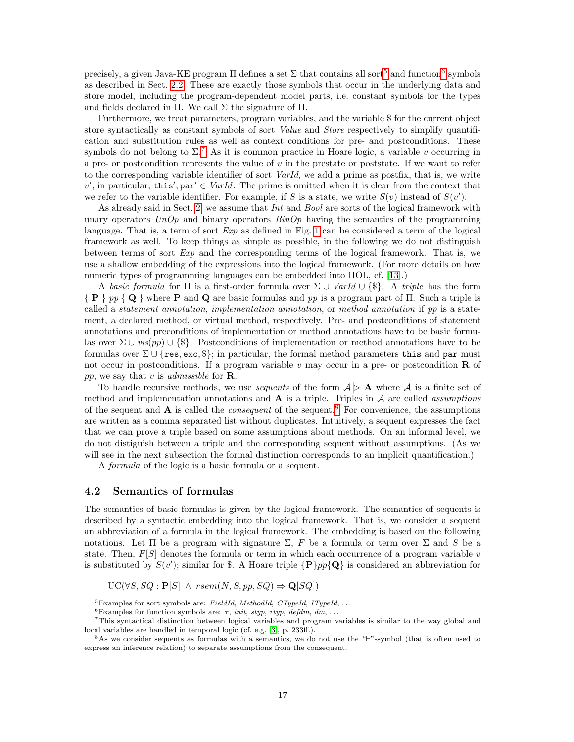precisely, a given Java-KE program  $\Pi$  defines a set  $\Sigma$  that contains all sort<sup>[5](#page-16-0)</sup> and function<sup>[6](#page-16-1)</sup> symbols as described in Sect. [2.2.](#page-4-0) These are exactly those symbols that occur in the underlying data and store model, including the program-dependent model parts, i.e. constant symbols for the types and fields declared in  $\Pi$ . We call  $\Sigma$  the signature of  $\Pi$ .

Furthermore, we treat parameters, program variables, and the variable \$ for the current object store syntactically as constant symbols of sort *Value* and *Store* respectively to simplify quantification and substitution rules as well as context conditions for pre- and postconditions. These symbols do not belong to  $\Sigma^7$  $\Sigma^7$ . As it is common practice in Hoare logic, a variable v occurring in a pre- or postcondition represents the value of  $v$  in the prestate or poststate. If we want to refer to the corresponding variable identifier of sort VarId, we add a prime as postfix, that is, we write  $v'$ ; in particular, this', par'  $\in \text{VarId}$ . The prime is omitted when it is clear from the context that we refer to the variable identifier. For example, if S is a state, we write  $S(v)$  instead of  $S(v')$ .

As already said in Sect. [2,](#page-2-0) we assume that *Int* and *Bool* are sorts of the logical framework with unary operators  $UnOp$  and binary operators  $BinOp$  having the semantics of the programming language. That is, a term of sort  $Exp$  as defined in Fig. [1](#page-2-1) can be considered a term of the logical framework as well. To keep things as simple as possible, in the following we do not distinguish between terms of sort Exp and the corresponding terms of the logical framework. That is, we use a shallow embedding of the expressions into the logical framework. (For more details on how numeric types of programming languages can be embedded into HOL, cf. [\[13\]](#page-68-9).)

A basic formula for  $\Pi$  is a first-order formula over  $\Sigma \cup \text{VarId} \cup \{\$\}.$  A triple has the form  ${P \ p \ p \ Q}$  where P and Q are basic formulas and pp is a program part of  $\Pi$ . Such a triple is called a statement annotation, implementation annotation, or method annotation if pp is a statement, a declared method, or virtual method, respectively. Pre- and postconditions of statement annotations and preconditions of implementation or method annotations have to be basic formulas over  $\Sigma \cup vis(pp) \cup {\{\$\}.}$  Postconditions of implementation or method annotations have to be formulas over  $\Sigma \cup \{res, exc, \$\}$ ; in particular, the formal method parameters this and par must not occur in postconditions. If a program variable v may occur in a pre- or postcondition  **of** pp, we say that v is *admissible* for **R**.

To handle recursive methods, we use *sequents* of the form  $A \geq A$  where A is a finite set of method and implementation annotations and  $A$  is a triple. Triples in  $A$  are called *assumptions* of the sequent and  $A$  is called the *consequent* of the sequent.<sup>[8](#page-16-3)</sup> For convenience, the assumptions are written as a comma separated list without duplicates. Intuitively, a sequent expresses the fact that we can prove a triple based on some assumptions about methods. On an informal level, we do not distiguish between a triple and the corresponding sequent without assumptions. (As we will see in the next subsection the formal distinction corresponds to an implicit quantification.)

A formula of the logic is a basic formula or a sequent.

#### <span id="page-16-4"></span>4.2 Semantics of formulas

The semantics of basic formulas is given by the logical framework. The semantics of sequents is described by a syntactic embedding into the logical framework. That is, we consider a sequent an abbreviation of a formula in the logical framework. The embedding is based on the following notations. Let  $\Pi$  be a program with signature  $\Sigma$ , F be a formula or term over  $\Sigma$  and S be a state. Then,  $F[S]$  denotes the formula or term in which each occurrence of a program variable v is substituted by  $S(v')$ ; similar for \$. A Hoare triple  $\{P\}pp\{Q\}$  is considered an abbreviation for

 $UC(\forall S, SQ : \mathbf{P}[S] \land \text{rsem}(N, S, pp, SQ) \Rightarrow \mathbf{Q}[SQ])$ 

<span id="page-16-1"></span><span id="page-16-0"></span> ${}^{5}$ Examples for sort symbols are: FieldId, MethodId, CTypeId, ITypeId, ...

<span id="page-16-2"></span> $^6\text{Examples}$  for function symbols are:  $\tau,$   $init,$   $style,$   $tryp,$   $\emph{defdm},$   $dm,$   $\ldots$ 

<sup>7</sup>This syntactical distinction between logical variables and program variables is similar to the way global and local variables are handled in temporal logic (cf. e.g. [\[3\]](#page-68-10), p. 233ff.).

<span id="page-16-3"></span> $8$ As we consider sequents as formulas with a semantics, we do not use the " $\sim$ "-symbol (that is often used to express an inference relation) to separate assumptions from the consequent.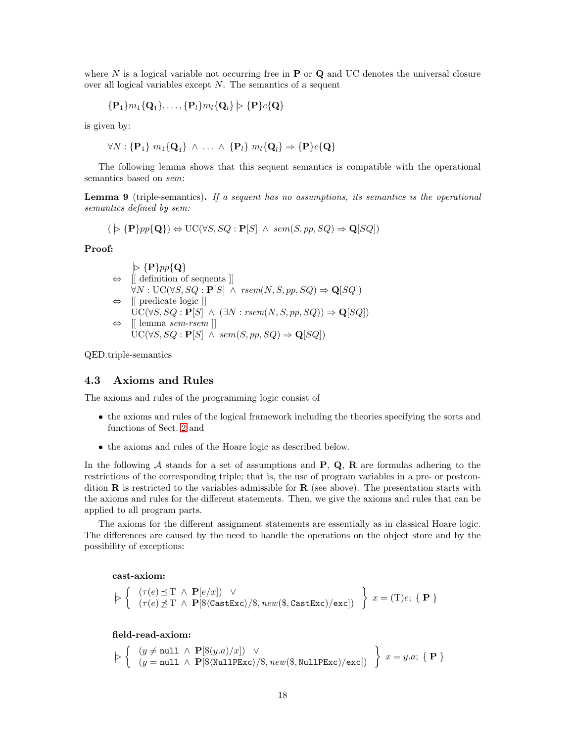where N is a logical variable not occurring free in  $P$  or  $Q$  and UC denotes the universal closure over all logical variables except N. The semantics of a sequent

$$
\{\mathbf P_1\}m_1\{\mathbf Q_1\},\ldots,\{\mathbf P_l\}m_l\{\mathbf Q_l\}\models \{\mathbf P\}c\{\mathbf Q\}
$$

is given by:

$$
\forall N: \{\mathbf{P}_1\} \ m_1\{\mathbf{Q}_1\} \ \wedge \ \ldots \ \wedge \ \{\mathbf{P}_l\} \ m_l\{\mathbf{Q}_l\} \Rightarrow \{\mathbf{P}\} c\{\mathbf{Q}\}\
$$

The following lemma shows that this sequent semantics is compatible with the operational semantics based on sem:

**Lemma 9** (triple-semantics). If a sequent has no assumptions, its semantics is the operational semantics defined by sem:

$$
(\triangleright \{P\}pp\{\mathbf{Q}\}) \Leftrightarrow \mathrm{UC}(\forall S,SQ:\mathbf{P}[S] \ \wedge \ sem(S,pp,SQ) \Rightarrow \mathbf{Q}[SQ])
$$

Proof:

$$
\varphi \{ \mathbf{P} \} pp \{ \mathbf{Q} \}
$$
\n
$$
\Leftrightarrow \left[ \left[ \text{ definition of sequents } \right] \right]
$$
\n
$$
\forall N : \text{UC}(\forall S, SQ : \mathbf{P}[S] \land \text{rsem}(N, S, pp, SQ) \Rightarrow \mathbf{Q}[SQ] )
$$
\n
$$
\Leftrightarrow \left[ \left[ \text{ predicate logic } \right] \right]
$$
\n
$$
\text{UC}(\forall S, SQ : \mathbf{P}[S] \land (\exists N : \text{rsem}(N, S, pp, SQ)) \Rightarrow \mathbf{Q}[SQ] )
$$
\n
$$
\Leftrightarrow \left[ \left[ \text{lemma } sem\text{-rsem } \right] \right]
$$
\n
$$
\text{UC}(\forall S, SQ : \mathbf{P}[S] \land \text{sem}(S, pp, SQ) \Rightarrow \mathbf{Q}[SQ] )
$$

QED.triple-semantics

#### 4.3 Axioms and Rules

The axioms and rules of the programming logic consist of

- the axioms and rules of the logical framework including the theories specifying the sorts and functions of Sect. [2](#page-2-0) and
- the axioms and rules of the Hoare logic as described below.

In the following A stands for a set of assumptions and  $P, Q, R$  are formulas adhering to the restrictions of the corresponding triple; that is, the use of program variables in a pre- or postcondition  $\bf{R}$  is restricted to the variables admissible for  $\bf{R}$  (see above). The presentation starts with the axioms and rules for the different statements. Then, we give the axioms and rules that can be applied to all program parts.

The axioms for the different assignment statements are essentially as in classical Hoare logic. The differences are caused by the need to handle the operations on the object store and by the possibility of exceptions:

#### cast-axiom:

$$
\left. \begin{array}{l} \left( \begin{array}{c} \tau(e) \preceq \mathrm{T} \; \wedge \; \mathbf{P}[e/x] ) \; \vee \\ (\tau(e) \not\preceq \mathrm{T} \; \wedge \; \mathbf{P}[\$ \langle \texttt{CastExc} \rangle / \$ , \mathit{new($}, \texttt{CastExc}) / \texttt{exc}]) \end{array} \right\} \; x = (\mathrm{T}) e; \ \{\ \mathbf{P} \; \} \end{array} \right.
$$

field-read-axiom:

$$
\left. \begin{array}{l} \left( \begin{array}{l} (y \neq \texttt{null} \; \wedge \; \mathbf{P}[\$(y.a)/x]) \; \vee \\ (y = \texttt{null} \; \wedge \; \mathbf{P}[\$(\texttt{NullPExc})/\$, \mathit{new}(\$, \texttt{NullPExc})/\texttt{exc}]) \end{array} \right) \end{array} \right\} \; x = y.a; \; \{ \; \mathbf{P} \; \}
$$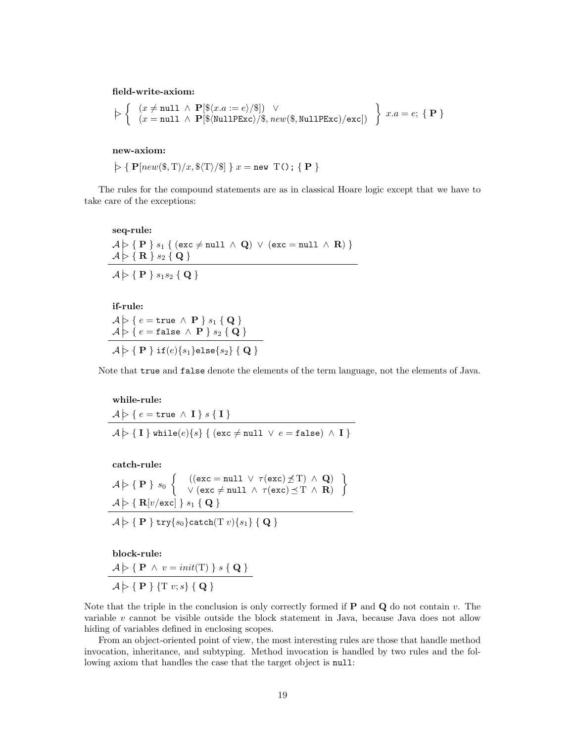field-write-axiom:

$$
\triangleright \left\{ \begin{array}{l} (x \neq \texttt{null} \ \land \ \mathbf{P}[\$(x.a := e) / \$]) \ \lor \\ (x = \texttt{null} \ \land \ \mathbf{P}[\$(\texttt{NullPExc}) / \$, \mathit{new}(\$, \texttt{NullPExc}) / \texttt{exc}]) \end{array} \right\} \ x.a = e; \ \{\ \mathbf{P} \ \}
$$

new-axiom:

 $\varphi \{ \mathbf{P}[new(\$, T)/x, \$(T)/\$ ] \} x = \texttt{new } T() \; ; \; \{ \mathbf{P} \}$ 

The rules for the compound statements are as in classical Hoare logic except that we have to take care of the exceptions:

seq-rule:  $\mathcal{A} \geq \{ P \}$   $s_1 \{ (exc \neq null \land Q) \lor (exc = null \land R) \}$  $\mathcal{A} \triangleright \mathcal{B} \setminus \mathbf{R}$   $\mathcal{S}_2$  { Q }  $\mathcal{A} \triangleright \{~\mathbf{P}~\}$   $s_1s_2~\{~\mathbf{Q}~\}$ 

if-rule:

 $\begin{array}{c} \mathcal{A}\triangleright \set{e=\texttt{true}\,\wedge\,\mathbf{P}\,} \, s_1 \, \set{\mathbf{Q}}\ \mathcal{A}\triangleright \set{e=\texttt{false}\,\wedge\,\mathbf{P}\,} \, s_2 \set{\mathbf{Q}}\ \end{array}$  $\mathcal{A} \triangleright \Set{\mathbf{P}} \text{if} (e) \{s_1\}$ else $\{s_2\} \Set{\mathbf{Q}}$ 

Note that true and false denote the elements of the term language, not the elements of Java.

#### while-rule:

$$
\mathcal{A} \triangleright \{ e = \text{true} \land \mathbf{I} \} s \{ \mathbf{I} \}
$$
\n
$$
\mathcal{A} \triangleright \{ \mathbf{I} \} \text{while}(e) \{ s \} \{ (\text{exc} \neq \text{null} \lor e = \text{false}) \land \mathbf{I} \}
$$

catch-rule:

$$
\begin{array}{l} \mathcal{A}\models \Set{\mathbf{P}} s_0 \left\{ \begin{array}{l} \left((\texttt{exc} = \texttt{null} \; \lor \; \tau(\texttt{exc}) \not\preceq \texttt{T}) \; \land \; \mathbf{Q}\right) \\ \lor \left(\texttt{exc} \neq \texttt{null} \; \land \; \tau(\texttt{exc}) \preceq \texttt{T} \; \land \; \mathbf{R}\right) \end{array}\right\} \\ \mathcal{A}\models \Set{\mathbf{R}[v/\texttt{exc}]} s_1 \Set{\mathbf{Q}} \\ \mathcal{A}\models \Set{\mathbf{P}} \mathsf{try}\{s_0\}\texttt{catch}(\texttt{T}\; v)\{s_1\} \Set{\mathbf{Q}} \end{array}\end{array}
$$

block-rule:

 $\mathcal{A} \geq \{ \mathbf{P} \wedge v = init(\mathrm{T}) \} s \{ \mathbf{Q} \}$  $\mathcal{A} \triangleright \{ \mathbf{P} \}$  {T v; s} { **Q** }

Note that the triple in the conclusion is only correctly formed if  $P$  and  $Q$  do not contain v. The variable  $v$  cannot be visible outside the block statement in Java, because Java does not allow hiding of variables defined in enclosing scopes.

From an object-oriented point of view, the most interesting rules are those that handle method invocation, inheritance, and subtyping. Method invocation is handled by two rules and the following axiom that handles the case that the target object is null: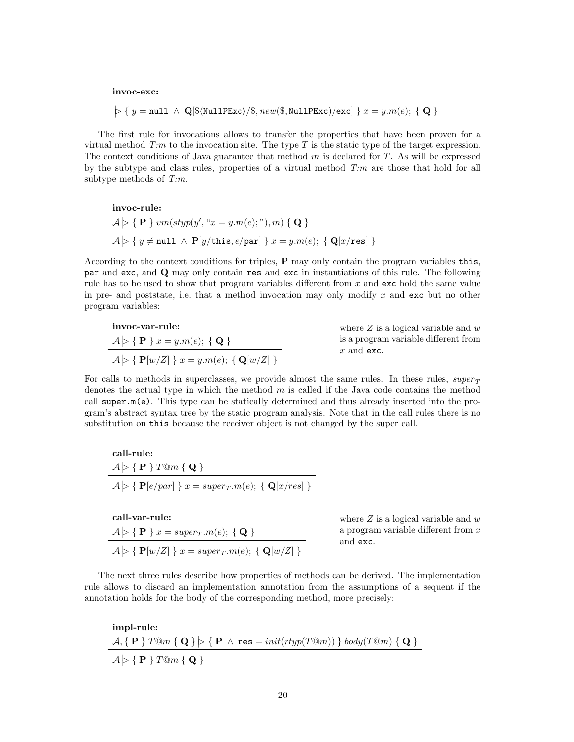invoc-exc:

$$
\triangleright \; \{ \; y = \texttt{null} \; \wedge \; \mathbf{Q}[\$ \langle \texttt{NullPExc} \rangle / \$, \mathit{new}(\$ , \texttt{NullPExc}) / \texttt{exc}] \; \} \; x = y. m(e); \; \{ \; \mathbf{Q} \; \}
$$

The first rule for invocations allows to transfer the properties that have been proven for a virtual method  $T:m$  to the invocation site. The type T is the static type of the target expression. The context conditions of Java guarantee that method  $m$  is declared for  $T$ . As will be expressed by the subtype and class rules, properties of a virtual method  $T:m$  are those that hold for all subtype methods of  $T:m$ .

$$
\begin{aligned}\n\text{invoc-rule:} \\
\mathcal{A} &\models \{ \mathbf{P} \} \text{vm}(\text{styp}(y', \text{``}x = y.m(e); \text{''}), m) \{ \mathbf{Q} \} \\
\mathcal{A} &\models \{ y \neq \text{null} \ \land \ \mathbf{P}[y/\text{this}, e/\text{par}] \} \text{ } x = y.m(e); \ \{ \mathbf{Q}[x/\text{res}] \} \n\end{aligned}
$$

According to the context conditions for triples, P may only contain the program variables this, par and exc, and Q may only contain res and exc in instantiations of this rule. The following rule has to be used to show that program variables different from  $x$  and  $exc$  hold the same value in pre- and poststate, i.e. that a method invocation may only modify x and exc but no other program variables:

$$
\begin{aligned}\n\text{invoc-var-rule:} \\
A &\models \{ \mathbf{P} \} \ x = y.m(e); \ \{ \mathbf{Q} \} \\
A &\models \{ \mathbf{P}[w/Z] \} \ x = y.m(e); \ \{ \mathbf{Q}[w/Z] \}\n\end{aligned}
$$

where  $Z$  is a logical variable and  $w$ is a program variable different from x and exc.

For calls to methods in superclasses, we provide almost the same rules. In these rules,  $super<sub>T</sub>$ denotes the actual type in which the method  $m$  is called if the Java code contains the method call super.m(e). This type can be statically determined and thus already inserted into the program's abstract syntax tree by the static program analysis. Note that in the call rules there is no substitution on this because the receiver object is not changed by the super call.

call-rule:  
\n
$$
A \rhd \{P\} T@m \{Q\}
$$
  
\n $A \rhd \{P[e/par]\} x = super_T.m(e); \{Q[x/res]\}$ 

call-var-rule:  
\n
$$
A \rhd \{P\} x = super_T.m(e); \{Q\}
$$
  
\n $A \rhd \{P[w/Z] \} x = super_T.m(e); \{Q[w/Z] \}$ 

where  $Z$  is a logical variable and  $w$ a program variable different from x and exc.

The next three rules describe how properties of methods can be derived. The implementation rule allows to discard an implementation annotation from the assumptions of a sequent if the annotation holds for the body of the corresponding method, more precisely:

impl-rule:  $\mathcal{A}, \{ \ \mathbf{P} \ \}$   $\mathit{Tom} \ \{ \ \mathbf{Q} \ \} \models \{ \ \mathbf{P} \ \land \ \mathbf{res} = init(rtyp(T@m)) \ \} \ body(T@m) \ \{ \ \mathbf{Q} \ \}$  $\mathcal{A} \models \{\ \mathbf{P}\ \}$  T@m  $\{\ \mathbf{Q}\ \}$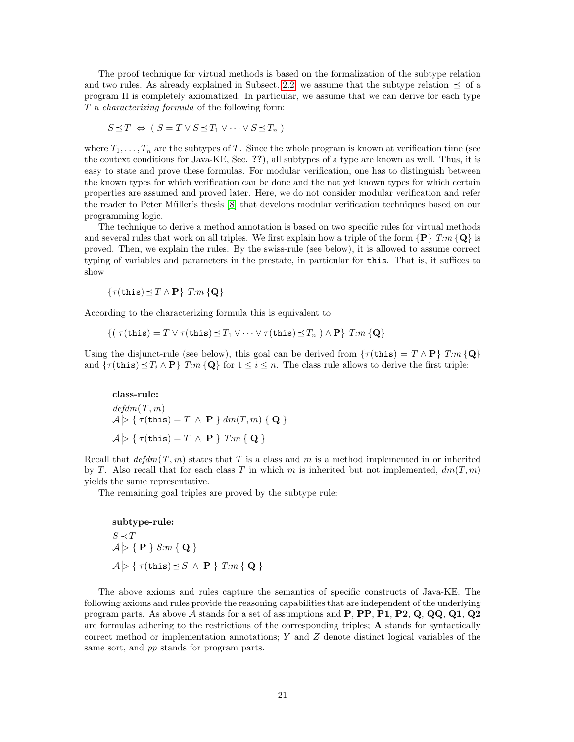The proof technique for virtual methods is based on the formalization of the subtype relation and two rules. As already explained in Subsect. [2.2,](#page-4-0) we assume that the subtype relation  $\preceq$  of a program  $\Pi$  is completely axiomatized. In particular, we assume that we can derive for each type T a characterizing formula of the following form:

$$
S \preceq T \Leftrightarrow (S = T \lor S \preceq T_1 \lor \dots \lor S \preceq T_n)
$$

where  $T_1, \ldots, T_n$  are the subtypes of T. Since the whole program is known at verification time (see the context conditions for Java-KE, Sec. ??), all subtypes of a type are known as well. Thus, it is easy to state and prove these formulas. For modular verification, one has to distinguish between the known types for which verification can be done and the not yet known types for which certain properties are assumed and proved later. Here, we do not consider modular verification and refer the reader to Peter M¨uller's thesis [\[8\]](#page-68-11) that develops modular verification techniques based on our programming logic.

The technique to derive a method annotation is based on two specific rules for virtual methods and several rules that work on all triples. We first explain how a triple of the form  ${P}$   $T:m {\ Q}$  is proved. Then, we explain the rules. By the swiss-rule (see below), it is allowed to assume correct typing of variables and parameters in the prestate, in particular for this. That is, it suffices to show

$$
\{\tau(\mathtt{this}) \preceq T \wedge \mathbf{P}\} \ T.m \{\mathbf{Q}\}\
$$

According to the characterizing formula this is equivalent to

$$
\{(\ \tau(\mathtt{this}) = T \lor \tau(\mathtt{this}) \leq T_1 \lor \dots \lor \tau(\mathtt{this}) \leq T_n \ ) \land \mathbf{P}\} \ T:m \{\mathbf{Q}\}\
$$

Using the disjunct-rule (see below), this goal can be derived from  $\{\tau(\text{this}) = T \wedge P\}$  T:m  $\{Q\}$ and  $\{\tau(\text{this}) \leq T_i \wedge \mathbf{P}\}\$   $T:m \{\mathbf{Q}\}\$ for  $1 \leq i \leq n$ . The class rule allows to derive the first triple:

class-rule:  
\n
$$
defdm(T, m)
$$
  
\n $A \rhd \{ \tau(\text{this}) = T \wedge \mathbf{P} \} dm(T, m) \{ \mathbf{Q} \}$   
\n $A \rhd \{ \tau(\text{this}) = T \wedge \mathbf{P} \} T:m \{ \mathbf{Q} \}$ 

Recall that  $\deg dm(T, m)$  states that T is a class and m is a method implemented in or inherited by T. Also recall that for each class T in which m is inherited but not implemented,  $dm(T, m)$ yields the same representative.

The remaining goal triples are proved by the subtype rule:

subtype-rule:

\n
$$
S \prec T
$$
\n
$$
A \triangleright \{ \mathbf{P} \} \, S:m \{ \mathbf{Q} \}
$$
\n
$$
A \triangleright \{ \tau(\text{this}) \preceq S \land \mathbf{P} \} \, T:m \{ \mathbf{Q} \}
$$

The above axioms and rules capture the semantics of specific constructs of Java-KE. The following axioms and rules provide the reasoning capabilities that are independent of the underlying program parts. As above  $\mathcal A$  stands for a set of assumptions and  $P$ ,  $PP$ ,  $P1$ ,  $P2$ ,  $Q$ ,  $QQ$ ,  $Q1$ ,  $Q2$ are formulas adhering to the restrictions of the corresponding triples; A stands for syntactically correct method or implementation annotations;  $Y$  and  $Z$  denote distinct logical variables of the same sort, and pp stands for program parts.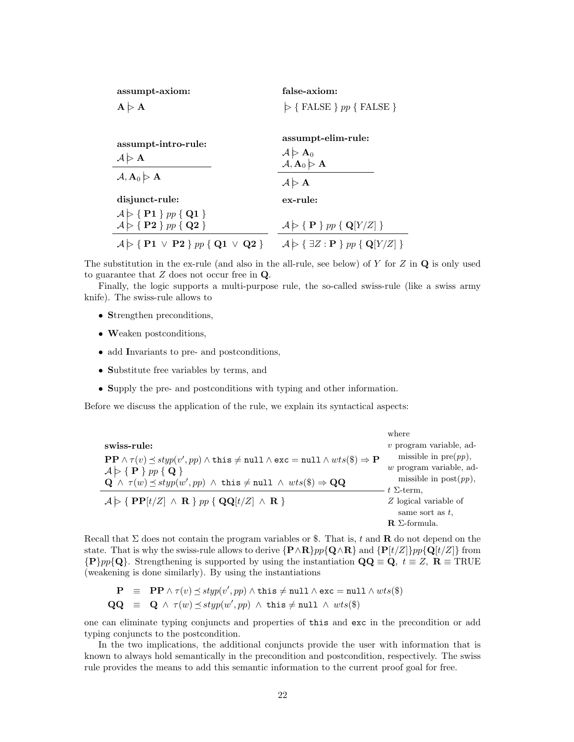| assumpt-axiom: | false-axiom:                            |
|----------------|-----------------------------------------|
| A > A          | $\triangleright$ { FALSE } pp { FALSE } |
|                |                                         |

| assumpt-intro-rule:<br>$\mathcal{A} > \mathbf{A}$                                                                                                                     | assumpt-elim-rule:<br>$\mathcal{A} \triangleright \mathbf{A}_0$<br>$\mathcal{A}, \mathbf{A}_0 \triangleright \mathbf{A}$ |
|-----------------------------------------------------------------------------------------------------------------------------------------------------------------------|--------------------------------------------------------------------------------------------------------------------------|
| $\mathcal{A}, \mathbf{A}_0 \triangleright \mathbf{A}$                                                                                                                 | $\mathcal{A} \triangleright \mathbf{A}$                                                                                  |
| disjunct-rule:                                                                                                                                                        | ex-rule:                                                                                                                 |
| $\begin{array}{c} \mathcal{A} \triangleright \{~\mathbf{P1}~\}~pp~\{~\mathbf{Q1}~\} \\ \mathcal{A} \triangleright \{~\mathbf{P2}~\}~pp~\{~\mathbf{Q2}~\} \end{array}$ | $\mathcal{A} \triangleright \{ \mathbf{P} \}$ pp { $\mathbf{Q}[Y/Z]$ }                                                   |
| $\mathcal{A} \triangleright \{ P1 \vee P2 \} pp \{ Q1 \vee Q2 \}$                                                                                                     | $\mathcal{A} \triangleright \{ \exists Z : \mathbf{P} \} pp \{ \mathbf{Q}[Y/Z] \}$                                       |

The substitution in the ex-rule (and also in the all-rule, see below) of Y for Z in  $\bf{Q}$  is only used to guarantee that  $Z$  does not occur free in  $Q$ .

Finally, the logic supports a multi-purpose rule, the so-called swiss-rule (like a swiss army knife). The swiss-rule allows to

- Strengthen preconditions,
- Weaken postconditions,
- add Invariants to pre- and postconditions,
- Substitute free variables by terms, and
- Supply the pre- and postconditions with typing and other information.

Before we discuss the application of the rule, we explain its syntactical aspects:

|                                                                                                                                                                                                                                                                                                                                                                                                 | where                                                                                               |
|-------------------------------------------------------------------------------------------------------------------------------------------------------------------------------------------------------------------------------------------------------------------------------------------------------------------------------------------------------------------------------------------------|-----------------------------------------------------------------------------------------------------|
| swiss-rule:                                                                                                                                                                                                                                                                                                                                                                                     | $v$ program variable, ad-                                                                           |
| $\mathbf{PP} \wedge \tau(v) \preceq \mathit{styp}(v', pp) \wedge \mathit{this} \neq \texttt{null} \wedge \mathit{exc} = \texttt{null} \wedge \mathit{wts}(\$) \Rightarrow \mathbf{P}$<br>$\mathcal{A} \triangleright \{\mathbf{P}\}\, pp \{\mathbf{Q}\}\$<br>$\mathbf{Q} \wedge \tau(w) \preceq styp(w', pp) \wedge \text{this} \neq \text{null} \wedge wts(\text{\$}) \Rightarrow \mathbf{QQ}$ | missible in $pre(pp)$ ,<br>$w$ program variable, ad-<br>missible in $post(pp)$ ,                    |
| $\mathcal{A} \triangleright \{ \text{ PP}[t/Z] \land \text{ R } \}$ pp { $\text{QQ}[t/Z] \land \text{ R } \}$                                                                                                                                                                                                                                                                                   | $t \Sigma$ -term,<br>Z logical variable of<br>same sort as $t$ ,<br>$\mathbf{R}$ $\Sigma$ -formula. |

Recall that  $\Sigma$  does not contain the program variables or \$. That is, t and **R** do not depend on the state. That is why the swiss-rule allows to derive  $\{P \wedge R\}pp\{Q \wedge R\}$  and  $\{P[t/Z]\}pp\{Q[t/Z]\}$  from  ${P}{p}p{Q}.$  Strengthening is supported by using the instantiation  $\mathbf{Q}\mathbf{Q} \equiv \mathbf{Q}, t \equiv Z, \mathbf{R} \equiv \text{TRUE}$ (weakening is done similarly). By using the instantiations

$$
\begin{array}{rcl}\n\mathbf{P} & \equiv & \mathbf{P} \mathbf{P} \land \tau(v) \preceq \text{styp}(v', pp) \land \text{this} \neq \text{null} \land \text{exc} = \text{null} \land \text{wts}(\$) \\
\mathbf{QQ} & \equiv & \mathbf{Q} \land \tau(w) \preceq \text{styp}(w', pp) \land \text{this} \neq \text{null} \land \text{wts}(\$)\n\end{array}
$$

one can eliminate typing conjuncts and properties of this and exc in the precondition or add typing conjuncts to the postcondition.

In the two implications, the additional conjuncts provide the user with information that is known to always hold semantically in the precondition and postcondition, respectively. The swiss rule provides the means to add this semantic information to the current proof goal for free.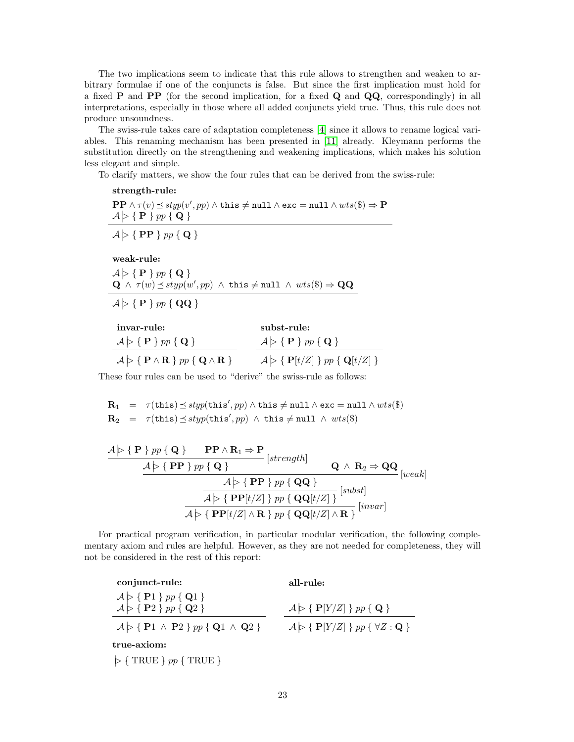The two implications seem to indicate that this rule allows to strengthen and weaken to arbitrary formulae if one of the conjuncts is false. But since the first implication must hold for a fixed **P** and **PP** (for the second implication, for a fixed **Q** and **QQ**, correspondingly) in all interpretations, especially in those where all added conjuncts yield true. Thus, this rule does not produce unsoundness.

The swiss-rule takes care of adaptation completeness [\[4\]](#page-68-12) since it allows to rename logical variables. This renaming mechanism has been presented in [\[11\]](#page-68-5) already. Kleymann performs the substitution directly on the strengthening and weakening implications, which makes his solution less elegant and simple.

To clarify matters, we show the four rules that can be derived from the swiss-rule:

strength-rule:

 $\mathbf{PP} \wedge \tau(v) \preceq \mathit{styp}(v',\textit{pp}) \wedge \mathtt{this} \neq \mathtt{null} \wedge \mathtt{exc} = \mathtt{null} \wedge \mathit{wts}(\$) \Rightarrow \mathbf{P}$  $\mathcal{A} \models \{\ \mathbf{P} \ \} \ pp \ \{\ \mathbf{Q} \ \}$ 

 $\mathcal{A} \models \{ \textbf{ PP } \}$  pp { Q }

weak-rule:

 $\mathcal{A} \triangleright \{\mathbf{P}\}\,pp\{\mathbf{Q}\}\$  $\mathbf{Q}^{'} \wedge \; \tau(w) \preceq \mathit{styp}(w', pp) \; \wedge \; \mathtt{this} \neq \mathtt{null} \; \wedge \; \mathit{wts}(\$) \Rightarrow \mathbf{QQ}$ 

 $\mathcal{A} \triangleright \{ \mathbf{P} \}$  pp { QQ }

| invar-rule:                                                                                             | subst-rule:                                                                   |
|---------------------------------------------------------------------------------------------------------|-------------------------------------------------------------------------------|
| $\mathcal{A} \triangleright \{\mathbf{P}\}\, pp \{\mathbf{Q}\}\$                                        | $\mathcal{A} \triangleright \{ \mathbf{P} \}$ pp { Q }                        |
| $\mathcal{A} \triangleright \{ \mathbf{P} \wedge \mathbf{R} \}$ pp $\{ \mathbf{Q} \wedge \mathbf{R} \}$ | $\mathcal{A} \triangleright \{ \mathbf{P}[t/Z] \}$ pp $\{ \mathbf{Q}[t/Z] \}$ |

These four rules can be used to "derive" the swiss-rule as follows:

$$
\begin{array}{rcl}\n\mathbf{R}_1 & = & \tau(\mathtt{this}) \preceq \mathit{styp}(\mathtt{this}', pp) \land \mathtt{this} \neq \texttt{null} \land \mathtt{exc} = \texttt{null} \land \mathit{wts}(\$) \\
\mathbf{R}_2 & = & \tau(\mathtt{this}) \preceq \mathit{styp}(\mathtt{this}', pp) \land \mathtt{this} \neq \texttt{null} \land \mathit{wts}(\$)\n\end{array}
$$

$$
\mathcal{A} \rightarrow \{ \mathbf{P} \} \text{ pp } \{ \mathbf{Q} \} \qquad \mathbf{PP} \land \mathbf{R}_1 \Rightarrow \mathbf{P} \text{ [strength]} \n\mathcal{A} \rightarrow \{ \mathbf{PP} \} \text{ pp } \{ \mathbf{Q} \} \n\mathcal{A} \rightarrow \{ \mathbf{PP} \} \text{ pp } \{ \mathbf{QQ} \} \n\mathcal{A} \rightarrow \{ \mathbf{PP} \} \text{ pp } \{ \mathbf{QQ} \} \n\mathcal{A} \rightarrow \{ \mathbf{PP}[t/Z] \} \text{ pp } \{ \mathbf{QQ}[t/Z] \} \n\mathcal{A} \rightarrow \{ \mathbf{PP}[t/Z] \land \mathbf{R} \} \text{ pp } \{ \mathbf{QQ}[t/Z] \land \mathbf{R} \} \n\text{ [invar]} \n\mathcal{A} \rightarrow \{ \mathbf{PP}[t/Z] \land \mathbf{R} \} \text{ pp } \{ \mathbf{QQ}[t/Z] \land \mathbf{R} \}
$$

For practical program verification, in particular modular verification, the following complementary axiom and rules are helpful. However, as they are not needed for completeness, they will not be considered in the rest of this report:

conjunct-rule:  $\mathcal{A} \geq \{P1\}$  pp { Q1 }  $\mathcal{A} \triangleright \{\ \mathbf{P2} \ \}$  pp {  $\mathbf{Q2} \ \}$  $\mathcal{A} \triangleright \{ \mathbf{P1} \wedge \mathbf{P2} \} pp \{ \mathbf{Q1} \wedge \mathbf{Q2} \}$ all-rule:  $\mathcal{A} \models \{\ \mathbf{P}[Y/Z] \ \} \ pp \ \{\ \mathbf{Q} \ \}$  $\mathcal{A} \triangleright \{ \mathbf{P}[Y/Z] \}$  pp  $\{ \forall Z : \mathbf{Q} \}$ true-axiom:

 $\varphi$  { TRUE }  $pp$  { TRUE }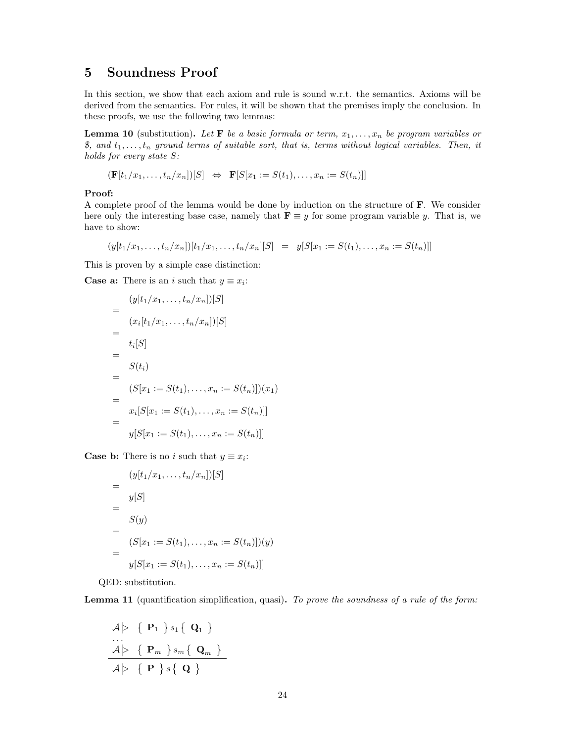## <span id="page-23-0"></span>5 Soundness Proof

In this section, we show that each axiom and rule is sound w.r.t. the semantics. Axioms will be derived from the semantics. For rules, it will be shown that the premises imply the conclusion. In these proofs, we use the following two lemmas:

**Lemma 10** (substitution). Let **F** be a basic formula or term,  $x_1, \ldots, x_n$  be program variables or \$, and  $t_1, \ldots, t_n$  ground terms of suitable sort, that is, terms without logical variables. Then, it holds for every state S:

$$
(\mathbf{F}[t_1/x_1,\ldots,t_n/x_n])[S] \Leftrightarrow \mathbf{F}[S[x_1:=S(t_1),\ldots,x_n:=S(t_n)]]
$$

#### Proof:

A complete proof of the lemma would be done by induction on the structure of **. We consider** here only the interesting base case, namely that  $\mathbf{F} \equiv y$  for some program variable y. That is, we have to show:

$$
(y[t_1/x_1,\ldots,t_n/x_n])[t_1/x_1,\ldots,t_n/x_n][S] = y[S[x_1 := S(t_1),\ldots,x_n := S(t_n)]]
$$

This is proven by a simple case distinction:

**Case a:** There is an *i* such that  $y \equiv x_i$ :

$$
= \frac{(y[t_1/x_1,\ldots,t_n/x_n])[S]}{(x_i[t_1/x_1,\ldots,t_n/x_n])[S]}
$$
  
\n
$$
= \frac{t_i[S]}{S(t_i)}
$$
  
\n
$$
= \frac{S(t_i)}{(S[x_1:=S(t_1),\ldots,x_n:=S(t_n)])(x_1)}
$$
  
\n
$$
= \frac{x_i[S[x_1:=S(t_1),\ldots,x_n:=S(t_n)]]}{y[S[x_1:=S(t_1),\ldots,x_n:=S(t_n)]]}
$$

**Case b:** There is no *i* such that  $y \equiv x_i$ :

$$
= \frac{(y[t_1/x_1,\ldots,t_n/x_n])[S]}{y[S]}
$$
  
= 
$$
S(y)
$$
  
= 
$$
(S[x_1 := S(t_1),\ldots,x_n := S(t_n)])(y)
$$
  
= 
$$
y[S[x_1 := S(t_1),\ldots,x_n := S(t_n)]]
$$

QED: substitution.

Lemma 11 (quantification simplification, quasi). To prove the soundness of a rule of the form:

$$
\begin{array}{c}\nA \triangleright \{ \mathbf{ P }_1 \} s_1 \{ \mathbf{ Q }_1 \} \\
\cdots \\
A \triangleright \{ \mathbf{ P }_m \} s_m \{ \mathbf{ Q }_m \} \\
A \triangleright \{ \mathbf{ P } \} s \{ \mathbf{ Q } \}\n\end{array}
$$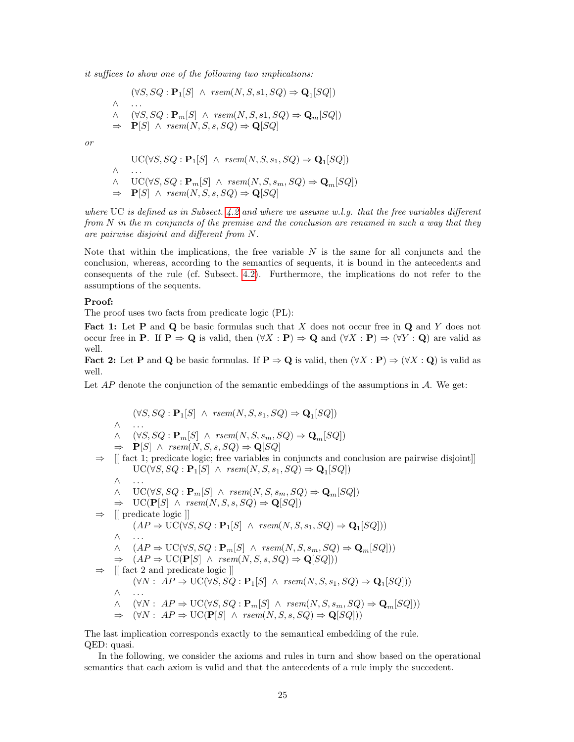it suffices to show one of the following two implications:

$$
(\forall S, SQ : \mathbf{P}_1[S] \ \land \ \text{rsem}(N, S, s1, SQ) \Rightarrow \mathbf{Q}_1[SQ])
$$
  

$$
\land \quad (\forall S, SQ : \mathbf{P}_m[S] \ \land \ \text{rsem}(N, S, s1, SQ) \Rightarrow \mathbf{Q}_m[SQ])
$$
  

$$
\Rightarrow \quad \mathbf{P}[S] \ \land \ \text{rsem}(N, S, s, SQ) \Rightarrow \mathbf{Q}[SQ]
$$

or

$$
\begin{aligned}\n\text{UC}(\forall S, SQ : \mathbf{P}_1[S] \ \land \ \text{rsem}(N, S, s_1, SQ) &\Rightarrow \mathbf{Q}_1[SQ]) \\
\land \quad \dots \\
\land \quad \text{UC}(\forall S, SQ : \mathbf{P}_m[S] \ \land \ \text{rsem}(N, S, s_m, SQ) &\Rightarrow \mathbf{Q}_m[SQ]) \\
\Rightarrow \quad \mathbf{P}[S] \ \land \ \text{rsem}(N, S, s, SQ) &\Rightarrow \mathbf{Q}[SQ]\n\end{aligned}
$$

where UC is defined as in Subsect. [4.2](#page-16-4) and where we assume w.l.g. that the free variables different from  $N$  in the m conjuncts of the premise and the conclusion are renamed in such a way that they are pairwise disjoint and different from N.

Note that within the implications, the free variable  $N$  is the same for all conjuncts and the conclusion, whereas, according to the semantics of sequents, it is bound in the antecedents and consequents of the rule (cf. Subsect. [4.2\)](#page-16-4). Furthermore, the implications do not refer to the assumptions of the sequents.

#### Proof:

The proof uses two facts from predicate logic (PL):

Fact 1: Let P and Q be basic formulas such that X does not occur free in Q and Y does not occur free in **P**. If  $P \Rightarrow Q$  is valid, then  $(\forall X : P) \Rightarrow Q$  and  $(\forall X : P) \Rightarrow (\forall Y : Q)$  are valid as well.

Fact 2: Let P and Q be basic formulas. If  $P \Rightarrow Q$  is valid, then  $(\forall X : P) \Rightarrow (\forall X : Q)$  is valid as well.

Let  $AP$  denote the conjunction of the semantic embeddings of the assumptions in  $\mathcal{A}$ . We get:

 $(\forall S, SQ : \mathbf{P}_1[S] \ \land \ \text{rsem}(N, S, s_1, SQ) \Rightarrow \mathbf{Q}_1[SQ])$ ∧ . . .  $\wedge$  ( $\forall S, SQ : \mathbf{P}_m[S] \wedge \text{rsem}(N, S, s_m, SQ) \Rightarrow \mathbf{Q}_m[SQ])$  $\Rightarrow$  **P**[S]  $\land$  rsem(N, S, s, SQ)  $\Rightarrow$  **Q**[SQ]  $\Rightarrow$  [[ fact 1; predicate logic; free variables in conjuncts and conclusion are pairwise disjoint]]  $\mathrm{UC}(\forall S, SQ : \mathbf{P}_1[S] \ \wedge \ \text{rsem}(N, S, s_1, SQ) \Rightarrow \mathbf{Q}_1[SQ])$ ∧ . . . ∧ UC( $\forall S, SQ : \mathbf{P}_m[S]$  ∧ rsem $(N, S, s_m, SQ) \Rightarrow \mathbf{Q}_m[SQ]$ )  $\Rightarrow \text{UC}(\mathbf{P}[S] \ \wedge \ \text{rsem}(N, S, s, SQ) \Rightarrow \mathbf{Q}[SQ])$ ⇒ [[ predicate logic ]]  $(AP \Rightarrow \text{UC}(\forall S, SQ : \mathbf{P}_1[S] \ \wedge \ \text{rsem}(N, S, s_1, SQ) \Rightarrow \mathbf{Q}_1[SQ]))$ ∧ . . .  $\wedge$   $(AP \Rightarrow \text{UC}(\forall S, SQ : \mathbf{P}_m[S] \wedge \text{rsem}(N, S, s_m, SQ) \Rightarrow \mathbf{Q}_m[SQ]))$  $\Rightarrow$   $(AP \Rightarrow \text{UC}(\mathbf{P}[S] \land \text{rsem}(N, S, s, SQ) \Rightarrow \mathbf{Q}[SQ]))$ ⇒ [[ fact 2 and predicate logic ]]  $(\forall N: AP \Rightarrow \text{UC}(\forall S, SQ : \mathbf{P}_1[S] \ \land \ \text{rsem}(N, S, s_1, SQ) \Rightarrow \mathbf{Q}_1[SQ]))$ ∧ . . .  $\wedge$  (∀N : AP  $\Rightarrow$  UC(∀S, SQ :  $\mathbf{P}_m[S] \wedge \text{rsem}(N, S, s_m, SQ) \Rightarrow \mathbf{Q}_m[SQ])$ )  $\Rightarrow$   $(\forall N : AP \Rightarrow \text{UC}(\mathbf{P}[S] \land \text{rsem}(N, S, s, SQ) \Rightarrow \mathbf{Q}[SQ]))$ 

The last implication corresponds exactly to the semantical embedding of the rule. QED: quasi.

In the following, we consider the axioms and rules in turn and show based on the operational semantics that each axiom is valid and that the antecedents of a rule imply the succedent.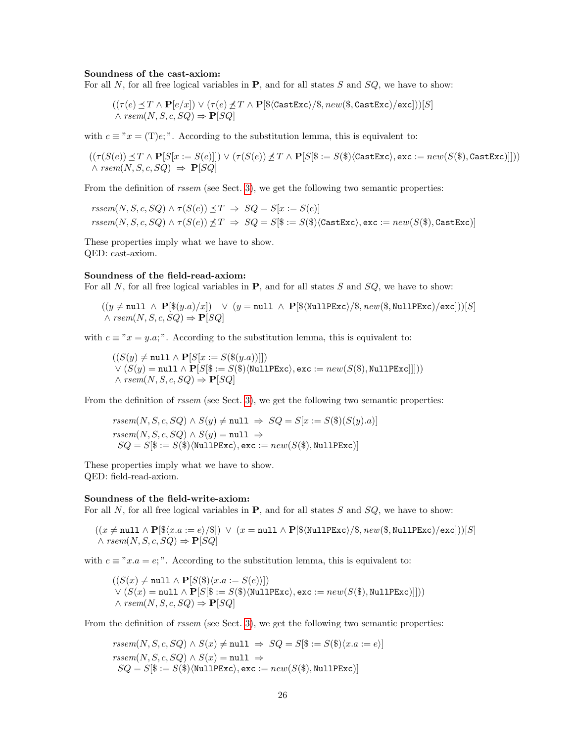#### Soundness of the cast-axiom:

For all N, for all free logical variables in  $P$ , and for all states S and  $SQ$ , we have to show:

$$
((\tau(e) \preceq T \wedge \mathbf{P}[e/x]) \vee (\tau(e) \preceq T \wedge \mathbf{P}[\$(\texttt{CastExc}\rangle/\$, new(\$, \texttt{CastExc}\rangle/\texttt{exc}]))[S]
$$
  

$$
\wedge \textit{rsem}(N, S, c, SQ) \Rightarrow \mathbf{P}[SQ]
$$

with  $c \equiv "x = (T)e;"$ . According to the substitution lemma, this is equivalent to:

 $((\tau(S(e)) \preceq T \wedge \mathbf{P}[S[x := S(e)]]) \vee (\tau(S(e)) \preceq T \wedge \mathbf{P}[S] \$ : = S(\\tastExc), exc := new(S(\\\tastExc)]]))  $\land$  rsem $(N, S, c, SQ) \Rightarrow P[SQ]$ 

From the definition of *rssem* (see Sect. [3\)](#page-11-0), we get the following two semantic properties:

 $rssem(N, S, c, SQ) \wedge \tau(S(e)) \preceq T \Rightarrow SQ = S[x := S(e)]$  $rssem(N, S, c, SQ) \wedge \tau(S(e)) \npreceq T \Rightarrow SQ = S(\$):= S(\$)\langle \texttt{CastExc}\rangle, \texttt{exc} := new(S(\$), \texttt{CastExc})]$ 

These properties imply what we have to show. QED: cast-axiom.

#### Soundness of the field-read-axiom:

For all N, for all free logical variables in  $P$ , and for all states S and SQ, we have to show:

 $((y \neq \text{null} \land \mathbf{P}[\$(y.a)/x]) \lor (y = \text{null} \land \mathbf{P}[\$(\text{NullPExc})/\$, new(\$(\text{NullPExc})/\text{exc}]))[S]$  $\land$  rsem $(N, S, c, SQ) \Rightarrow P[SQ]$ 

with  $c \equiv "x = y.a;"$ . According to the substitution lemma, this is equivalent to:

 $((S(y) \neq \text{null} \land \mathbf{P}[S[x := S(\$(y,a))]])$  $\vee$   $(S(y) = null \wedge P[S|\$ := S(\$)\langle \texttt{NullPExc}\rangle, \texttt{exc} := new(S(\$), \texttt{NullPExc}]]))$  $\land$  rsem $(N, S, c, SQ) \Rightarrow P[SQ]$ 

From the definition of *rssem* (see Sect. [3\)](#page-11-0), we get the following two semantic properties:

 $rssem(N, S, c, SQ) \wedge S(y) \neq \text{null} \Rightarrow SQ = S[x := S(\$)(S(y).a)]$  $rssem(N, S, c, SQ) \wedge S(y) = \text{null} \Rightarrow$  $SQ = S[\$ := S(\$)\langle \texttt{NullPExc}\rangle, \texttt{exc} := new(S(\$), \texttt{NullPExc})]$ 

These properties imply what we have to show. QED: field-read-axiom.

#### Soundness of the field-write-axiom:

For all N, for all free logical variables in  $P$ , and for all states S and  $SQ$ , we have to show:

$$
((x \neq \text{null} \land \mathbf{P}[\$(x.a := e)/\$]) \lor (x = \text{null} \land \mathbf{P}[\$(\text{NullPExc})/\$, \text{new}(\$, \text{NullPExc})/\text{exc}]))[S]
$$
  

$$
\land \text{rsem}(N, S, c, SQ) \Rightarrow \mathbf{P}[SQ]
$$

with  $c \equiv "x.a = e;".$  According to the substitution lemma, this is equivalent to:

$$
((S(x) \neq \text{null} \land \mathbf{P}[S(\$)\langle x.a := S(e) \rangle]) \lor (S(x) = \text{null} \land \mathbf{P}[S(\$ := S(\$)\langle \text{NullPExc} \rangle, \text{exc} := new(S(\$), \text{NullPExc})])) \land rsem(N, S, c, SQ) \Rightarrow \mathbf{P}[SQ]
$$

From the definition of *rssem* (see Sect. [3\)](#page-11-0), we get the following two semantic properties:

$$
rssem(N, S, c, SQ) \land S(x) \neq \texttt{null} \implies SQ = S[\$ := S(\$)\langle x.a := e \rangle]
$$
\n
$$
rssem(N, S, c, SQ) \land S(x) = \texttt{null} \implies
$$
\n
$$
SQ = S[\$ := S(\$)\langle \texttt{NullPExc} \rangle, \texttt{exc} := new(S(\$), \texttt{NullPExc})]
$$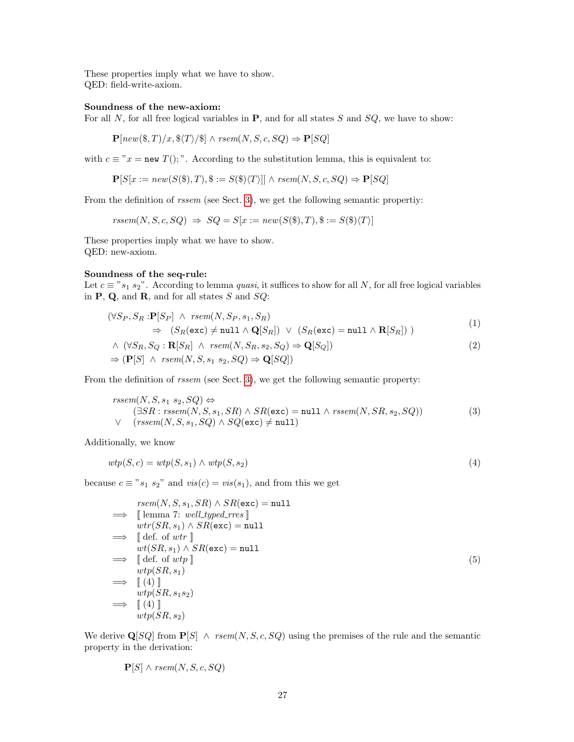These properties imply what we have to show. QED: field-write-axiom.

#### Soundness of the new-axiom:

For all  $N$ , for all free logical variables in  $P$ , and for all states  $S$  and  $SQ$ , we have to show:

$$
\mathbf{P}[new(\$, T)/x, \$\langle T \rangle/\$] \land \text{rsem}(N, S, c, SQ) \Rightarrow \mathbf{P}[SQ]
$$

with  $c \equiv "x = new T($ ;". According to the substitution lemma, this is equivalent to:

$$
\mathbf{P}[S[x := new(S(\$), T), \$ := S(\$)\langle T \rangle]] \land \text{rsem}(N, S, c, SQ) \Rightarrow \mathbf{P}[SQ]
$$

From the definition of rssem (see Sect. [3\)](#page-11-0), we get the following semantic propertiy:

 $rssem(N, S, c, SQ) \Rightarrow SQ = S[x := new(S(\$), T), \$ := S(\$)\langle T \rangle]$ 

These properties imply what we have to show. QED: new-axiom.

#### Soundness of the seq-rule:

Let  $c \equiv$  " $s_1$   $s_2$ ". According to lemma *quasi*, it suffices to show for all N, for all free logical variables in  $P$ ,  $Q$ , and  $R$ , and for all states  $S$  and  $SQ$ :

<span id="page-26-1"></span>
$$
(\forall S_P, S_R : \mathbf{P}[S_P] \land \text{rsem}(N, S_P, s_1, S_R)
$$
  
\n
$$
\Rightarrow (S_R(\text{exc}) \neq \text{null} \land \mathbf{Q}[S_R]) \lor (S_R(\text{exc}) = \text{null} \land \mathbf{R}[S_R]) )
$$
\n(1)

$$
\wedge \ (\forall S_R, S_Q : \mathbf{R}[S_R] \ \wedge \ \text{rsem}(N, S_R, s_2, S_Q) \Rightarrow \mathbf{Q}[S_Q])
$$
\n
$$
\Rightarrow (\mathbf{P}[S] \ \wedge \ \text{rsem}(N, S, s_1 \ s_2, S_Q) \Rightarrow \mathbf{Q}[SQ])
$$
\n
$$
(2)
$$

From the definition of rssem (see Sect. [3\)](#page-11-0), we get the following semantic property:

<span id="page-26-0"></span>
$$
rssem(N, S, s_1 s_2, SQ) \Leftrightarrow
$$
  
\n
$$
(\exists SR : rssem(N, S, s_1, SR) \land SR(exc) = null \land rssem(N, SR, s_2, SQ))
$$
  
\n
$$
\lor \quad (rssem(N, S, s_1, SQ) \land SQ(exc) \neq null)
$$
\n(3)

Additionally, we know

$$
wtp(S, c) = wtp(S, s_1) \land wtp(S, s_2)
$$
\n
$$
(4)
$$

because  $c \equiv "s_1 \ s_2"$  and  $vis(c) = vis(s_1)$ , and from this we get

$$
rsem(N, S, s_1, SR) \land SR(exc) = null
$$
  
\n
$$
\implies \text{ [lemma 7: well-typed\_rres } \text{]}
$$
  
\n
$$
wt(SR, s_1) \land SR(exc) = null
$$
  
\n
$$
\implies \text{ [def. of wtr } \text{]}
$$
  
\n
$$
wt(SR, s_1) \land SR(exc) = null
$$
  
\n
$$
\implies \text{ [def. of wtp } \text{]}
$$
  
\n
$$
wtp(SR, s_1)
$$
  
\n
$$
\implies \text{ [4] } \text{]}
$$
  
\n
$$
wtp(SR, s_1 s_2)
$$
  
\n
$$
\implies \text{ [4] } \text{]}
$$
  
\n
$$
wtp(SR, s_2)
$$

We derive  $\mathbf{Q}[SQ]$  from  $\mathbf{P}[S] \wedge \text{rsem}(N, S, c, SQ)$  using the premises of the rule and the semantic property in the derivation:

$$
\mathbf{P}[S] \wedge \textit{rsem}(N, S, c, SQ)
$$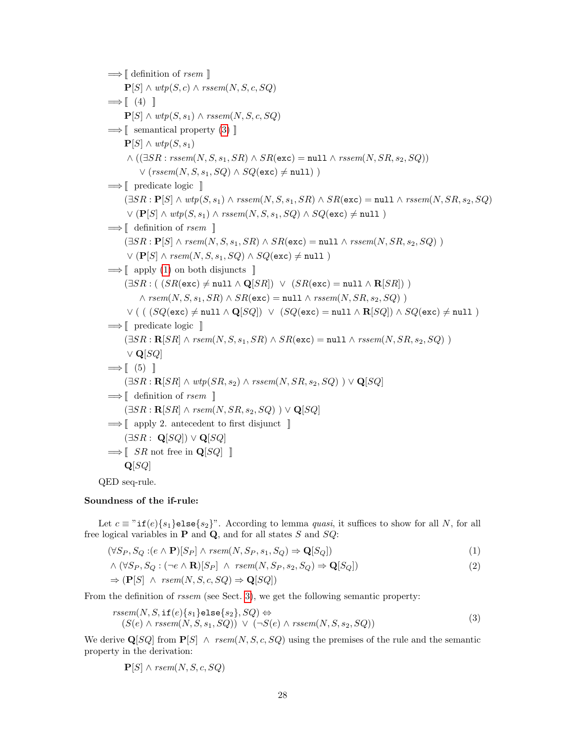$\Longrightarrow$  [ definition of *rsem* ]  $\mathbf{P}[S] \wedge \text{wtp}(S, c) \wedge \text{rssem}(N, S, c, SQ)$  $\Longrightarrow$   $[$  (4)  $]$  $\mathbf{P}[S] \wedge \text{wtp}(S, s_1) \wedge \text{rssem}(N, S, c, SQ)$  $\Longrightarrow$  [[ semantical property [\(3\)](#page-26-0) ]]  $\mathbf{P}[S] \wedge \text{wtp}(S, s_1)$  $\wedge ((\exists SR:rseem(N, S, s_1, SR) \wedge SR(\texttt{exc}) = \texttt{null} \wedge rseem(N, SR, s_2, SQ))$  $\vee$  (rssem(N, S, s<sub>1</sub>, SQ)  $\wedge$  SQ(exc)  $\neq$  null))  $\Longrightarrow$  [ predicate logic ]]  $(\exists SR : \mathbf{P}[S] \land \textit{wtp}(S, s_1) \land \textit{rssem}(N, S, s_1, SR) \land SR(\texttt{exc}) = \texttt{null} \land \textit{rssem}(N, SR, s_2, SQ)$  $\vee$  (P[S]  $\wedge$  wtp(S, s<sub>1</sub>)  $\wedge$  rssem(N, S, s<sub>1</sub>, SQ)  $\wedge$  SQ(exc)  $\neq$  null)  $\implies$  [ definition of *rsem* ]  $(\exists SR : \mathbf{P}[S] \land \textit{rsem}(N, S, s_1, SR) \land SR(\texttt{exc}) = \texttt{null} \land \textit{rseem}(N, SR, s_2, SQ) )$  $\vee$  (P[S]  $\wedge$  rsem(N, S, s<sub>1</sub>, SQ)  $\wedge$  SQ(exc)  $\neq$  null )  $\implies$  [ apply [\(1\)](#page-26-1) on both disjuncts ]  $(\exists SR : ( \ (SR(exc) \neq null \land \mathbf{Q}[SR]) \ \lor \ (SR(exc) = null \land \mathbf{R}[SR]) )$  $\wedge$  rsem $(N, S, s_1, SR) \wedge SR(\text{exc}) = \text{null} \wedge \text{rssem}(N, SR, s_2, SQ)$  $\vee$  ( (  $(SQ(\text{exc}) \neq \text{null} \wedge \mathbf{Q}[SQ]) \vee (SQ(\text{exc}) = \text{null} \wedge \mathbf{R}[SQ]) \wedge SQ(\text{exc}) \neq \text{null}$ )  $\Longrightarrow$  [ predicate logic ]]  $(∃SR : \mathbf{R}[SR] \wedge rsem(N, S, s_1, SR) \wedge SR(exc) = null \wedge rseem(N, SR, s_2, SQ) )$  $\vee$  Q[SQ]  $\Longrightarrow$   $\lceil$  (5)  $\rceil$  $(\exists SR : \mathbf{R}[SR] \wedge \textit{wtp}(SR, s_2) \wedge \textit{rssem}(N, SR, s_2, SQ) ) \vee \mathbf{Q}[SQ]$  $\Longrightarrow$  [ definition of *rsem* ]  $(\exists SR : \mathbf{R}[SR] \land \text{rsem}(N, SR, s_2, SQ) ) \lor \mathbf{Q}[SQ]$  $\implies$  [ apply 2. antecedent to first disjunct ]  $(\exists SR : \mathbf{Q}[SQ]) \vee \mathbf{Q}[SQ]$  $\Longrightarrow$   $\lceil$  SR not free in Q[SQ]  $\lceil$  $Q[SQ]$ 

QED seq-rule.

#### Soundness of the if-rule:

Let  $c \equiv$  "if(e){s<sub>1</sub>}else{s<sub>2</sub>}". According to lemma *quasi*, it suffices to show for all N, for all free logical variables in  $P$  and  $Q$ , and for all states S and  $SQ$ :

$$
(\forall S_P, S_Q : (e \land \mathbf{P})[S_P] \land \text{rsem}(N, S_P, s_1, S_Q) \Rightarrow \mathbf{Q}[S_Q])
$$
\n
$$
(1)
$$

<span id="page-27-1"></span>
$$
\wedge \left(\forall S_P, S_Q : (\neg e \wedge \mathbf{R})[S_P] \wedge \text{rsem}(N, S_P, s_2, S_Q) \Rightarrow \mathbf{Q}[S_Q]\right) \tag{2}
$$

$$
\Rightarrow (\mathbf{P}[S] \ \wedge \ \text{rsem}(N, S, c, SQ) \Rightarrow \mathbf{Q}[SQ])
$$

From the definition of rssem (see Sect. [3\)](#page-11-0), we get the following semantic property:

$$
rssem(N, S, \text{if}(e)\{s_1\} \text{else}\{s_2\}, SQ) \Leftrightarrow (S(e) \land rssem(N, S, s_1, SQ)) \lor (\neg S(e) \land rssem(N, S, s_2, SQ))
$$
\n(3)

We derive  $\mathbf{Q}[SQ]$  from  $\mathbf{P}[S] \wedge \text{rsem}(N, S, c, SQ)$  using the premises of the rule and the semantic property in the derivation:

<span id="page-27-0"></span>
$$
\mathbf{P}[S] \wedge \text{rsem}(N, S, c, SQ)
$$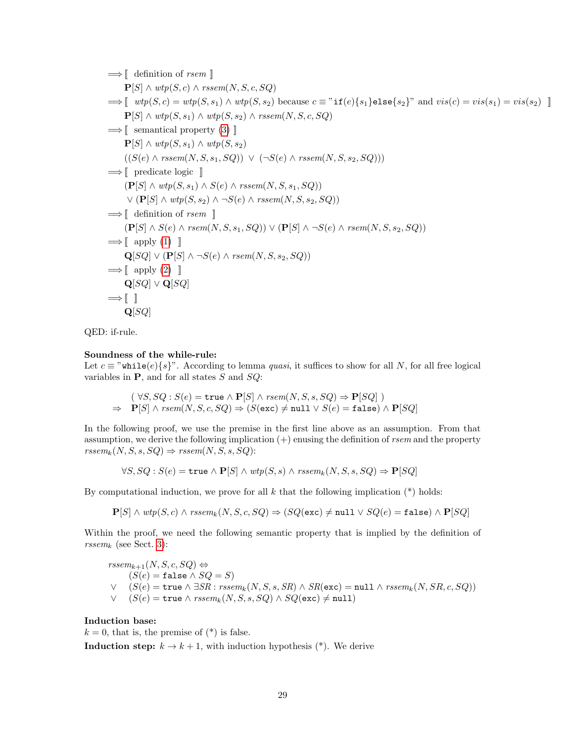$$
⇒[ definition of rsem ]
$$
\n
$$
P[S] ∧ wtp(S, c) ∧ rseem(N, S, c, SQ)
$$
\n
$$
⇒[ wtp(S, c) = wtp(S, s_1) ∧ wtp(S, s_2) because c ≡ "if(e){s_1}else{s_2}" and vis(c) = vis(s_1) = vis(s_2) ]
$$
\n
$$
P[S] ∧ wtp(S, s_1) ∧ wtp(S, s_2) ∧ rseem(N, S, c, SQ)
$$
\n
$$
⇒[ semantically property (3) ]
$$
\n
$$
P[S] ∧ wtp(S, s_1) ∧ wtp(S, s_2)
$$
\n
$$
((S(e) ∧ rseem(N, S, s_1, SQ)) ∨ (¬S(e) ∧ rseem(N, S, s_2, SQ)))
$$
\n
$$
⇒[ predicate logic ]
$$
\n
$$
(P[S] ∧ wtp(S, s_1) ∧ S(e) ∧ rseem(N, S, s_1, SQ)) ∨ (P[S] ∧ wtp(S, s_2) ∧ ¬S(e) ∧ rseem(N, S, s_2, SQ))
$$
\n
$$
⇒[ definition of rsem []
$$
\n
$$
(P[S] ∧ S(e) ∧ rseem(N, S, s_1, SQ)) ∨ (P[S] ∧ ¬S(e) ∧ rseem(N, S, s_2, SQ))
$$
\n
$$
⇒[ apply (1) ]
$$
\n
$$
Q[SQ] ∨ (P[S] ∧ ¬S(e) ∧ rseem(N, S, s_2, SQ))
$$
\n
$$
⇒[ apply (2) ]
$$
\n
$$
Q[SQ] ∨ Q[SQ]
$$
\n
$$
⇒[ ] ]
$$
\n
$$
Q[SQ] ∨ Q[SQ]
$$

QED: if-rule.

### Soundness of the while-rule:

Let  $c \equiv$  "while $(e)$ {s}". According to lemma *quasi*, it suffices to show for all N, for all free logical variables in  $P$ , and for all states  $S$  and  $SQ$ :

 $(\forall S, SQ : S(e) = \text{true} \land \mathbf{P}[S] \land \text{rsem}(N, S, s, SQ) \Rightarrow \mathbf{P}[SQ]$ )  $\Rightarrow$  P[S]  $\land$   $rsem(N, S, c, SQ) \Rightarrow (S(exc) \neq null \lor S(e) = \texttt{false}) \land P[SQ]$ 

In the following proof, we use the premise in the first line above as an assumption. From that assumption, we derive the following implication  $(+)$  enusing the definition of rsem and the property  $rssem_k(N, S, s, SQ) \Rightarrow rssem(N, S, s, SQ):$ 

$$
\forall S, SQ : S(e) = \texttt{true} \land \mathbf{P}[S] \land \text{wtp}(S, s) \land \text{rssem}_k(N, S, s, SQ) \Rightarrow \mathbf{P}[SQ]
$$

By computational induction, we prove for all  $k$  that the following implication  $(*)$  holds:

 $P[S] \wedge \textit{wtp}(S, c) \wedge \textit{rssem}_k(N, S, c, SQ) \Rightarrow (SQ(\texttt{exc}) \neq \texttt{null} \vee SQ(e) = \texttt{false}) \wedge P[SQ]$ 

Within the proof, we need the following semantic property that is implied by the definition of  $rssem_k$  (see Sect. [3\)](#page-11-0):

$$
\begin{array}{ll} \mathit{rssem}_{k+1}(N,S,c,SQ) & \Leftrightarrow \\ (S(e) = \texttt{false} \land SQ = S) \\ \lor & (S(e) = \texttt{true} \land \exists SR : \mathit{rssem}_k(N,S,s,SR) \land SR(\texttt{exc}) = \texttt{null} \land \mathit{rssem}_k(N,SR,c,SQ)) \\ \lor & (S(e) = \texttt{true} \land \mathit{rssem}_k(N,S,s,SQ) \land SQ(\texttt{exc}) \neq \texttt{null}) \end{array}
$$

#### Induction base:

 $k = 0$ , that is, the premise of  $(*)$  is false.

**Induction step:**  $k \to k+1$ , with induction hypothesis (\*). We derive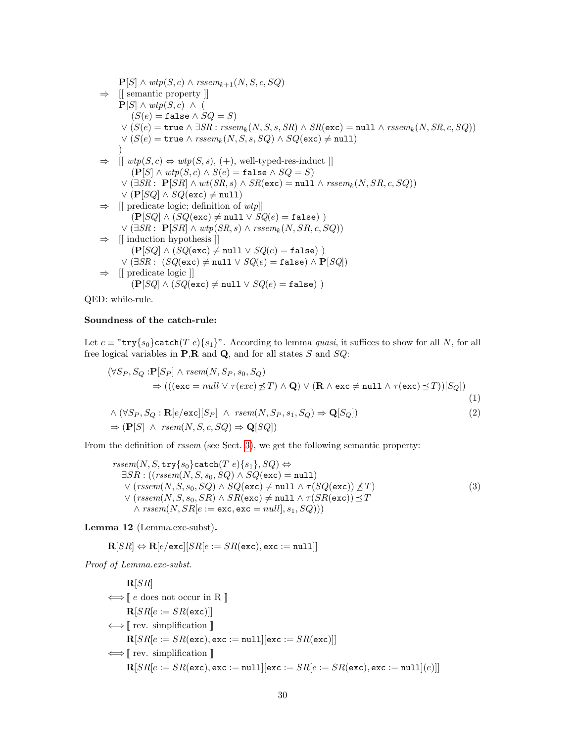$$
P[S] \land \text{wtp}(S, c) \land \text{rssem}_{k+1}(N, S, c, SQ)
$$
\n
$$
\Rightarrow \text{ [[ semantic property ]]}
$$
\n
$$
P[S] \land \text{wtp}(S, c) \land (\text{(S(e) = false } \land SQ = S)
$$
\n
$$
\lor (S(e) = \text{true } \land \exists SR : \text{rssem}_k(N, S, s, SR) \land SR(\text{exc}) = \text{null } \land \text{rssem}_k(N, SR, c, SQ))
$$
\n
$$
\lor (S(e) = \text{true } \land \text{rssem}_k(N, S, s, SQ) \land SQ(\text{exc}) \neq \text{null})
$$
\n
$$
\Rightarrow \text{ [[ } \text{wtp}(S, c) \Leftrightarrow \text{wtp}(S, s), (+), \text{ well-typeed-res-induct } ] ]
$$
\n
$$
(P[S] \land \text{wtp}(S, c) \land S(e) = \text{false } \land SQ = S)
$$
\n
$$
\lor (\exists SR : P[SR] \land \text{wt}(SR, s) \land SR(\text{exc}) = \text{null } \land \text{rssem}_k(N, SR, c, SQ))
$$
\n
$$
\lor (P[SQ] \land SQ(\text{exc}) \neq \text{null})
$$
\n
$$
\Rightarrow \text{ [[ predicate logic; definition of } \text{wtp}] ]
$$
\n
$$
(P[SQ] \land (SQ(\text{exc}) \neq \text{null } \lor SQ(e) = \text{false } ) )
$$
\n
$$
\lor (\exists SR : P[SR] \land \text{wtp}(SR, s) \land \text{rssem}_k(N, SR, c, SQ))
$$
\n
$$
\Rightarrow \text{ [[ induction hypothesis ]]}
$$
\n
$$
(P[SQ] \land (SQ(\text{exc}) \neq \text{null } \lor SQ(e) = \text{false } ) \land P[SQ])
$$
\n
$$
\Rightarrow \text{ [[ predicate logic ]]}
$$
\n
$$
(P[SQ] \land (SQ(\text{exc}) \neq \text{null } \lor SQ(e) = \text{false } ) )
$$

QED: while-rule.

## Soundness of the catch-rule:

Let  $c \equiv$  "try $\{s_0\}$ catch(T e) $\{s_1\}$ ". According to lemma *quasi*, it suffices to show for all N, for all free logical variables in  $P$ ,  $R$  and  $Q$ , and for all states  $S$  and  $SQ$ :

$$
(\forall S_P, S_Q : \mathbf{P}[S_P] \land \text{rsem}(N, S_P, s_0, S_Q) \n\Rightarrow (((\mathbf{exc} = \text{null} \lor \tau(\text{exc}) \not\preceq T) \land \mathbf{Q}) \lor (\mathbf{R} \land \mathbf{exc} \neq \text{null} \land \tau(\mathbf{exc}) \preceq T))[S_Q]) \n\land (\forall S_P, S_Q : \mathbf{R}[e/\mathbf{exc}][S_P] \land \text{rsem}(N, S_P, s_1, S_Q) \Rightarrow \mathbf{Q}[S_Q])
$$
\n
$$
\Rightarrow (\mathbf{P}[S] \land \text{rsem}(N, S, c, SQ) \Rightarrow \mathbf{Q}[SQ])
$$
\n(2)

From the definition of rssem (see Sect. [3\)](#page-11-0), we get the following semantic property:

<span id="page-29-2"></span><span id="page-29-0"></span>
$$
rssem(N, S, \text{try}\{s_0\} \text{catch}(T e)\{s_1\}, SQ) \Leftrightarrow
$$
  
\n
$$
\exists SR : ((rssem(N, S, s_0, SQ) \land SQ(\text{exc}) = \text{null})
$$
  
\n
$$
\lor (rssem(N, S, s_0, SQ) \land SQ(\text{exc}) \neq \text{null} \land \tau(SQ(\text{exc})) \nleq T)
$$
  
\n
$$
\lor (rssem(N, S, s_0, SR) \land SR(\text{exc}) \neq \text{null} \land \tau(SR(\text{exc})) \leq T
$$
  
\n
$$
\land rssem(N, SR[e := \text{exc}, \text{exc} = null], s_1, SQ)))
$$
\n(3)

<span id="page-29-1"></span>Lemma 12 (Lemma.exc-subst).

$$
\mathbf{R}[SR] \Leftrightarrow \mathbf{R}[e/\texttt{exc}][SR[e := SR(\texttt{exc}), \texttt{exc} := \texttt{null}]]
$$

Proof of Lemma.exc-subst.

| $\mathbf{R}[SR]$                                                                                                                  |
|-----------------------------------------------------------------------------------------------------------------------------------|
| ⇒ $[e \text{ does not occur in R }]$                                                                                              |
| $\mathbf{R}[SR[e := SR(\texttt{exc})]]$                                                                                           |
| ⇒ $[$ rev. simplification $]$                                                                                                     |
| $\mathbf{R}[SR[e := SR(\texttt{exc}), \texttt{exc} := null][\texttt{exc} := SR(\texttt{exc})]]$                                   |
| ⇒ $[$ rev. simplification $]$                                                                                                     |
| $\mathbf{R}[SR[e := SR(\texttt{exc}), \texttt{exc} := null][\texttt{exc} := SR[e := SR(\texttt{exc}), \texttt{exc} := null][e)]]$ |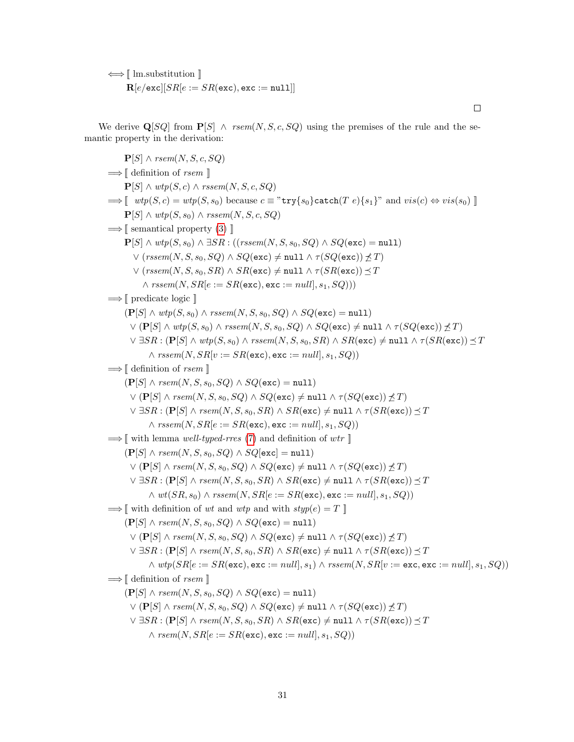⇐⇒ [[ lm.substitution ]]  $\mathbf{R}[e/\texttt{exc}][SR[e := SR(\texttt{exc}), \texttt{exc} := \texttt{null}]]$ 

We derive  $\mathbf{Q}[SQ]$  from  $\mathbf{P}[S] \wedge \text{rsem}(N, S, c, SQ)$  using the premises of the rule and the semantic property in the derivation:

 ${\bf P}[S] \wedge \textit{rsem}(N, S, c, SQ)$  $\Longrightarrow$  [ definition of *rsem* ]  $\mathbf{P}[S] \wedge \textit{wtp}(S, c) \wedge \textit{rssem}(N, S, c, SQ)$  $\Rightarrow$   $\lceil \text{ wtp}(S, c) = \text{wtp}(S, s_0) \text{ because } c \equiv \text{wtr}\{s_0\} \text{ catch}(T, e)\{s_1\} \text{ and } vis(c) \Leftrightarrow vis(s_0) \rceil$  $\mathbf{P}[S] \wedge \text{wtp}(S, s_0) \wedge \text{rssem}(N, S, c, SQ)$  $\implies$  [[ semantical property [\(3\)](#page-29-0) ]]  $P[S] \wedge \text{wtp}(S, s_0) \wedge \exists SR : ((rssem(N, S, s_0, SQ) \wedge SQ(\text{exc}) = \text{null})$  $\vee$  (rssem(N, S, s<sub>0</sub>, SQ)  $\wedge$  SQ(exc)  $\neq$  null  $\wedge$   $\tau(SQ(\texttt{exc})) \not\preceq T$ )  $\vee$  (rssem(N, S, s<sub>0</sub>, SR)  $\wedge$  SR(exc)  $\neq$  null  $\wedge \tau(SR(\texttt{exc})) \preceq T$  $\land$  rssem $(N, SR | e := SR(\texttt{exc}), \texttt{exc} := null |, s_1, SO)$  $\Longrightarrow$  [ predicate logic ]]  $(\mathbf{P}[S] \wedge \text{wtp}(S, s_0) \wedge \text{rseem}(N, S, s_0, SQ) \wedge SQ(\text{exc}) = \text{null})$  $\vee$  (P[S]  $\wedge$  wtp(S, s<sub>0</sub>)  $\wedge$  rssem(N, S, s<sub>0</sub>, SQ)  $\wedge$  SQ(exc)  $\neq$  null  $\wedge$   $\tau(SQ(\text{exc})) \neq T$ )  $\vee \exists SR : (\mathbf{P}[S] \wedge \textit{wtp}(S, s_0) \wedge \textit{rssem}(N, S, s_0, SR) \wedge SR(\texttt{exc}) \neq \texttt{null} \wedge \tau(SR(\texttt{exc})) \preceq T$  $\land$   $rssem(N, SR[v := SR(exc), exc := null, s_1, SQ))$  $\Longrightarrow$  [ definition of *rsem* ]  $(P[S] \wedge \text{rsem}(N, S, s_0, SQ) \wedge SQ(\text{exc}) = \text{null}$  $\vee$  (P[S]  $\wedge$  rsem(N, S, s<sub>0</sub>, SQ)  $\wedge$  SQ(exc)  $\neq$  null  $\wedge$   $\tau(SQ(\text{exc})) \not\preceq T$ )  $\vee \exists SR : (\mathbf{P}[S] \land \textit{rsem}(N, S, s_0, SR) \land SR(\texttt{exc}) \neq \texttt{null} \land \tau(SR(\texttt{exc})) \preceq T$  $\land$  rssem $(N, SR | e := SR(\texttt{exc}), \texttt{exc} := null |, s_1, SQ)$  $\implies$  with lemma well-typed-rres [\(7\)](#page-14-0) and definition of wtr  $\parallel$  $(\mathbf{P}[S] \wedge \text{rsem}(N, S, s_0, SQ) \wedge SQ[\text{exc}] = \text{null}$  $\vee$  (P[S]  $\wedge$  rsem(N, S, s<sub>0</sub>, SQ)  $\wedge$  SQ(exc)  $\neq$  null  $\wedge \tau(SQ(\text{exc})) \not\preceq T$ )  $\vee \exists SR : (\mathbf{P}[S] \land \textit{rsem}(N, S, s_0, SR) \land SR(\texttt{exc}) \neq \texttt{null} \land \tau(SR(\texttt{exc})) \preceq T$  $\wedge wt(SR, s_0) \wedge rssem(N, SR | e := SR(\texttt{exc}), \texttt{exc} := null, s_1, SQ)$  $\implies$  with definition of wt and wtp and with  $styp(e) = T$  $(\mathbf{P}[S] \wedge \text{rsem}(N, S, s_0, SQ) \wedge SQ(\text{exc}) = \text{null})$  $\vee$  (P[S]  $\wedge$  rsem(N, S, s<sub>0</sub>, SQ)  $\wedge$  SQ(exc)  $\neq$  null  $\wedge$   $\tau(SQ(\text{exc})) \not\preceq T$ )  $\vee \exists SR : (\mathbf{P}[S] \land \textit{rsem}(N, S, s_0, SR) \land SR(\texttt{exc}) \neq \texttt{null} \land \tau(SR(\texttt{exc})) \preceq T$  $\land \textit{wtp}(SR[e := SR(\texttt{exc}), \texttt{exc} := \textit{null}, s_1) \land \textit{rssem}(N, SR[v := \texttt{exc}, \texttt{exc} := \textit{null}, s_1, SQ))$  $\Longrightarrow$  [ definition of *rsem* ]  $(P[S] \wedge \textit{rsem}(N, S, s_0, SQ) \wedge SQ(\text{exc}) = \text{null}$  $\vee$  (P[S]  $\wedge$  rsem(N, S, s<sub>0</sub>, SQ)  $\wedge$  SQ(exc)  $\neq$  null  $\wedge$   $\tau(SQ(\texttt{exc})) \not\preceq T$ )  $\vee \exists SR : (\mathbf{P}[S] \land \textit{rsem}(N, S, s_0, SR) \land SR(\texttt{exc}) \neq \texttt{null} \land \tau(SR(\texttt{exc})) \preceq T$  $\wedge$  rsem $(N, SR | e := SR(\texttt{exc}), \texttt{exc} := null |, s_1, SQ)$ 

 $\Box$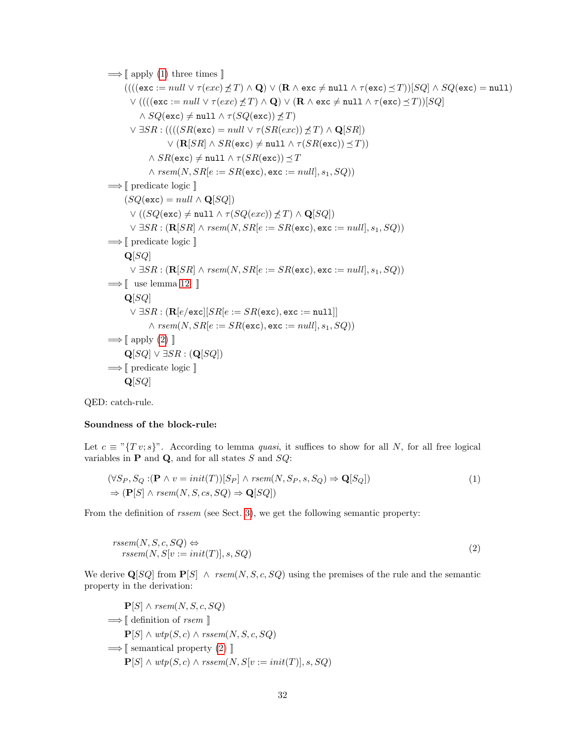$$
\Rightarrow [\text{ apply (1) three times } ]\n((((\text{exc} := null \lor \tau(exc) \not\preceq T) ∧ Q) ∨ (R ∧ \text{exc} \neq null ∧ \tau(\text{exc}) \preceq T))[SQ] ∧ SQ(\text{exc}) = null)\n∨ (((((\text{exc} := null \lor \tau(exc) \not\preceq T) ∧ Q) ∨ (R ∧ \text{exc} \neq null ∧ \tau(\text{exc}) \preceq T))[SQ]\n∧ SQ(\text{exc}) \neq null ∧ \tau(SQ(\text{exc})) \not\preceq T)\n∨ \exists SR : ((((SR(\text{exc}) = null \lor \tau(SR(exc)) \not\preceq T) ∧ Q[SR])\n∨ (R[SR] ∧ SR(\text{exc}) \neq null ∧ \tau(SR(\text{exc})) \preceq T)\n∧ \text{resm}(N, SR[e := SR(\text{exc}), \text{exc} := null, s_1, SQ))\n
$$
\Rightarrow [\text{ predicate logic } ]\n(SQ(\text{exc}) = null ∧ Q[SQ])\n∨ ((SQ(\text{exc}) \neq null ∧ \tau(SQ(exc)) \not\preceq T) ∧ Q[SQ])\n∨ \exists SR : (R[SR] ∧ \text{resm}(N, SR[e := SR(\text{exc}), \text{exc} := null], s_1, SQ))\n
$$
\Rightarrow [\text{ predicate logic } ]\nQ[SQ]\n∨ \exists SR : (R[SR] ∧ \text{resm}(N, SR[e := SR(\text{exc}), \text{exc} := null], s_1, SQ))\n
$$
\Rightarrow [\text{ use lemma 12 } ]\nQ[SQ]\n∨ \exists SR : (R[e/\text{exc} | [SR[e := SR(\text{exc}), \text{exc} := null], s_1, SQ))\n
$$
\Rightarrow [\text{ apply (2)}]\nQ[SQ] ∨ 3SR : (Q[SQ])\n
$$
\Rightarrow [\text{ predicate logic } ]\nQ[SQ]\n
$$
\Rightarrow [\text{ predicate logic } ]\nQ[SQ]\n
$$
\Rightarrow [\text{ predicate logic } ]\nQ[SQ]\n
$$
\Rightarrow [\text{ predicate logic } ]\nQ[SQ]\n
$$
\Rightarrow [\text{ predicate logic } ]\n
$$
$$
$$
$$
$$
$$
$$
$$
$$
$$

QED: catch-rule.

## Soundness of the block-rule:

Let  $c \equiv "T v; s]$ ". According to lemma *quasi*, it suffices to show for all N, for all free logical variables in  $P$  and  $Q$ , and for all states  $S$  and  $SQ$ :

$$
(\forall S_P, S_Q : (\mathbf{P} \land v = init(T))[S_P] \land rsem(N, S_P, s, S_Q) \Rightarrow \mathbf{Q}[S_Q])
$$
  
\n
$$
\Rightarrow (\mathbf{P}[S] \land rsem(N, S, cs, SQ) \Rightarrow \mathbf{Q}[SQ])
$$
\n(1)

From the definition of rssem (see Sect. [3\)](#page-11-0), we get the following semantic property:

<span id="page-31-0"></span>
$$
rseem(N, S, c, SQ) \Leftrightarrowrseem(N, S[v := init(T)], s, SQ)
$$
\n(2)

We derive  $\mathbf{Q}[SQ]$  from  $\mathbf{P}[S] \wedge \text{rsem}(N, S, c, SQ)$  using the premises of the rule and the semantic property in the derivation:

$$
\begin{aligned} \mathbf{P}[S] \land \text{rsem}(N, S, c, SQ) \\ \implies &\parallel \text{definition of } \text{rsem} \parallel \\ \mathbf{P}[S] \land \text{wtp}(S, c) \land \text{rssem}(N, S, c, SQ) \\ \implies &\parallel \text{semantical property (2) } \parallel \\ \mathbf{P}[S] \land \text{wtp}(S, c) \land \text{rssem}(N, S[v := init(T)], s, SQ) \end{aligned}
$$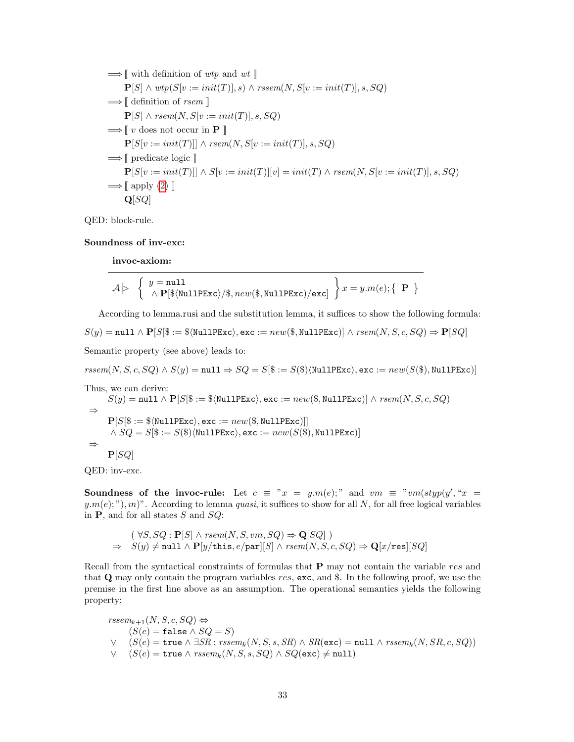$$
\Rightarrow \llbracket \text{ with definition of } \text{wtp} \text{ and } \text{wtl} \rrbracket
$$
\n
$$
\mathbf{P}[S] \land \text{wtp}(S[v := init(T)], s) \land \text{rssem}(N, S[v := init(T)], s, SQ)
$$
\n
$$
\Rightarrow \llbracket \text{ definition of } \text{rsem} \rrbracket
$$
\n
$$
\mathbf{P}[S] \land \text{rsem}(N, S[v := init(T)], s, SQ)
$$
\n
$$
\Rightarrow \llbracket v \text{ does not occur in } \mathbf{P} \rrbracket
$$
\n
$$
\mathbf{P}[S[v := init(T)]] \land \text{rsem}(N, S[v := init(T)], s, SQ)
$$
\n
$$
\Rightarrow \llbracket \text{ predicate logic } \rrbracket
$$
\n
$$
\mathbf{P}[S[v := init(T)]] \land S[v := init(T)][v] = init(T) \land \text{rsem}(N, S[v := init(T)], s, SQ)
$$
\n
$$
\Rightarrow \llbracket \text{ apply } (2) \rrbracket
$$
\n
$$
\mathbf{Q}[SQ]
$$

QED: block-rule.

#### Soundness of inv-exc:

invoc-axiom:

$$
\mathcal{A} \triangleright \left\{ \begin{array}{l} y = \texttt{null} \\ \wedge \ \mathbf{P}[\texttt{\$}\langle \texttt{NullPExc} \rangle/\texttt{\$}, \mathit{new}(\texttt{\$}, \texttt{NullPExc})/\texttt{exc}] \end{array} \right\} x = y.m(e); \left\{ \begin{array}{l} \mathbf{P} \end{array} \right\}
$$

According to lemma.rusi and the substitution lemma, it suffices to show the following formula:

$$
S(y) = \texttt{null} \land \mathbf{P}[S|\$ := \$\langle \texttt{NullPExc} \rangle, \texttt{exc} := \textit{new}(\$,\texttt{NullPExc})] \land \textit{rsem}(N,S,c,SQ) \Rightarrow \mathbf{P}[SQ]
$$

Semantic property (see above) leads to:

 $rssem(N, S, c, SQ) \wedge S(y) = \texttt{null} \Rightarrow SQ = S[\$ := S(\$)\langle \texttt{NullPExc}\rangle, \texttt{exc} := new(S(\$), \texttt{NullPExc})]$ Thus, we can derive:  $S(y) = \texttt{null} \wedge \mathbf{P}[S|\$ := \$\langle \texttt{NullPExc} \rangle, \texttt{exc} := \textit{new}(\$, \texttt{NullPExc})] \wedge \textit{rsem}(N, S, c, SQ)$ ⇒  $P[S|$ := $\langle \texttt{NullPExc} \rangle, \texttt{exc} := new($, \texttt{NullPExc})]$  $\land SQ = S$\mathfrak{F} := S$\mathfrak{N}$\langle\mathtt{NullPExc}\rangle, \mathtt{exc} := new(S$\mathfrak{F}$), \mathtt{NullPExc}\rangle]$ ⇒  $P[SQ]$ 

QED: inv-exc.

Soundness of the invoc-rule: Let  $c \equiv x = y.m(e);$  and  $vm \equiv xvm(styp(y', x =$  $y.m(e);$ ",  $m$ )". According to lemma quasi, it suffices to show for all N, for all free logical variables in  $P$ , and for all states S and  $SQ$ :

$$
(\forall S, SQ : \mathbf{P}[S] \land \text{rsem}(N, S, \text{vm}, SQ) \Rightarrow \mathbf{Q}[SQ] )
$$
  
\n
$$
\Rightarrow S(y) \neq \text{null} \land \mathbf{P}[y/\text{this}, e/\text{par}][S] \land \text{rsem}(N, S, c, SQ) \Rightarrow \mathbf{Q}[x/\text{res}][SQ]
$$

Recall from the syntactical constraints of formulas that **P** may not contain the variable res and that  $Q$  may only contain the program variables res, exc, and \$. In the following proof, we use the premise in the first line above as an assumption. The operational semantics yields the following property:

 $rssem_{k+1}(N, S, c, SQ) \Leftrightarrow$  $(S(e) = \mathtt{false} \wedge SQ = S)$  $\vee$  (S(e) = true  $\wedge \exists SR : \textit{rssem}_k(N, S, s, SR) \wedge SR(\texttt{exc}) = \texttt{null} \wedge \textit{rssem}_k(N, SR, c, SQ)$ )  $∨ (S(e) = true \land rssem_k(N, S, s, SQ) \land SQ(exc) \neq null)$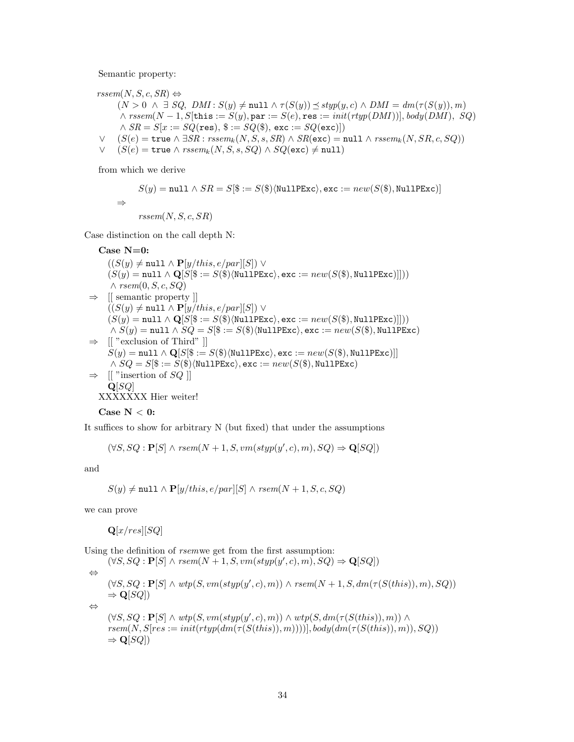Semantic property:

 $r<sub>ssem</sub>(N, S, c, SR) \Leftrightarrow$  $(N > 0 \ \land \ \exists \ SQ, \ DMI : S(y) \neq \text{null} \land \tau(S(y)) \preceq \text{styp}(y, c) \land \text{DMI} = dm(\tau(S(y)), m)$  $\wedge$  rssem $(N-1, S[$ this  $:= S(y),$  par  $:= S(e),$  res  $:= init(rtyp(DMI))$ ,  $body(DMI), SQ)$  $\land SR = S[x := SQ(\text{res}), \$ := SQ(\$), \text{exc} := SQ(\text{exc})$  $\vee$  (S(e) = true  $\wedge \exists SR : \text{rseem}_k(N, S, s, SR) \wedge SR(\text{exc}) = \text{null} \wedge \text{rseem}_k(N, SR, c, SQ)$ )

 $∨$  (S(e) = true  $∧$  rssem<sub>k</sub>(N, S, s, SQ)  $∧$  SQ(exc)  $\neq$  null)

from which we derive

$$
S(y) = \texttt{null} \land SR = S[\$ := S(\$)\langle \texttt{NullPExc}\rangle, \texttt{exc} := new(S(\$), \texttt{NullPExc})]
$$
  

$$
\Rightarrow \quad\quad\textit{rseem}(N, S, c, SR)
$$

Case distinction on the call depth N:

Case  $N=0$ :  $((S(y) \neq \text{null} \land \mathbf{P}[y/this, e/par][S]) \lor$  $(S(y) = null \wedge \mathbf{Q}[S|\$ := S(\$)\langle \texttt{NullPExc}\rangle, \texttt{exc} := new(S(\$), \texttt{NullPExc})])$  $\wedge$  rsem $(0, S, c, SQ)$  $\Rightarrow$  [[ semantic property ]]  $((S(y) \neq \texttt{null} \land \mathbf{P}[y/this, e/par][S]) \lor$  $(S(y) = \texttt{null} \wedge \mathbf{Q}[S(\$ := S(\$)\langle \texttt{NullPExc}\rangle, \texttt{exc} := \textit{new}(S(\$), \texttt{NullPExc})]])$  $\wedge S(y) = \text{null} \wedge SQ = S(\$) := S(\$)\langle \text{NullPExc}\rangle, \text{exc} := new(S(\$), \text{NullPExc})$  $\Rightarrow$  [[ "exclusion of Third" ]]  $S(y) = \text{null} \wedge \mathbf{Q}[S|\$ := S(\$)\langle \text{NullPExc}\rangle, \text{exc} := new(S(\$), \text{NullPExc})]$  $\wedge SQ = S$\$ :=  $S$\$ \NullPExc\, exc :=  $new(S$\)$ , NullPExc\)  $\Rightarrow$  [[ "insertion of SQ]]  $Q[SQ]$ XXXXXXX Hier weiter!

Case N 
$$
< 0
$$
:

It suffices to show for arbitrary N (but fixed) that under the assumptions

$$
(\forall S, SQ : \mathbf{P}[S] \land \text{rsem}(N+1, S, \text{vm}(styp(y', c), m), SQ) \Rightarrow \mathbf{Q}[SQ])
$$

and

$$
S(y) \neq \texttt{null} \land \mathbf{P}[y/this, e/par][S] \land \textit{rsem}(N+1, S, c, SQ)
$$

we can prove

 $\mathbf{Q}[x,res][SQ]$ 

Using the definition of rsemwe get from the first assumption:

 $(\forall S, SQ : \mathbf{P}[S] \land \text{rsem}(N+1, S, \text{vm}(styp(y', c), m), SQ) \Rightarrow \mathbf{Q}[SQ])$ ⇔  $(\forall S, SQ : \mathbf{P}[S] \land \text{wtp}(S, \text{vm}(\text{styp}(y', c), m)) \land \text{rsem}(N+1, S, \text{dm}(\tau(S(this)), m), SQ))$  $\Rightarrow$  Q[SQ])

⇔

```
(\forall S, SQ : \mathbf{P}[S] \land \textit{wtp}(S, \textit{vm}(\textit{styp}(y', c), m)) \land \textit{wtp}(S, \textit{dm}(\tau(S(this)), m)) \landrsem(N, S[res := init(rtyp(dm(\tau(S(this)), m))))], body(dm(\tau(S(this)), m)), SQ))
\Rightarrow Q[SQ])
```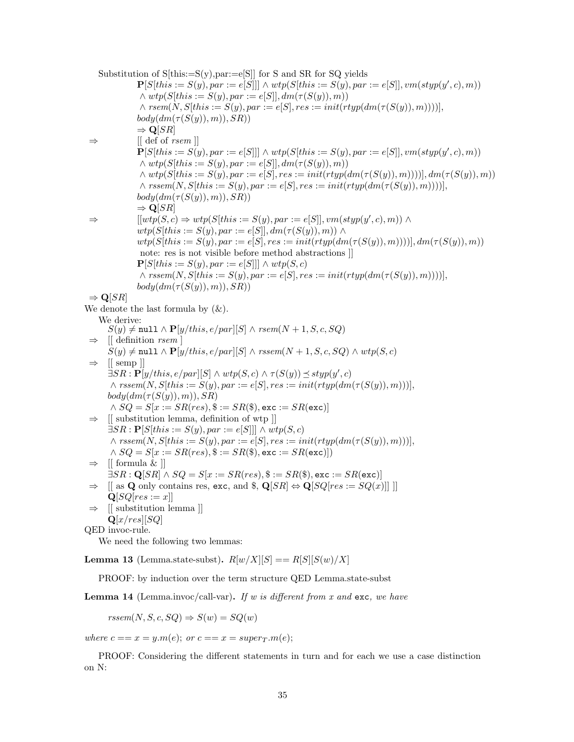Substitution of  $S[this:=S(v),par:=e[S]]$  for S and SR for SQ yields  $\mathbf{P}[S|this := S(y), par := e[S]]] \wedge wtp(S|this := S(y), par := e[S]], vw(styp(y', c), m))$  $\wedge \text{wtp}(S[this := S(y), \text{par} := e[S]], \text{dm}(\tau(S(y)), \text{m}))$  $\land$  rsem $(N, S|this := S(y), par := e[S], res := init(rtyp(dm(\tau(S(y)), m))))],$  $body(dm(\tau(S(y)),m)), SR)$ )  $\Rightarrow$  Q[SR]  $\Rightarrow$  [[ def of *rsem* ]]  $\mathbf{P}[S[this := S(y), par := e[S]]] \wedge wtp(S[this := S(y), par := e[S]], vw(styp(y', c), m))$  $\land \text{wtp}(S[this := S(y), \text{par} := e[S]], \text{dm}(\tau(S(y)), \text{m}))$  $\land \text{wtp}(S[this := S(y), \text{par} := e[S], \text{res} := \text{init}(\text{rtyp}(\text{dm}(\tau(S(y)), m))))], \text{dm}(\tau(S(y)), m))$  $\land$  rssem $(N, S[this := S(y), par := e[S], res := init(rtyp(dm(\tau(S(y)), m))))]$ ,  $body(dm(\tau(S(y)),m)), SR))$  $\Rightarrow$  Q[SR]  $\Rightarrow$   $[[wtp(S, c) \Rightarrow wtp(S[this := S(y), par := e[S]], vw(styp(y', c), m)) \wedge$  $wtp(S[this := S(y), par := e[S]], dm(\tau(S(y)), m)) \wedge$  $wtp(S|this := S(y), par := e[S], res := init(rtyp(dm(\tau(S(y)), m))))$ ,  $dm(\tau(S(y)), m)$ ) note: res is not visible before method abstractions ]]  $\mathbf{P}[S|this := S(y), par := e[S]] \wedge wtp(S, c)$  $\land$  rssem $(N, S[this := S(y), par := e[S], res := init(rtyp(dm(\tau(S(y)), m))))],$  $body(dm(\tau(S(y)),m)), SR)$  $\Rightarrow$  Q[SR] We denote the last formula by  $(\&)$ . We derive:  $S(y) \neq \texttt{null} \land \mathbf{P}[y/this, e/par][S] \land \textit{rsem}(N+1, S, c, SQ)$  $\left[\right]$  definition *rsem*  $\left[\right]$  $S(y) \neq \text{null} \wedge \mathbf{P}[y/this, e/par][S] \wedge \text{rseem}(N+1, S, c, SQ) \wedge \text{wtp}(S, c)$  $\Rightarrow$  [[ semp ]]  $\exists SR : \mathbf{P}[y/this, e/par][S] \wedge wtp(S, c) \wedge \tau(S(y)) \preceq styp(y', c)$  $\land$  rssem $(N, S[this := S(y), par := e[S], res := init(rtyp(dm(\tau(S(y)), m)))]$  $body(dm(\tau(S(y)),m)), SR)$  $\land SQ = S[x := SR(res), \$ := SR(\$),$ exc :=  $SR(exc)]$  $\Rightarrow$  [[ substitution lemma, definition of wtp ]]  $\exists SR : \mathbf{P}[S| this := S(y), par := e[S]] \wedge wtp(S, c)$  $\land$  rssem $(N, S[this := S(y), par := e[S], res := init(rtyp(dm(\tau(S(y)), m)))]$  $\land SQ = S[x := SR(res), \$ := SR(\$),$  exc :=  $SR(exc)]$  $\Rightarrow$  [[ formula & ]]  $\exists SR : \mathbf{Q}[SR] \wedge SQ = S[x := SR(res), \$ := SR(\$), \texttt{exc} := SR(\texttt{exc})]$  $\Rightarrow$  [[ as Q only contains res, exc, and \$, Q[SR]  $\Leftrightarrow$  Q[SQ[res := SQ(x)]]]]  $Q[SO[res := x]]$ ⇒ [[ substitution lemma ]]  $\mathbf{Q}[x,res][SQ]$ QED invoc-rule. We need the following two lemmas: **Lemma 13** (Lemma.state-subst).  $R[w/X][S] == R[S][S(w)/X]$ 

PROOF: by induction over the term structure QED Lemma.state-subst

**Lemma 14** (Lemma.invoc/call-var). If w is different from x and exc, we have

 $r<sub>rs</sub>em(N, S, c, SQ) \Rightarrow S(w) = SQ(w)$ 

where  $c == x = y.m(e);$  or  $c == x = super_T.m(e);$ 

PROOF: Considering the different statements in turn and for each we use a case distinction on N: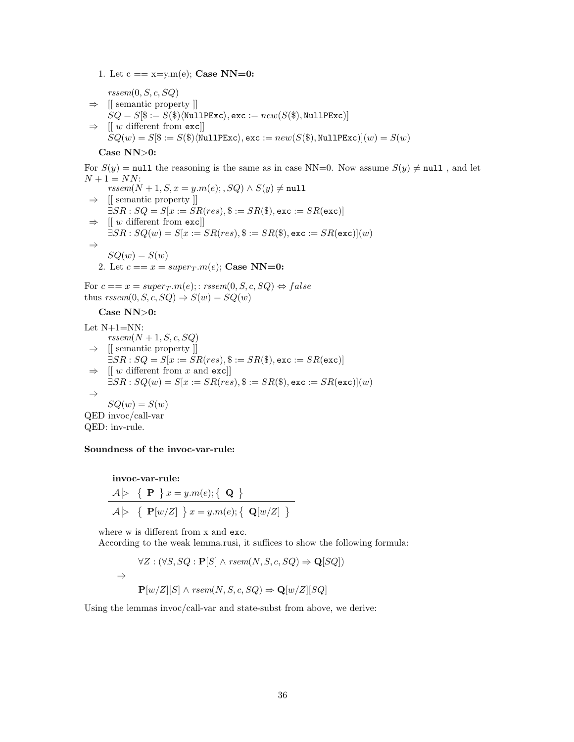1. Let  $c == x = v.m(e)$ ; Case NN=0:

 $r<sub>rsem</sub>(0, S, c, SQ)$  $\Rightarrow$  [[ semantic property ]]  $SQ = S[\$ := S(\$)\langle \texttt{NullPExc}\rangle, \texttt{exc} := new(S(\$), \texttt{NullPExc})]$  $\Rightarrow$  [[ w different from exc]]  $SQ(w) = S(\$) := S(\$)\langle \texttt{NullPExc}\rangle, \texttt{exc} := new(S(\$), \texttt{NullPExc})|(w) = S(w)$ 

#### Case NN>0:

For  $S(y) = \text{null}$  the reasoning is the same as in case NN=0. Now assume  $S(y) \neq \text{null}$ , and let  $N + 1 = NN$ :

 $rssem(N + 1, S, x = y.m(e); SQ) \wedge S(y) \neq \text{null}$  $\Rightarrow$  [[ semantic property ]]  $\exists SR : SQ = S[x := SR(res), \$ := SR(\$),$ exc :=  $SR(exc)$ ]  $\Rightarrow$  [[ w different from exc]]  $\exists SR : SQ(w) = S[x := SR(res), \$ := SR(\$),$ exc :=  $SR(exc)](w)$ ⇒  $SQ(w) = S(w)$ 2. Let  $c == x = super_T.m(e);$  Case NN=0:

For  $c == x = super_T.m(e); rssem(0, S, c, SQ) \Leftrightarrow false$ 

thus  $rssem(0, S, c, SQ) \Rightarrow S(w) = SQ(w)$ 

Case NN>0: Let N+1=NN:  $r<sub>rs</sub>em(N + 1, S, c, SQ)$  $\Rightarrow$  [[ semantic property ]]  $\exists SR : SQ = S[x := SR(res), \$ := SR(\$),$ exc :=  $SR(exc)]$  $\Rightarrow$  [[ w different from x and exc]]  $\exists SR : SQ(w) = S[x := SR(res), \$ := SR(\$),$ exc :=  $SR(exc)|(w)$ ⇒  $SQ(w) = S(w)$ QED invoc/call-var

## Soundness of the invoc-var-rule:

QED: inv-rule.

$$
\text{invoc-var-rule:}\n\mathcal{A} \triangleright \{ \mathbf{P} \} x = y.m(e); \{ \mathbf{Q} \}
$$
\n
$$
\mathcal{A} \triangleright \{ \mathbf{P}[w/Z] \} x = y.m(e); \{ \mathbf{Q}[w/Z] \}
$$

where w is different from x and exc.

According to the weak lemma.rusi, it suffices to show the following formula:

$$
\forall Z : (\forall S, SQ : \mathbf{P}[S] \land \text{rsem}(N, S, c, SQ) \Rightarrow \mathbf{Q}[SQ])
$$
  

$$
\Rightarrow \mathbf{P}[w/Z][S] \land \text{rsem}(N, S, c, SQ) \Rightarrow \mathbf{Q}[w/Z][SQ]
$$

Using the lemmas invoc/call-var and state-subst from above, we derive: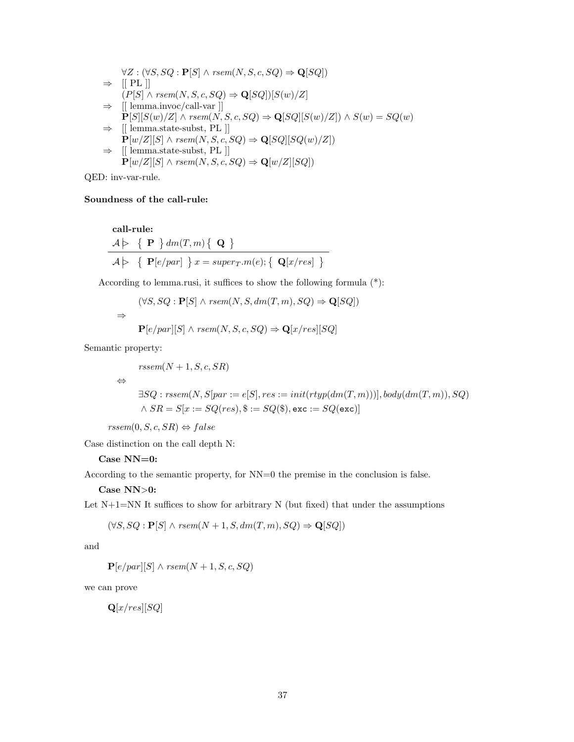$$
\forall Z : (\forall S, SQ : \mathbf{P}[S] \land rsem(N, S, c, SQ) \Rightarrow \mathbf{Q}[SQ])
$$
\n
$$
\Rightarrow [[PL]]
$$
\n
$$
(P[S] \land rsem(N, S, c, SQ) \Rightarrow \mathbf{Q}[SQ])[S(w)/Z]
$$
\n
$$
\Rightarrow [[\text{lemma.invoc/call-var}]]
$$
\n
$$
\mathbf{P}[S][S(w)/Z] \land rsem(N, S, c, SQ) \Rightarrow \mathbf{Q}[SQ][S(w)/Z]) \land S(w) = SQ(w)
$$
\n
$$
\Rightarrow [[\text{lemma.state-subst, PL}]]
$$
\n
$$
\mathbf{P}[w/Z][S] \land rsem(N, S, c, SQ) \Rightarrow \mathbf{Q}[SQ][SQ(w)/Z])
$$
\n
$$
\Rightarrow [[\text{lemma.state-subst, PL}]]
$$
\n
$$
\mathbf{P}[w/Z][S] \land rsem(N, S, c, SQ) \Rightarrow \mathbf{Q}[w/Z][SQ])
$$

QED: inv-var-rule.

## Soundness of the call-rule:

$$
\begin{array}{l}\n\textbf{call-rule:} \\
\mathcal{A} \triangleright \{ \mathbf{P} \} \, dm(T, m) \{ \mathbf{Q} \} \\
\hline\n\mathcal{A} \triangleright \{ \mathbf{P}[e/par] \} \, x = super_T.m(e); \{ \mathbf{Q}[x/res] \} \n\end{array}
$$

According to lemma.rusi, it suffices to show the following formula (\*):

$$
(\forall S, SQ : \mathbf{P}[S] \land rsem(N, S, dm(T, m), SQ) \Rightarrow \mathbf{Q}[SQ])
$$
  

$$
\Rightarrow \mathbf{P}[e/par][S] \land rsem(N, S, c, SQ) \Rightarrow \mathbf{Q}[x/res][SQ]
$$

Semantic property:

 $r<sub>rs</sub>em(N + 1, S, c, SR)$ 

⇔

$$
\exists SQ: rssem(N, S|par := e[S], res := init(rtyp(dm(T, m)))], body(dm(T, m)), SQ) \land SR = S[x := SQ(res), $ := SQ($), exc := SQ(exc)]
$$

 $rssem(0, S, c, SR) \Leftrightarrow false$ 

Case distinction on the call depth N:

## Case NN=0:

According to the semantic property, for NN=0 the premise in the conclusion is false.

## $\bf Case~NN\rm {\small >}0:$

Let  $N+1=NN$  It suffices to show for arbitrary N (but fixed) that under the assumptions

$$
(\forall S, SQ : \mathbf{P}[S] \land \text{rsem}(N+1, S, dm(T, m), SQ) \Rightarrow \mathbf{Q}[SQ])
$$

and

 $\mathbf{P}[e/par][S] \wedge \text{rsem}(N+1, S, c, SQ)$ 

we can prove

$$
{\bf Q}[x,res][SQ]
$$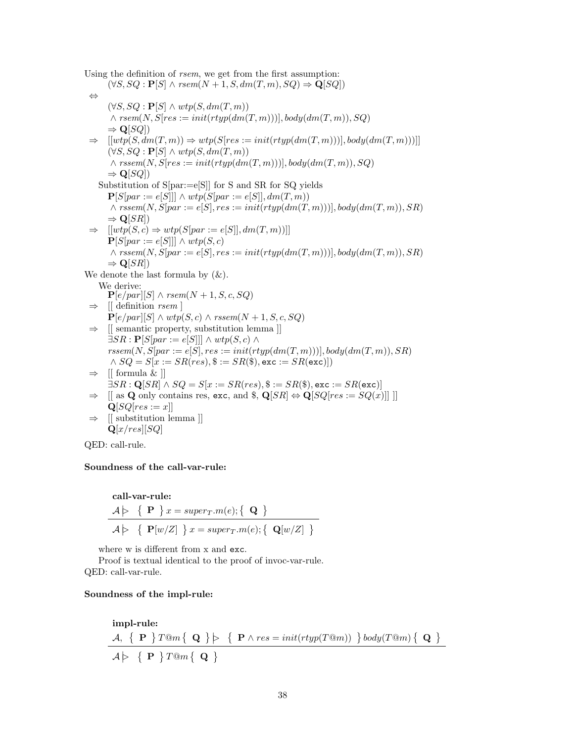Using the definition of rsem, we get from the first assumption:  $(\forall S, SQ : \mathbf{P}[S] \land \text{rsem}(N+1, S, dm(T, m), SQ) \Rightarrow \mathbf{Q}[SQ])$ ⇔  $(\forall S, SQ : \mathbf{P}[S] \wedge wtp(S, dm(T, m))$  $\land$  rsem(N, S[res := init(rtyp(dm(T, m)))], body(dm(T, m)), SQ)  $\Rightarrow$  Q[SQ])  $\Rightarrow$   $[[wtp(S, dm(T, m))] \Rightarrow wtp(S[res := init(rtyp(dm(T, m)))], body(dm(T, m))]]$  $(\forall S, SQ : \mathbf{P}[S] \wedge wtp(S, dm(T, m))$  $\land$  rssem(N, S[res := init(rtyp(dm(T, m)))], body(dm(T, m)), SQ)  $\Rightarrow$  Q[SQ]) Substitution of S[par:=e[S]] for S and SR for SQ yields  $\mathbf{P}[S|par := e[S]]] \wedge wtp(S|par := e[S]], dm(T, m))$  $\land$  rssem(N, S[par := e[S], res := init(rtyp(dm(T, m)))], body(dm(T, m)), SR)  $\Rightarrow$  Q[SR])  $\Rightarrow$   $[[wtp(S, c) \Rightarrow wtp(S|par := e[S]], dm(T, m))]]$  $\mathbf{P}[S|par := e[S]]] \wedge wtp(S, c)$  $\land$  rssem(N, S[par := e[S], res := init(rtyp(dm(T, m)))], body(dm(T, m)), SR)  $\Rightarrow$  Q[SR]) We denote the last formula by  $(\&)$ . We derive:  $\mathbf{P}[e/par][S] \wedge \text{rsem}(N+1, S, c, SQ)$  $\Rightarrow$  [[ definition *rsem* ]  $\mathbf{P}[e/par][S] \wedge wtp(S, c) \wedge rssem(N+1, S, c, SQ)$ ⇒ [[ semantic property, substitution lemma ]]  $\exists SR : \mathbf{P}[S|par := e[S]]] \wedge wtp(S, c) \wedge$  $rssem(N, S|par := e|S|, res := init(rtyp(dm(T, m)))$ , body $(dm(T, m)), SR)$  $\land SQ = S[x := SR(res), \$ := SR(\$),$  exc :=  $SR(exc)]$  $\Rightarrow$  [[ formula & ]]  $\exists SR : \mathbf{Q}[SR] \wedge SQ = S[x := SR(res), \$ := SR(\$),$ exc :=  $SR(\text{exc})$ ]  $\Rightarrow$  [[ as Q only contains res, exc, and \$, Q[SR]  $\Leftrightarrow$  Q[SQ[res := SQ(x)]]]]  $\mathbf{Q}[SQ[res := x]]$  $\Rightarrow$  [[ substitution lemma ]]  $\mathbf{Q}[x,res][SQ]$ 

QED: call-rule.

## Soundness of the call-var-rule:

$$
\begin{aligned}\n\textbf{call-var-rule:} \\
\begin{aligned}\n& A \triangleright \{ \mathbf{P} \} x = super_T.m(e); \{ \mathbf{Q} \} \\
& A \triangleright \{ \mathbf{P}[w/Z] \} x = super_T.m(e); \{ \mathbf{Q}[w/Z] \}\n\end{aligned}\n\end{aligned}
$$

where w is different from x and exc.

Proof is textual identical to the proof of invoc-var-rule. QED: call-var-rule.

#### Soundness of the impl-rule:

impl-rule: A, P T@m Q B P ∧ res = init(rtyp(T@m)) body(T@m) Q A B P T@m Q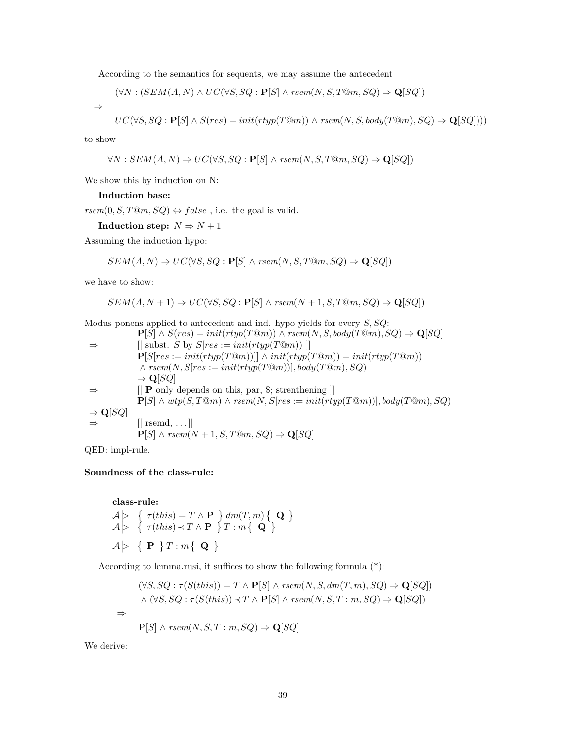According to the semantics for sequents, we may assume the antecedent

$$
(\forall N : (SEM(A, N) \land UC(\forall S, SQ : \mathbf{P}[S] \land \text{rsem}(N, S, T@m, SQ) \Rightarrow \mathbf{Q}[SQ])
$$

$$
UC(\forall S, SQ : \mathbf{P}[S] \land S(res) = init(rtyp(T@m)) \land rsem(N, S, body(T@m), SQ) \Rightarrow \mathbf{Q}[SQ]))
$$

to show

⇒

$$
\forall N: SEM(A, N) \Rightarrow UC(\forall S, SQ : \mathbf{P}[S] \land \text{rsem}(N, S, T \textcircled{m}, SQ) \Rightarrow \mathbf{Q}[SQ])
$$

We show this by induction on N:

#### Induction base:

 $\mathit{rsem}(0, S, T@m, SQ) \Leftrightarrow \mathit{false}$  , i.e. the goal is valid.

## Induction step:  $N \Rightarrow N+1$

Assuming the induction hypo:

$$
SEM(A, N) \Rightarrow UC(\forall S, SQ : \mathbf{P}[S] \land \text{rsem}(N, S, T \mathbb{Q}m, SQ) \Rightarrow \mathbf{Q}[SQ])
$$

we have to show:

$$
SEM(A, N+1) \Rightarrow UC(\forall S, SQ : \mathbf{P}[S] \land \text{rsem}(N+1, S, T@m, SQ) \Rightarrow \mathbf{Q}[SQ])
$$

Modus ponens applied to antecedent and ind. hypo yields for every  $S, SQ$ :

\n- \n
$$
P[S] \land S(res) = init(rtyp(T@m)) \land rsem(N, S, body(T@m), SQ) \Rightarrow Q[SQ]
$$
\n
\n- \n $\Rightarrow$ \n
	\n- [ [subset S] or S [res := init(rtyp(T@m)) ]]
	\n- [S [res := init(rtyp(T@m))]] ∨ init(rtyp(T@m)) = init(rtyp(T@m))
	\n- [S [res := init(rtyp(T@m))], body(T@m), SQ)
	\n- \n $\Rightarrow Q[SQ]$ \n
	\n- \n $\Rightarrow$ \n
		\n- [ [ P only depends on this, par, \$; s: l = init(rtyp(T@m))], body(T@m), SQ)
		\n- \n $\Rightarrow Q[SQ]$ \n
		\n- \n $\Rightarrow$ \n
			\n- [ [ F] ∩ *wtp(S, T@m) ∧ rsem(N, S[res := init(rtyp(T@m))], body(T@m), SQ)*
			\n- \n $\Rightarrow Q[SQ]$ \n
			\n- [ [ resmd, ... ]]
			\n- \n $P[S] ∩ rsem(N + 1, S, T@m, SQ) \Rightarrow Q[SQ]$ \n
			\n\n
		\n

QED: impl-rule.

#### Soundness of the class-rule:

class-rule:  
\n
$$
\begin{array}{c}\nA \triangleright \{ \tau(this) = T \land \mathbf{P} \} dm(T, m) \{ \mathbf{Q} \} \\
A \triangleright \{ \tau(this) \prec T \land \mathbf{P} \} T : m \{ \mathbf{Q} \} \\
\hline\nA \triangleright \{ \mathbf{P} \} T : m \{ \mathbf{Q} \}\n\end{array}
$$

According to lemma.rusi, it suffices to show the following formula (\*):

$$
(\forall S, SQ : \tau(S(this)) = T \land \mathbf{P}[S] \land rsem(N, S, dm(T, m), SQ) \Rightarrow \mathbf{Q}[SQ])
$$
  
 
$$
\land (\forall S, SQ : \tau(S(this)) \prec T \land \mathbf{P}[S] \land rsem(N, S, T : m, SQ) \Rightarrow \mathbf{Q}[SQ])
$$
  

$$
\Rightarrow \mathbf{P}[S] \land rsem(N, S, T : m, SQ) \Rightarrow \mathbf{Q}[SQ]
$$

We derive: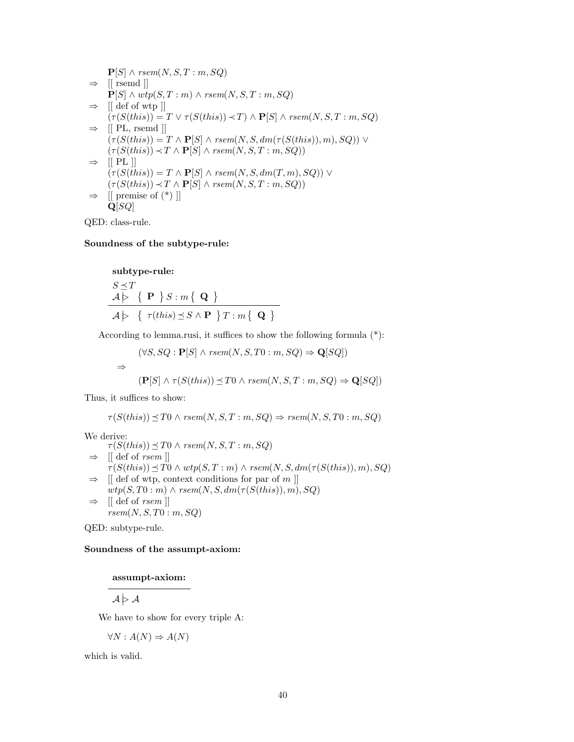$$
P[S] ∧ rsem(N, S, T : m, SQ)\n⇒ [[rsemd]]\nP[S] ∧ wtp(S, T : m) ∧ rsem(N, S, T : m, SQ)\n⇒ [[def of wtp]]\n(τ(S(this)) = T ∨ τ(S(this)) ≺ T) ∧ P[S] ∧ rsem(N, S, T : m, SQ)\n⇒ [[PL, rsemd]]\n(τ(S(this)) = T ∧ P[S] ∧ rsem(N, S, dm(τ(S(this)), m), SQ)) ∨\n{τ(S(this)) ≺ T ∧ P[S] ∧ rsem(N, S, T : m, SQ)\n⇒ [[PL]]\n(τ(S(this)) = T ∧ P[S] ∧ rsem(N, S, dm(T, m), SQ)) ∨\n{τ(S(this)) ≺ T ∧ P[S] ∧ rsem(N, S, T : m, SQ)\n⇒ [[premise of (*)]]\nQ[SQ]
$$

QED: class-rule.

### Soundness of the subtype-rule:

subtype-rule:  $S \preceq T$  $\begin{array}{c|c} \mathcal{A} & \rightarrow \end{array} \left\{ \begin{array}{c} \mathbf{P} \end{array} \right\} S: m\left\{ \begin{array}{c} \mathbf{Q} \end{array} \right\}$  $\mathcal{A} \geq \left\{ \tau(this) \preceq S \wedge \mathbf{P} \right\} T : m \left\{ \right. \mathbf{Q} \left. \right\}$ 

According to lemma.rusi, it suffices to show the following formula (\*):

$$
(\forall S, SQ : \mathbf{P}[S] \land \text{rsem}(N, S, T0 : m, SQ) \Rightarrow \mathbf{Q}[SQ])
$$
  

$$
\Rightarrow \qquad (\mathbf{P}[S] \land \tau(S(this)) \preceq T0 \land \text{rsem}(N, S, T : m, SQ) \Rightarrow \mathbf{Q}[SQ])
$$

Thus, it suffices to show:

$$
\tau(S(this)) \leq T0 \land \text{rsem}(N, S, T : m, SQ) \Rightarrow \text{rsem}(N, S, T0 : m, SQ)
$$

We derive:  $\tau(S(this)) \preceq T0 \wedge \text{rsem}(N, S, T : m, SQ)$  $\Rightarrow$  [[ def of *rsem* ]]  $\tau(S(this)) \preceq T0 \wedge wtp(S, T:m) \wedge rsem(N, S, dm(\tau(S(this)), m), SQ)$  $\Rightarrow$  [[ def of wtp, context conditions for par of m ]]  $wtp(S, T0 : m) \wedge rsem(N, S, dm(\tau(S(this)), m), SQ)$  $\Rightarrow$  [[ def of *rsem* ]]  $rsem(N, S, T0: m, SQ)$ 

QED: subtype-rule.

#### Soundness of the assumpt-axiom:

assumpt-axiom:

 $\mathcal{A} \triangleright \mathcal{A}$ 

We have to show for every triple A:

$$
\forall N : A(N) \Rightarrow A(N)
$$

which is valid.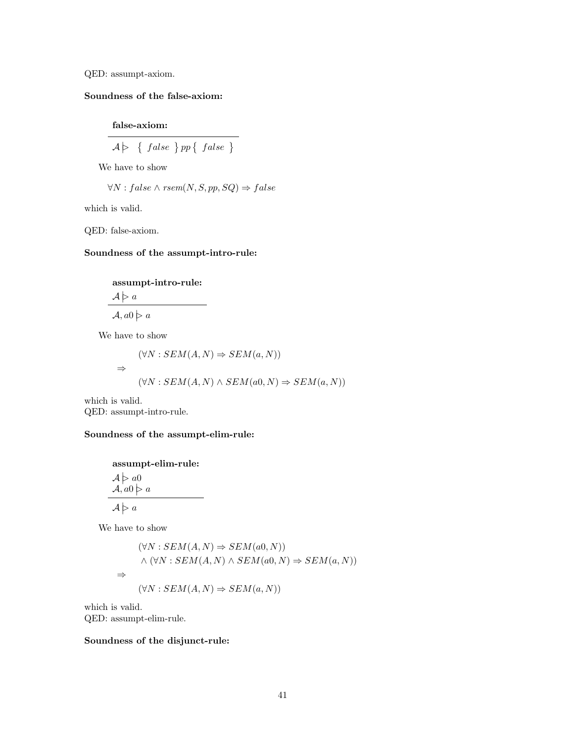QED: assumpt-axiom.

## Soundness of the false-axiom:

false-axiom:

$$
\mathcal{A}\big\}\ \ \left\{\ \textit{false}\ \right\} pp\left\{\ \textit{false}\ \right\}
$$

We have to show

$$
\forall N : false \land \textit{rsem}(N, S, pp, SQ) \Rightarrow false
$$

which is valid.

QED: false-axiom.

## Soundness of the assumpt-intro-rule:

## assumpt-intro-rule:

 $A \geq a$ 

 $\mathcal{A}, a0 \geqslant a$ 

We have to show

$$
(\forall N : SEM(A, N) \Rightarrow SEM(a, N))
$$
  

$$
\Rightarrow
$$
  

$$
(\forall N : SEM(A, N) \land SEM(a0, N) \Rightarrow SEM(a, N))
$$

which is valid. QED: assumpt-intro-rule.

## Soundness of the assumpt-elim-rule:

assumpt-elim-rule:  $\mathcal{A} \geq a0$  $\mathcal{A}, a_0 \triangleright a$ 

 $\mathcal{A} \geq a$ 

We have to show

$$
(\forall N : SEM(A, N) \Rightarrow SEM(a0, N))
$$
  

$$
\land (\forall N : SEM(A, N) \land SEM(a0, N) \Rightarrow SEM(a, N))
$$
  

$$
\Rightarrow
$$
  

$$
(\forall N : SEM(A, N) \Rightarrow SEM(a, N))
$$

which is valid. QED: assumpt-elim-rule.

## Soundness of the disjunct-rule: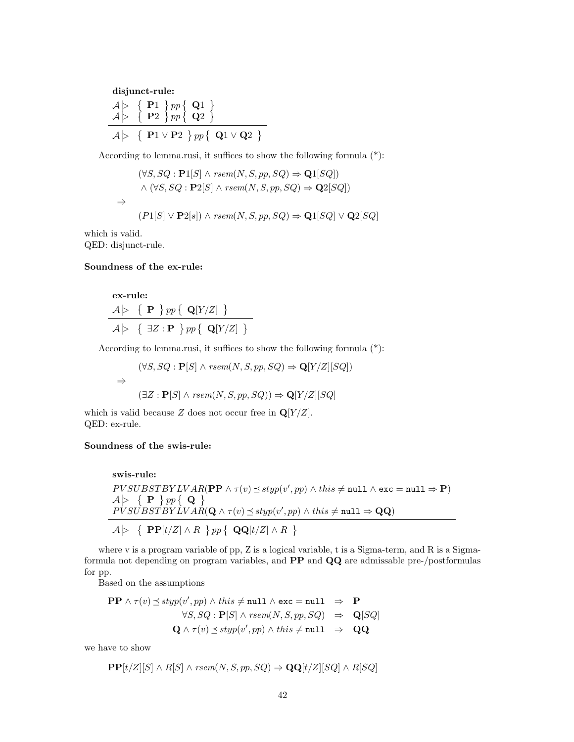disjunct-rule:  $\begin{array}{c} A \rightarrow \{P1\} \text{ pp} \{Q1\} \end{array}$  $\mathcal{A} \rightarrow \{ \ \mathbf{P}2 \ \}pp \{ \ \mathbf{Q}2 \ \}$  $\mathcal{A} \geq \{ \ \mathbf{P}1 \vee \mathbf{P}2 \ \} pp \{ \ \mathbf{Q}1 \vee \mathbf{Q}2 \ \}$ 

According to lemma.rusi, it suffices to show the following formula (\*):

$$
(\forall S, SQ : \mathbf{P1}[S] \land \text{rsem}(N, S, pp, SQ) \Rightarrow \mathbf{Q1}[SQ])
$$
  
 
$$
\land (\forall S, SQ : \mathbf{P2}[S] \land \text{rsem}(N, S, pp, SQ) \Rightarrow \mathbf{Q2}[SQ])
$$
  

$$
\Rightarrow (P1[S] \lor \mathbf{P2}[s]) \land \text{rsem}(N, S, pp, SQ) \Rightarrow \mathbf{Q1}[SQ] \lor \mathbf{Q2}[SQ]
$$

which is valid. QED: disjunct-rule.

#### Soundness of the ex-rule:

**ex-rule:**  
\n
$$
A \rightharpoonup \{ \mathbf{P} \} pp \{ \mathbf{Q}[Y/Z] \}
$$
  
\n $A \rightharpoonup \{ \exists Z : \mathbf{P} \} pp \{ \mathbf{Q}[Y/Z] \}$ 

According to lemma.rusi, it suffices to show the following formula (\*):

$$
(\forall S, SQ : \mathbf{P}[S] \land \text{rsem}(N, S, pp, SQ) \Rightarrow \mathbf{Q}[Y/Z][SQ])
$$
  

$$
\Rightarrow
$$
  

$$
(\exists Z : \mathbf{P}[S] \land \text{rsem}(N, S, pp, SQ)) \Rightarrow \mathbf{Q}[Y/Z][SQ]
$$

which is valid because Z does not occur free in  $\mathbf{Q}[Y/Z]$ . QED: ex-rule.

## Soundness of the swis-rule:

$$
\begin{array}{ll}\n\textbf{swis-rule:} \\
PVSUBSTBYLVAR(\textbf{PP} \land \tau(v) \leq \text{styp}(v', pp) \land \text{this} \neq \texttt{null} \land \texttt{exc} = \texttt{null} \Rightarrow \textbf{P}) \\
A \triangleright \{ \textbf{P} \} pp \{ \textbf{Q} \} \\
PVSUBSTBYLVAR(\textbf{Q} \land \tau(v) \leq \text{styp}(v', pp) \land \text{this} \neq \texttt{null} \Rightarrow \textbf{QQ}) \\
\hline\nA \triangleright \{ \textbf{PP}[t/Z] \land R \} pp \{ \textbf{QQ}[t/Z] \land R \} \\
\end{array}
$$

where v is a program variable of pp, Z is a logical variable, t is a Sigma-term, and R is a Sigmaformula not depending on program variables, and PP and QQ are admissable pre-/postformulas for pp.

Based on the assumptions

$$
\mathbf{PP} \land \tau(v) \preceq \text{styp}(v', pp) \land \text{this} \neq \texttt{null} \land \texttt{exc} = \texttt{null} \Rightarrow \mathbf{P}
$$
  
\n
$$
\forall S, SQ : \mathbf{P}[S] \land \text{rsem}(N, S, pp, SQ) \Rightarrow \mathbf{Q}[SQ]
$$
  
\n
$$
\mathbf{Q} \land \tau(v) \preceq \text{styp}(v', pp) \land \text{this} \neq \texttt{null} \Rightarrow \mathbf{QQ}
$$

we have to show

$$
\mathbf{PP}[t/Z][S] \wedge R[S] \wedge \text{rsem}(N, S, pp, SQ) \Rightarrow \mathbf{QQ}[t/Z][SQ] \wedge R[SQ]
$$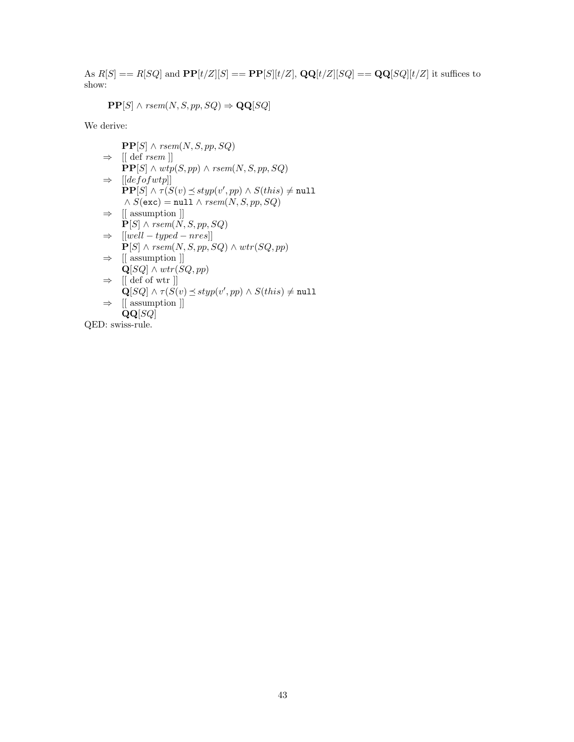As  $R[S] == R[SQ]$  and  $\mathbf{PP}[t/Z][S] == \mathbf{PP}[S][t/Z], \mathbf{QQ}[t/Z][SQ] == \mathbf{QQ}[SQ][t/Z]$  it suffices to show:

$$
\mathbf{PP}[S] \land \text{rsem}(N, S, pp, SQ) \Rightarrow \mathbf{QQ}[SQ]
$$

We derive:

$$
\begin{aligned}\n&\mathbf{PP}[S] \land \text{rsem}(N, S, pp, SQ) \\
&\Rightarrow \text{ [[ def rsem]]} \\
&\mathbf{PP}[S] \land \text{wtp}(S, pp) \land \text{rsem}(N, S, pp, SQ) \\
&\Rightarrow \text{ [[defofwtp]]} \\
&\mathbf{PP}[S] \land \tau(S(v) \leq \text{styp}(v', pp) \land S(this) \neq \texttt{null} \\
&\land S(\texttt{exc}) = \texttt{null} \land \text{rsem}(N, S, pp, SQ) \\
&\Rightarrow \text{ [[ assumption ]} \\
&\mathbf{P}[S] \land \text{rsem}(N, S, pp, SQ) \\
&\Rightarrow \text{ [[well - typed - nres]]} \\
&\mathbf{P}[S] \land \text{rsem}(N, S, pp, SQ) \land \text{wtr}(SQ, pp) \\
&\Rightarrow \text{ [[ assumption ]]} \\
&\mathbf{Q}[SQ] \land \text{wtr}(SQ, pp) \\
&\Rightarrow \text{ [[ def of wtr ]]} \\
&\mathbf{Q}[SQ] \land \tau(S(v) \leq \text{styp}(v', pp) \land S(this) \neq \texttt{null} \\
&\mathbf{QQ}[SQ] \\
&\text{aligned ]} \n\end{aligned}
$$

QED: swiss-rule.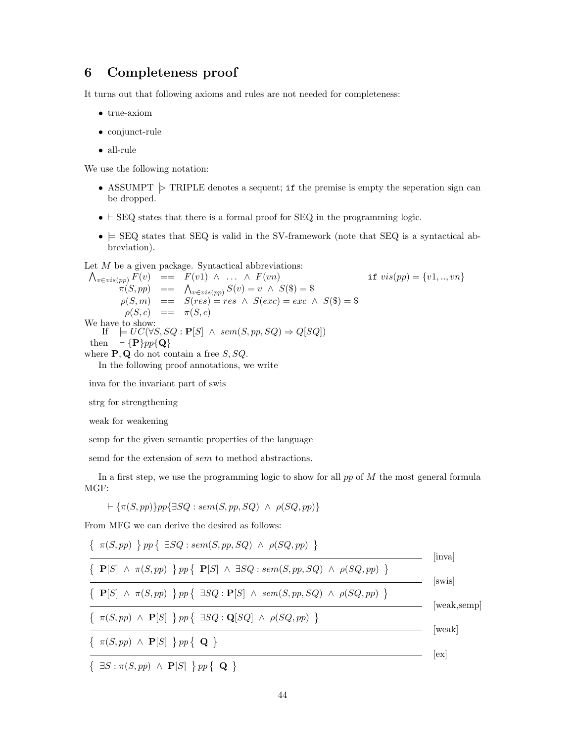## <span id="page-43-0"></span>6 Completeness proof

It turns out that following axioms and rules are not needed for completeness:

- true-axiom
- conjunct-rule
- all-rule

We use the following notation:

- ASSUMPT  $\triangleright$  TRIPLE denotes a sequent; if the premise is empty the seperation sign can be dropped.
- $\bullet$   $\vdash$  SEQ states that there is a formal proof for SEQ in the programming logic.
- $\bullet \models \text{SEQ}$  states that SEQ is valid in the SV-framework (note that SEQ is a syntactical abbreviation).

Let M be a given package. Syntactical abbreviations:

$$
\begin{array}{rcl}\n\Lambda_{v \in vis(pp)} F(v) & = & F(v1) \land \dots \land F(vn) & \text{if } vis(pp) = \{v1, \dots, vn\} \\
\pi(S, pp) & = & \Lambda_{v \in vis(pp)} S(v) = v \land S(\$) = \$ \\
\rho(S, m) & = & S(res) = res \land S(exc) = exc \land S(\$) = \$ \\
\rho(S, c) & = & \pi(S, c)\n\end{array}
$$
\nWe have to show:

\nIf  $\models UC(\forall S, SQ : \mathbf{P}[S] \land sem(S, pp, SQ) \Rightarrow Q[SQ])$ 

\nthen  $\vdash \{ \mathbf{P} \} pp\{ \mathbf{Q} \}$ 

\nwhere  $\mathbf{P}, \mathbf{Q}$  do not contain a free  $S, SQ$ .

\nIn the following proof annotations, we write

inva for the invariant part of swis

strg for strengthening

weak for weakening

semp for the given semantic properties of the language

semd for the extension of *sem* to method abstractions.

In a first step, we use the programming logic to show for all  $pp$  of  $M$  the most general formula MGF:

$$
\vdash \{\pi(S, pp)\} pp \{\exists SQ : sem(S, pp, SQ) \land \rho(SQ, pp)\}
$$

From MFG we can derive the desired as follows:

| $\{\pi(S, pp) \} pp \{\exists SQ : sem(S, pp, SQ) \wedge \rho(SQ, pp) \}$                                             | [inva]             |
|-----------------------------------------------------------------------------------------------------------------------|--------------------|
| $\{ \mathbf{P}[S] \wedge \pi(S, pp) \} pp \{ \mathbf{P}[S] \wedge \exists SQ : sem(S, pp, SQ) \wedge \rho(SQ, pp) \}$ |                    |
| $\{ \mathbf{P}[S] \wedge \pi(S, pp) \} pp \{ \exists SQ : \mathbf{P}[S] \wedge sem(S, pp, SQ) \wedge \rho(SQ, pp) \}$ | swis               |
| $\{\pi(S, pp) \wedge \mathbf{P}[S] \} pp \{\exists SQ : \mathbf{Q}[SQ] \wedge \rho(SQ, pp) \}$                        | [weak,semp]        |
| $\{\pi(S, pp) \wedge \mathbf{P}[S] \} pp \{\mathbf{Q}\}\$                                                             | [weak]             |
| $\{ \exists S : \pi(S, pp) \land \mathbf{P}[S] \} pp \{ \mathbf{Q} \}$                                                | $\vert$ ex $\vert$ |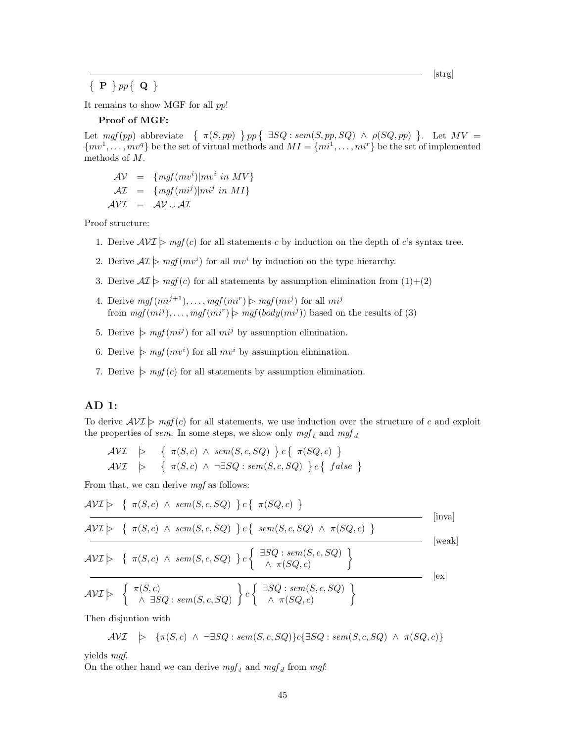[strg]

 $\{ \mathbf{P} \} pp \{ \mathbf{Q} \}$ 

It remains to show MGF for all pp!

#### Proof of MGF:

Let  $mgf(pp)$  abbreviate  $\{\pi(S, pp) \mid pp\}$   $\exists SQ : sem(S, pp, SQ) \wedge \rho(SQ, pp) \}$ . Let  $MV =$  $\{mv^1, \ldots, mv^q\}$  be the set of virtual methods and  $MI = \{mi^1, \ldots, mi^r\}$  be the set of implemented methods of M.

$$
\begin{aligned}\n\mathcal{A}\mathcal{V} &= \{mgf(mv^i)|mv^i \ in \ MV\} \\
\mathcal{A}\mathcal{I} &= \{mgf(mi^j)|mi^j \ in \ MI\} \\
\mathcal{A}\mathcal{V}\mathcal{I} &= \mathcal{A}\mathcal{V} \cup \mathcal{A}\mathcal{I}\n\end{aligned}
$$

Proof structure:

- 1. Derive  $\mathcal{AVI} \geq mgf(c)$  for all statements c by induction on the depth of c's syntax tree.
- 2. Derive  $\mathcal{AI} \geq mgf(mv^i)$  for all  $mv^i$  by induction on the type hierarchy.
- 3. Derive  $\mathcal{AI}\succ mgf(c)$  for all statements by assumption elimination from  $(1)+(2)$
- 4. Derive  $mgf(mi^{j+1}), \ldots, mgf(mi^r) \succ mgf(mi^j)$  for all  $mi^j$ from  $mgf(mi^j), \ldots, mgf(mi^r) \geq mgf(body(mi^j))$  based on the results of (3)
- 5. Derive  $\triangleright \textit{mgf}(mi^j)$  for all  $mi^j$  by assumption elimination.
- 6. Derive  $\triangleright$   $mgf(mv^i)$  for all  $mv^i$  by assumption elimination.
- 7. Derive  $\triangleright \mathit{mgf}(c)$  for all statements by assumption elimination.

#### AD 1:

To derive  $AVI \geq mgf(c)$  for all statements, we use induction over the structure of c and exploit the properties of sem. In some steps, we show only  $mgf_t$  and  $mgf_d$ 

$$
\begin{array}{lcl}\n\mathcal{AVI} & \Rightarrow & \{ \pi(S,c) \land \mathit{sem}(S,c,SQ) \} c \{ \pi(SQ,c) \} \\
\mathcal{AVI} & \Rightarrow & \{ \pi(S,c) \land \neg \exists SQ : \mathit{sem}(S,c,SQ) \} c \{ \mathit{false} \}\n\end{array}
$$

From that, we can derive mgf as follows:

$$
\mathcal{AVI} \models \{ \pi(S,c) \land sem(S,c,SQ) \} c \{ \pi(SQ,c) \}
$$
 [inval]  
\n
$$
\mathcal{AVI} \models \{ \pi(S,c) \land sem(S,c,SQ) \} c \{ \text{sem}(S,c,SQ) \land \pi(SQ,c) \}
$$
 [inval]  
\n
$$
\mathcal{AVI} \models \{ \pi(S,c) \land sem(S,c,SQ) \} c \{ \frac{\exists SQ : sem(S,c,SQ)}{\land \pi(SQ,c)} \}
$$
 [weak]  
\n
$$
\mathcal{AVI} \models \{ \pi(S,c) \land sem(S,c,SQ) \} c \{ \frac{\exists SQ : sem(S,c,SQ)}{\land \pi(SQ,c)} \}
$$
 [ex]

Then disjuntion with

$$
\mathcal{AVI} \quad \succ \quad \{\pi(S,c) \ \wedge \ \neg \exists SQ : sem(S,c,SQ)\} c \{\exists SQ : sem(S,c,SQ) \ \wedge \ \pi(SQ,c)\}
$$

yields mgf.

On the other hand we can derive  $mgf_t$  and  $mgf_d$  from mgf: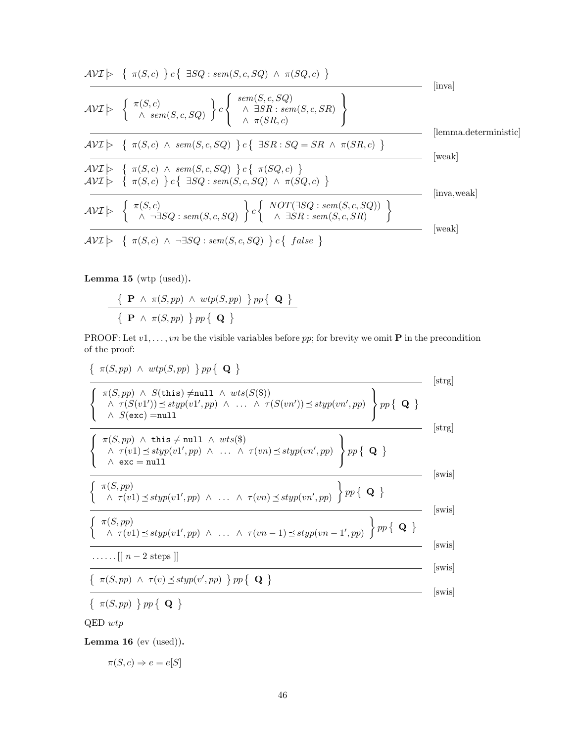$$
\mathcal{AVI} \rightarrow \{\ \pi(S,c) \} c\{\ \exists SQ : sem(S,c,SQ) \ \land \ \pi(SQ,c) \}
$$
 [inva]  
\n
$$
\mathcal{AVI} \rightarrow \{\ \pi(S,c) \ \text{sem}(S,c,SQ) \ \} c\left\{\ \text{sem}(S,c,SQ) \ \text{em}(S,c,SR) \ \text{h} \right\}
$$
 [inva]  
\n
$$
\mathcal{AVI} \rightarrow \{\ \pi(S,c) \ \land \ sem(S,c,SQ) \ \} c\{\ \exists SR : SQ = SR \ \land \ \pi(SR,c) \ \}
$$
 [lemma. deterministic]  
\n
$$
\mathcal{AVI} \rightarrow \{\ \pi(S,c) \ \land \ sem(S,c,SQ) \ \} c\{\ \pi(SQ,c) \ \}
$$
 [weak]  
\n
$$
\mathcal{AVI} \rightarrow \{\ \pi(S,c) \ \land \ sem(S,c,SQ) \ \} c\{\ \pi(SQ,c) \ \}
$$
 [weak]  
\n
$$
\mathcal{AVI} \rightarrow \{\ \pi(S,c) \ \} c\{\ \exists SQ : sem(S,c,SQ) \ \} c\{\ \text{NOT}(\exists SQ : sem(S,c,SQ) \ \}
$$
 [inva,weak]  
\n
$$
\mathcal{AVI} \rightarrow \{\ \pi(S,c) \ \land \ \neg \exists SQ : sem(S,c,SQ) \ \} c\{\ \text{false} \ \}
$$

Lemma 15 (wtp (used)).

$$
\frac{\{\ \mathbf{P}\ \wedge\ \pi(S,pp)\ \wedge\ \textit{wtp}(S,pp)\ \} \ pp\ \{\ \mathbf{Q}\ \}}{\{\ \mathbf{P}\ \wedge\ \pi(S,pp)\ \} \ pp\ \{\ \mathbf{Q}\ \}}
$$

PROOF: Let  $v1, \ldots, vn$  be the visible variables before  $pp$ ; for brevity we omit **P** in the precondition of the proof:

$$
\{ \pi(S, pp) \ \wedge \ wtp(S, pp) \ \} \, pp \{ \ \mathbf{Q} \ \}
$$

$$
\frac{\left\{\n\begin{array}{l}\n\pi(S,pp) \land \text{wtp}(S,pp) \uparrow pp \uparrow \mathbf{Q} \uparrow\n\\
\pi(S,pp) \land S(\text{this}) \neq \text{null} \land \text{wts}(S(\$)) \\
\hline\n\left\{\n\begin{array}{l}\n\pi(S,pp) \land S(\text{this}) \neq \text{null} \land \text{wts}(S(\$)) \\
\land S(\text{exc}) = \text{null}\n\end{array}\n\right. & [\text{strg}] \\
\hline\n\left\{\n\begin{array}{l}\n\pi(S,pp) \land \text{this} \neq \text{null} \land \text{wts}(\$) \\
\land \tau(v1) \preceq \text{styp}(v1',pp) \land \dots \land \tau(vn) \preceq \text{styp}(vn',pp)\n\end{array}\n\right\} pp \left\{\n\begin{array}{l}\n\mathbf{Q} \downarrow\n\end{array}\n\right. & [\text{strg}] \\
\hline\n\left\{\n\begin{array}{l}\n\pi(S,pp) \land \text{this} \neq \text{null} \land \text{wts}(\$) \\
\land \text{exc} = \text{null}\n\end{array}\n\right. & [\text{swis}] \\
\hline\n\left\{\n\begin{array}{l}\n\pi(S,pp) \\
\land \tau(v1) \preceq \text{styp}(v1',pp) \land \dots \land \tau(vn) \preceq \text{styp}(vn',pp)\n\end{array}\n\right\} pp \left\{\n\begin{array}{l}\n\mathbf{Q} \downarrow\n\end{array}\n\right. & [\text{swis}] \\
\hline\n\left\{\n\begin{array}{l}\n\pi(S,pp) \\
\land \tau(v1) \preceq \text{styp}(v1',pp) \land \dots \land \tau(vn-1) \preceq \text{styp}(vn-1',pp)\n\end{array}\n\right\} pp \left\{\n\begin{array}{l}\n\mathbf{Q} \downarrow\n\end{array}\n\right. & [\text{swis}] \\
\hline\n\left\{\n\begin{array}{l}\n\pi(S,pp) \land \tau(v) \preceq \text{styp}(v',pp) \uparrow pp \left\{\n\mathbf{Q} \right\}\n\end{array}\n\right. & [\text{swis}] \\
\hline\n\left\{\n\begin{array}{l}
$$

QED wtp

Lemma 16 $(\mathrm{ev}~(\mathrm{used})).$ 

$$
\pi(S, c) \Rightarrow e = e[S]
$$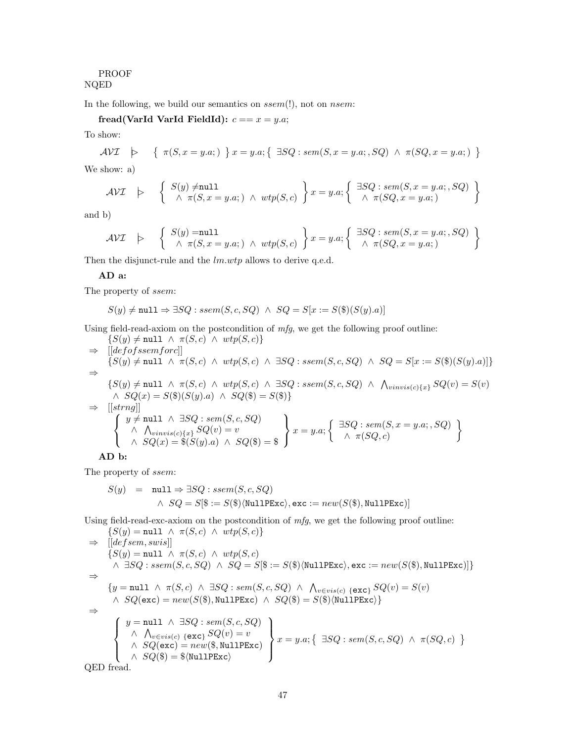## PROOF NQED

In the following, we build our semantics on ssem(!), not on nsem:

fread(VarId VarId FieldId):  $c == x = y.a;$ 

To show:

$$
\mathcal{AVI} \quad \triangleright \quad \left\{ \begin{array}{l} \pi(S, x = y.a; ) \end{array} \right\} x = y.a; \left\{ \begin{array}{l} \exists SQ : sem(S, x = y.a; , SQ) \land \pi(SQ, x = y.a; ) \end{array} \right\}
$$

We show: a)

$$
\mathcal{AVI} \quad \triangleright \quad \left\{ \begin{array}{l} S(y) \neq \texttt{null} \\ \wedge \ \pi(S, x = y.a; ) \ \wedge \ wtp(S, c) \end{array} \right\} x = y.a; \left\{ \begin{array}{l} \exists SQ : sem(S, x = y.a; , SQ) \\ \wedge \ \pi(SQ, x = y.a; ) \end{array} \right\}
$$

and b)

$$
\mathcal{AVI} \quad \triangleright \quad \left\{ \begin{array}{l} S(y) = \texttt{null} \\ \land \ \pi(S, x = y.a; ) \ \land \ wtp(S, c) \end{array} \right\} x = y.a; \left\{ \begin{array}{l} \exists SQ : sem(S, x = y.a; , SQ) \\ \land \ \pi(SQ, x = y.a; ) \end{array} \right\}
$$

Then the disjunct-rule and the  $lm.wtp$  allows to derive q.e.d.

## AD a:

The property of ssem:

$$
S(y) \neq \texttt{null} \Rightarrow \exists SQ : \mathit{ssem}(S, c, SQ) \ \land \ SQ = S[x := S(\$)(S(y).a)]
$$

Using field-read-axiom on the postcondition of  $mfg$ , we get the following proof outline:

$$
\{S(y) \neq \text{null} \land \pi(S, c) \land wtp(S, c)\}
$$
\n
$$
\Rightarrow [[defofssemforc]]
$$
\n
$$
\{S(y) \neq \text{null} \land \pi(S, c) \land wtp(S, c) \land \exists SQ : ssem(S, c, SQ) \land SQ = S[x := S(\$)(S(y).a)]\}
$$
\n
$$
\Rightarrow
$$
\n
$$
\{S(y) \neq \text{null} \land \pi(S, c) \land wtp(S, c) \land \exists SQ : ssem(S, c, SQ) \land \bigwedge_{vinvis(c)\{x\}} SQ(v) = S(v)
$$
\n
$$
\land SQ(x) = S(\$)(S(y).a) \land SQ(\$) = S(\$)\}
$$
\n
$$
\Rightarrow [[string]]
$$
\n
$$
\left\{\n\begin{array}{l}\ny \neq \text{null} \land \exists SQ : sem(S, c, SQ) \\
\land \bigwedge_{vinvis(c)\{x\}} SQ(v) = v \\
\land SQ(x) = \$(S(y).a) \land SQ(\$) = \$\n\end{array}\n\right\} x = y.a; \left\{\n\begin{array}{l}\n\exists SQ : sem(S, x = y.a; , SQ) \\
\land \pi(SQ, c)\n\end{array}\n\right\}
$$

AD b:

The property of ssem:

$$
S(y) = \text{null} \Rightarrow \exists SQ : sem(S, c, SQ)
$$
  
 
$$
\land \; SQ = S[\$ := S(\$)\langle \texttt{NullPExc} \rangle, \texttt{exc} := new(S(\$), \texttt{NullPExc})]
$$

Using field-read-exc-axiom on the postcondition of mfg, we get the following proof outline:

$$
\{S(y) = \text{null} \land \pi(S, c) \land \text{wtp}(S, c)\}
$$
\n
$$
\Rightarrow [[defsem, swis]]
$$
\n
$$
\{S(y) = \text{null} \land \pi(S, c) \land \text{wtp}(S, c)
$$
\n
$$
\land \exists SQ : ssem(S, c, SQ) \land SQ = S[\$ := S(\$)\langle \text{NullPExc}\rangle, \text{exc} := new(S(\$), \text{NullPExc})]\}
$$
\n
$$
\Rightarrow \{y = \text{null} \land \pi(S, c) \land \exists SQ : sem(S, c, SQ) \land \bigwedge_{v \in vis(c) \{exc\}} SQ(v) = S(v)
$$
\n
$$
\land SQ(\text{exc}) = new(S(\$), \text{NullPExc}) \land SQ(\$) = S(\$)\langle \text{NullPExc}\rangle\}
$$
\n
$$
\Rightarrow \{y = \text{null} \land \exists SQ : sem(S, c, SQ)
$$
\n
$$
\land \bigwedge_{v \in vis(c) \{exc\}} SQ(v) = v
$$
\n
$$
\land SQ(\text{exc}) = new(\$, \text{NullPExc})
$$
\n
$$
\land SQ(\$) = \$(\text{NullPExc}\rangle)
$$
\n
$$
\text{QED \tfrac{1}{\text{Area}}}
$$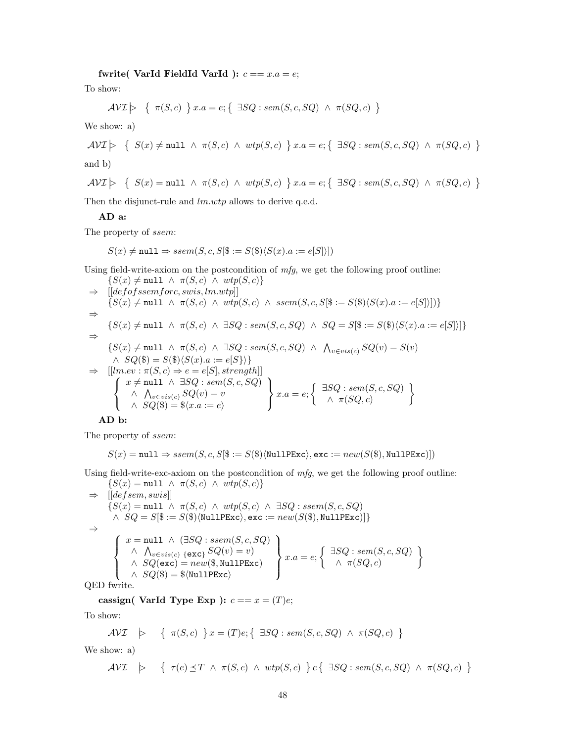fwrite( VarId FieldId VarId ):  $c == x.a = e$ ;

To show:

$$
\mathcal{AVI} \geq \{ \pi(S, c) \} x.a = e; \{ \exists SQ : sem(S, c, SQ) \land \pi(SQ, c) \}
$$

We show: a)

$$
\mathcal{AVI} \models \{ \ S(x) \neq \texttt{null} \ \land \ \pi(S,c) \ \land \ \textit{wtp}(S,c) \ \} \ x.a = e; \{ \ \exists SQ: sem(S,c,SQ) \ \land \ \pi(SQ,c) \ \}
$$

and b)

$$
\mathcal{AVI} \geq \{ S(x) = \texttt{null} \land \pi(S, c) \land \text{wtp}(S, c) \} \ x.a = e; \{ \exists SQ : \text{sem}(S, c, SQ) \land \pi(SQ, c) \}
$$

Then the disjunct-rule and  $lm.wtp$  allows to derive q.e.d.

#### AD a:

The property of ssem:

$$
S(x) \neq \texttt{null} \Rightarrow \text{ssem}(S, c, S[\$ := S(\$)\langle S(x).a := e[S] \rangle])
$$

Using field-write-axiom on the postcondition of  $mfg$ , we get the following proof outline:  $\{S(x) \neq \text{null} \land \pi(S, c) \land wtn(S, c)\}$ 

$$
S(x) \neq \text{null} \land \pi(S, c) \land \text{wtp}(S, c)f
$$
\n⇒ 
$$
[[defofssemforce, swis, lm.wtp]]
$$
\n
$$
\{S(x) \neq \text{null} \land \pi(S, c) \land \text{wtp}(S, c) \land \text{ssem}(S, c, S[\$ := S(\$)\langle S(x).a := e[S]\rangle])\}
$$
\n⇒ 
$$
\{S(x) \neq \text{null} \land \pi(S, c) \land \exists SQ : sem(S, c, SQ) \land SQ = S[\$ := S(\$)\langle S(x).a := e[S]\rangle]\}
$$
\n⇒ 
$$
\{S(x) \neq \text{null} \land \pi(S, c) \land \exists SQ : sem(S, c, SQ) \land \bigwedge_{v \in vis(c)} SQ(v) = S(v)
$$
\n
$$
\land SQ(\$) = S(\$)\langle S(x).a := e[S]\rangle\}
$$
\n⇒ 
$$
[[lm.ev : \pi(S, c) \Rightarrow e = e[S], strength]]
$$
\n
$$
\{x \neq \text{null} \land \exists SQ : sem(S, c, SQ)
$$
\n
$$
\{x.a = e; \{\exists SQ : sem(S, c, SQ) \land \pi(SQ, c) \land \pi(SQ, c) \land \pi(SQ, c) \land \pi(SQ, c) \land \pi(SQ, c) \land \pi(SQ, c) \}
$$

#### AD b:

The property of ssem:

$$
S(x) = \texttt{null} \Rightarrow \mathit{ssem}(S, c, S[\$, := S(\$)\langle \texttt{NullPExc} \rangle, \texttt{exc} := \mathit{new}(S(\$), \texttt{NullPExc})])
$$

Using field-write-exc-axiom on the postcondition of mfg, we get the following proof outline:  ${S(x) = null \land \pi(S, c) \land \text{wtp}(S, c)}$ 

 $\Rightarrow$  [[defsem, swis]]  $\{S(x) = \texttt{null} \; \wedge \; \pi(S,c) \; \wedge \; \textit{wtp}(S,c) \; \wedge \; \exists SQ: \mathit{ssem}(S,c,SQ)$  $\land \ \ SQ = S[\$\ := S(\$\) \langle \texttt{NullPExc} \rangle, \texttt{exc} := \mathit{new}(S(\$\), \texttt{NullPExc})] \}$ ⇒  $\sqrt{ }$  $\int$  $\overline{\mathcal{L}}$  $x = \text{null} \; \wedge \; (\exists SQ : \mathit{ssem}(S, c, SQ)$  $\wedge \bigwedge_{v \in vis(c)} \{\mathsf{exc}\}$   $SQ(v) = v$  $\land \ SQ(\texttt{exc}) = new(\$, \texttt{NullPExc})$  $\land$   $SQ(\$) = \$\langle \texttt{NullPExc}\rangle$  $\mathcal{L}$  $\mathcal{L}$  $\int$  $x.a = e; \begin{cases} \exists SQ : sem(S, c, SQ) \\ \wedge \neg(S, c, SQ) \end{cases}$  $\wedge \pi(SQ, c)$  $\mathcal{L}$ 

QED fwrite.

cassign( VarId Type Exp ):  $c == x = (T)e$ ;

To show:

$$
\mathcal{AVI} \quad \succ \quad \{ \ \pi(S, c) \ \} \, x = (T)e; \{ \ \exists SQ : sem(S, c, SQ) \ \wedge \ \pi(SQ, c) \ \}
$$

We show: a)

$$
\mathcal{AVI} \quad \succ \quad \left\{ \begin{array}{l} \tau(e) \preceq T \;\wedge\; \pi(S,c) \;\wedge\; \mathit{wtp}(S,c) \end{array} \right\} c\left\{ \begin{array}{l} \exists SQ:\mathit{sem}(S,c,SQ) \;\wedge\; \pi(SQ,c) \end{array} \right\}
$$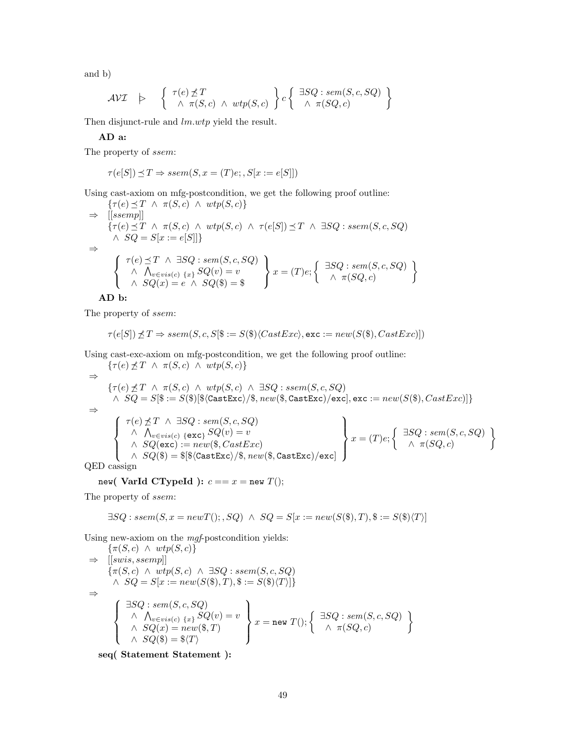and b)

$$
\mathcal{AVI} \quad \succ \quad \left\{ \begin{array}{c} \tau(e) \not\preceq T \\ \wedge \ \pi(S, c) \ \wedge \ wtp(S, c) \end{array} \right\} c \left\{ \begin{array}{c} \exists SQ : sem(S, c, SQ) \\ \wedge \ \pi(SQ, c) \end{array} \right\}
$$

Then disjunct-rule and  $lm.wtp$  yield the result.

AD a:

The property of ssem:

$$
\tau(e[S]) \preceq T \Rightarrow ssem(S, x = (T)e; S[x := e[S]])
$$

Using cast-axiom on mfg-postcondition, we get the following proof outline:

$$
\{\tau(e) \preceq T \land \pi(S, c) \land \text{wtp}(S, c)\}\
$$
\n
$$
\Rightarrow \text{[[ssemp]]}
$$
\n
$$
\{\tau(e) \preceq T \land \pi(S, c) \land \text{wtp}(S, c) \land \tau(e[S]) \preceq T \land \exists SQ : ssem(S, c, SQ)
$$
\n
$$
\land SQ = S[x := e[S]]\}
$$
\n
$$
\Rightarrow \left\{\begin{array}{c}\tau(e) \preceq T \land \exists SQ : sem(S, c, SQ) \\ \land \Lambda_{v \in vis(c) \{x\}} SQ(v) = v \\ \land SQ(x) = e \land SQ(\$) = \$\end{array}\right\} x = (T)e; \left\{\begin{array}{c}\exists SQ : sem(S, c, SQ) \\ \land \pi(SQ, c)\end{array}\right\}
$$

AD b:

The property of ssem:

$$
\tau(e[S]) \npreceq T \Rightarrow ssem(S, c, S[\$, := S(\$)\langle CastExc \rangle, \texttt{exc} := new(S(\$), CastExc)])
$$

Using cast-exc-axiom on mfg-postcondition, we get the following proof outline:

$$
\begin{array}{c}\n\{\tau(e) \nleq T \land \pi(S, c) \land \text{wtp}(S, c)\} \\
\Rightarrow \{\tau(e) \nleq T \land \pi(S, c) \land \text{wtp}(S, c) \land \exists SQ : \text{ssem}(S, c, SQ) \\
\land SQ = S[\$\$ := S(\$\] \$\langle \texttt{CastExc} \rangle / \$\, \textit{new}(\$\, \texttt{CastExc} \rangle / \texttt{exc}], \texttt{exc} := \textit{new}(S(\$\), \textit{CastExc})]\}\n\end{array}
$$
\n
$$
\begin{array}{c}\n\begin{array}{c}\n\tau(e) \nleq T \land \exists SQ : \textit{sem}(S, c, SQ) \\
\land \bigwedge_{v \in \textit{vis}(c) \ \{\texttt{exc}_\} \ \ \textit{SQ}(v) = v \\
\land \quad \textit{SQ}(\texttt{exc}) := \textit{new}(\$\, \texttt{CastExc} \rangle / \$\, \textit{new}(\$\, \texttt{CastExc} \rangle / \texttt{exc}]\n\end{array}\n\end{array}\n\right\}\n\begin{array}{c}\n\text{ISO} : \textit{sem}(S, c, SQ) \\
\text{ISO} : \textit{sem}(S, c, SQ) \\
\land \quad \textit{SQ}(\texttt{exc}) := \textit{new}(\$\, \texttt{CastExc} \rangle / \$\, \textit{new}(\$\, \texttt{castExc} \rangle / \texttt{exc}]\n\end{array}
$$

QED cassign

new( VarId CTypeId ):  $c == x =$  new  $T()$ ;

The property of ssem:

$$
\exists SQ: \mathit{ssem}(S, x = \mathit{newT}();, SQ) \ \land \ SQ = S[x := \mathit{new}(S(\$), T), \$ := S(\$)\langle T \rangle]
$$

Using new-axiom on the mgf-postcondition yields:

$$
\{\pi(S, c) \land \text{wtp}(S, c)\}\
$$
\n
$$
\Rightarrow [[swis, ssemp]]
$$
\n
$$
\{\pi(S, c) \land \text{wtp}(S, c) \land \exists SQ : ssem(S, c, SQ)
$$
\n
$$
\land SQ = S[x := new(S(\$), T), \$ := S(\$)\langle T \rangle]\}\
$$
\n
$$
\Rightarrow \{\begin{array}{c}\exists SQ : sem(S, c, SQ) \\
\land \land_{v \in vis(c) \{x\}} SQ(v) = v \\
\land SQ(x) = new(\$, T)\n\end{array}\} x = new T(); \{\begin{array}{c}\exists SQ : sem(S, c, SQ) \\
\land \land_{\pi(SQ, c)} \\
\land \pi(SQ, c)\n\end{array}\}
$$

seq( Statement Statement ):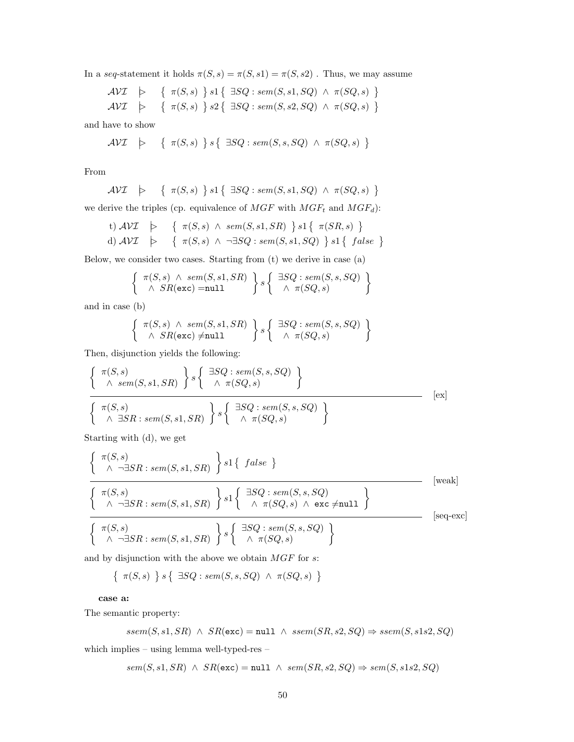In a seq-statement it holds  $\pi(S, s) = \pi(S, s1) = \pi(S, s2)$  . Thus, we may assume

$$
\begin{array}{lcl}\n\mathcal{AVI} & \rightarrow & \{ \pi(S,s) \} \, s1 \{ \exists SQ : sem(S,s1,SQ) \land \pi(SQ,s) \} \\
\mathcal{AVI} & \rightarrow & \{ \pi(S,s) \} \, s2 \{ \exists SQ : sem(S,s2,SQ) \land \pi(SQ,s) \} \\
\end{array}
$$

and have to show

$$
\mathcal{AVI} \quad \triangleright \qquad \left\{ \begin{array}{c} \pi(S,s) \end{array} \right\} s \left\{ \begin{array}{c} \exists SQ: sem(S,s,SQ) \;\wedge\; \pi(SQ,s) \end{array} \right\}
$$

From

$$
\mathcal{AVI} \quad \succ \quad \{ \ \pi(S,s) \ \} \ s1 \{ \ \exists SQ : sem(S,s1,SQ) \ \wedge \ \pi(SQ,s) \ \}
$$

we derive the triples (cp. equivalence of  $MGF$  with  $MGF_t$  and  $MGF_d$ ):

t) 
$$
AVI
$$
  $\models$  {  $\pi(S, s) \land sem(S, s1, SR) \} s1 \{ \pi(SR, s) \}$   
d)  $AVI$   $\models$  {  $\pi(S, s) \land \neg \exists SQ : sem(S, s1, SQ) \} s1 \{ false \}$ 

Below, we consider two cases. Starting from (t) we derive in case (a)

$$
\left\{\begin{array}{c}\pi(S,s) \land sem(S,s1,SR) \\ \land SR(\texttt{exc}) = \texttt{null}\end{array}\right\} s \left\{\begin{array}{c}\exists SQ: sem(S,s,SQ) \\ \land \pi(SQ,s)\end{array}\right\}
$$

and in case (b)

$$
\left\{\begin{array}{c}\pi(S,s)\ \wedge\ sem(S,s1,SR) \\ \wedge\ SR(\texttt{exc}) \neq \texttt{null}\end{array}\right\}s\left\{\begin{array}{c}\exists SQ:\ sem(S,s,SQ) \\ \wedge\ \pi(SQ,s)\end{array}\right\}
$$

Then, disjunction yields the following:

$$
\frac{\left\{\begin{array}{c}\pi(S,s)\\ \wedge \text{ sem}(S,s1,SR) \end{array}\right\} s \left\{\begin{array}{c}\exists SQ: \text{sem}(S,s,SQ)\\ \wedge \pi(SQ,s) \end{array}\right\}}{\left\{\begin{array}{c}\pi(S,s)\\ \wedge \exists SR: \text{sem}(S,s1,SR) \end{array}\right\} s \left\{\begin{array}{c}\exists SQ: \text{sem}(S,s,SQ)\\ \wedge \pi(SQ,s) \end{array}\right\}}
$$
 [ex]

Starting with (d), we get

$$
\left\{\n\begin{array}{l}\n\pi(S,s) \\
\wedge \neg \exists SR: sem(S,s1,SR) \\
\hline\n\left\{\n\begin{array}{l}\n\pi(S,s) \\
\wedge \neg \exists SR: sem(S,s1,SR) \\
\hline\n\left\{\n\begin{array}{l}\n\exists SQ: sem(S,s,SQ) \\
\wedge \pi(SQ,s) \land \text{exc} \neq \text{null}\n\end{array}\n\right\}\n\end{array}\n\right\}\n\end{array}\n\right\}
$$
\n[weak] (weak] (weak)

and by disjunction with the above we obtain  $MGF$  for  $s$ :

$$
\{ \pi(S,s) \} s \{ \exists SQ : sem(S,s,SQ) \land \pi(SQ,s) \}
$$

case a:

The semantic property:

$$
ssem(S, s1, SR) \land SR(exc) = null \land ssem(SR, s2, SQ) \Rightarrow ssem(S, s1s2, SQ)
$$

which implies – using lemma well-typed-res –

 $sem(S, s1, SR) \ \land \ SR(\texttt{exc}) = \texttt{null} \ \land \ sem(SR, s2, SQ) \Rightarrow sem(S, s1s2, SQ)$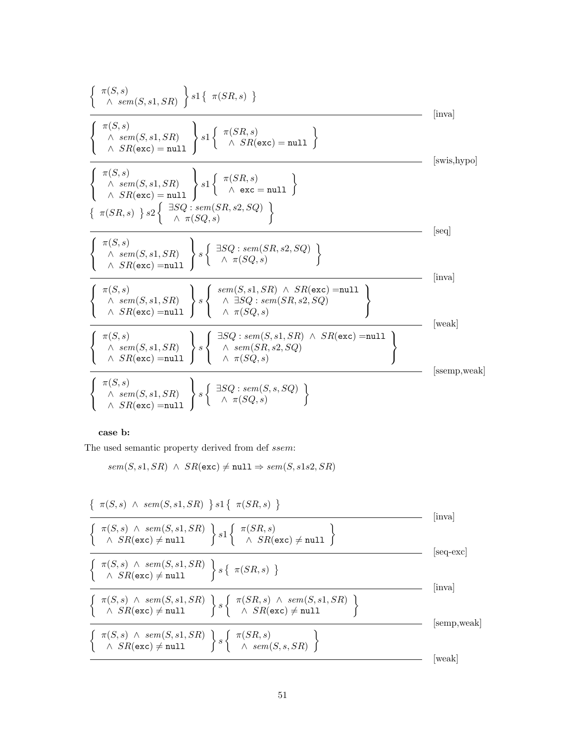π(S, s) ∧ sem(S, s1, SR) s1 π(SR, s) [inva] π(S, s) ∧ sem(S, s1, SR) ∧ SR(exc) = null s1 π(SR, s) <sup>∧</sup> SR(exc) = null [swis,hypo] π(S, s) ∧ sem(S, s1, SR) ∧ SR(exc) = null s1 π(SR, s) <sup>∧</sup> exc <sup>=</sup> null π(SR, s) s2 ∃SQ : sem(SR, s2, SQ) ∧ π(SQ, s) [seq] π(S, s) ∧ sem(S, s1, SR) ∧ SR(exc) =null s ∃SQ : sem(SR, s2, SQ) ∧ π(SQ, s) [inva] π(S, s) ∧ sem(S, s1, SR) ∧ SR(exc) =null s sem(S, s1, SR) ∧ SR(exc) =null ∧ ∃SQ : sem(SR, s2, SQ) ∧ π(SQ, s) [weak] π(S, s) ∧ sem(S, s1, SR) ∧ SR(exc) =null s ∃SQ : sem(S, s1, SR) ∧ SR(exc) =null ∧ sem(SR, s2, SQ) ∧ π(SQ, s) [ssemp,weak] π(S, s) ∧ sem(S, s1, SR) ∧ SR(exc) =null s ∃SQ : sem(S, s, SQ) ∧ π(SQ, s) 

case b:

The used semantic property derived from def ssem:

 $sem(S, s1, SR) \ \wedge \ SR(\texttt{exc}) \neq \texttt{null} \Rightarrow sem(S, s1s2, SR)$ 

$$
\frac{\left\{\begin{array}{l}\pi(S,s) \land sem(S,s1,SR) \right\} s1\left\{\begin{array}{l}\pi(SR,s) \\\\ \land\ SR(\text{exc}) \neq \text{null}\end{array}\right\} s1\left\{\begin{array}{l}\pi(SR,s) \\\\ \land\ SR(\text{exc}) \neq \text{null}\end{array}\right\} (inval) \\\hline \left\{\begin{array}{l}\pi(S,s) \land sem(S,s1,SR) \\\\ \land\ SR(\text{exc}) \neq \text{null}\end{array}\right\} s\left\{\begin{array}{l}\pi(SR,s) \\\\ \land\ SR(\text{exc}) \neq \text{null}\end{array}\right\} (seq\text{-exc}) \\\hline \left\{\begin{array}{l}\pi(S,s) \land sem(S,s1,SR) \\\\ \land\ SR(\text{exc}) \neq \text{null}\end{array}\right\} s\left\{\begin{array}{l}\pi(SR,s) \land sem(S,s1,SR) \\\\ \land\ SR(\text{exc}) \neq \text{null}\end{array}\right\} (inval) \\\hline \left\{\begin{array}{l}\pi(S,s) \land sem(S,s1,SR) \\\\ \land\ SR(\text{exc}) \neq \text{null}\end{array}\right\} s\left\{\begin{array}{l}\pi(SR,s) \\\\ \land\ sem(S,s,SR)\end{array}\right\} \qquad \text{[semp,weak]} \\\hline \left\{\begin{array}{l}\pi(S,s) \land sem(S,s1,SR) \\\\ \land\ SR(\text{exc}) \neq \text{null}\end{array}\right\} s\left\{\begin{array}{l}\pi(SR,s) \\\\ \land\ sem(S,s,SR)\end{array}\right\} \qquad \text{[weak]} \end{array}
$$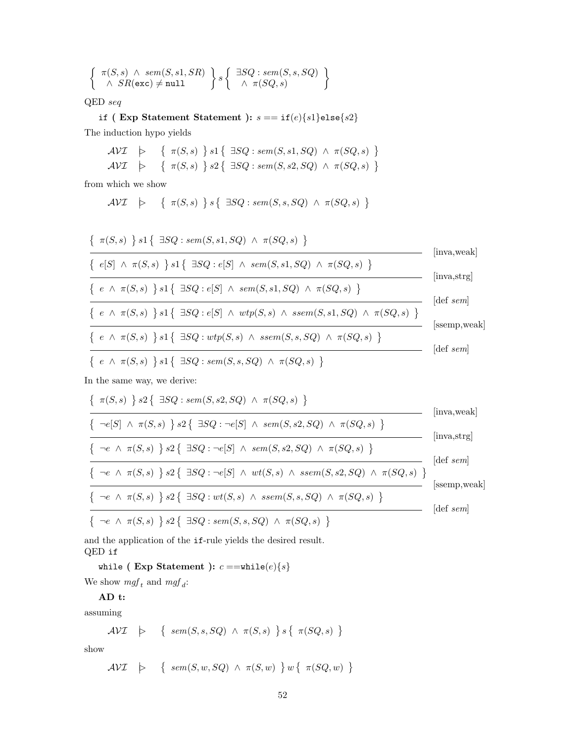$$
\left\{\begin{array}{c}\pi(S,s) \land sem(S,s1,SR) \\ \land SR(exc) \neq null\end{array}\right\} s \left\{\begin{array}{c}\exists SQ: sem(S,s,SQ) \\ \land \pi(SQ,s)\end{array}\right\}
$$

 $\mbox{QED}$   $\emph{seq}$ 

if ( Exp Statement Statement ):  $s == if(e){s1}$ else ${s2}$ The induction hypo yields

$$
\begin{array}{lcl} \mathcal{AVI} & \rightarrow & \{ \begin{array}{l} \pi(S,s) \end{array} \} s1 \{ \begin{array}{lcl} \exists SQ: sem(S,s1,SQ) \, \wedge \, \pi(SQ,s) \end{array} \} \\ \mathcal{AVI} & \succ & \{ \begin{array}{lcl} \pi(S,s) \end{array} \} s2 \{ \begin{array}{lcl} \exists SQ: sem(S,s2,SQ) \, \wedge \, \pi(SQ,s) \end{array} \} \end{array}
$$

from which we show

$$
\mathcal{AVI} \quad \succ \quad \{ \ \pi(S,s) \ \} \ s \{ \ \exists SQ : sem(S,s,SQ) \ \wedge \ \pi(SQ,s) \ \}
$$

$$
\frac{\{\pi(S,s) \} s1 \{\exists SQ : sem(S,s1,SQ) \land \pi(SQ,s) \}}{\{ e[S] \land \pi(S,s) \} s1 \{\exists SQ : e[S] \land sem(S,s1,SQ) \land \pi(SQ,s) \}} \qquad \text{[inva,weak]}
$$
\n
$$
\frac{\{ e \land \pi(S,s) \} s1 \{\exists SQ : e[S] \land sem(S,s1,SQ) \land \pi(SQ,s) \}}{\{ e \land \pi(S,s) \} s1 \{\exists SQ : e[S] \land \text{wtp}(S,s) \land \text{ssem}(S,s1,SQ) \land \pi(SQ,s) \}} \qquad \text{[inva,strg]}
$$
\n
$$
\frac{\{ e \land \pi(S,s) \} s1 \{\exists SQ : e[S] \land \text{wtp}(S,s) \land \text{ssem}(S,s1,SQ) \land \pi(SQ,s) \}}{\{ e \land \pi(S,s) \} s1 \{\exists SQ : \text{wtp}(S,s) \land \text{ssem}(S,s,SQ) \land \pi(SQ,s) \}}
$$
\n
$$
\frac{\{\text{[asemp,weak]}}{\{ e \land \pi(S,s) \} s1 \{\exists SQ : sem(S,s,SQ) \land \pi(SQ,s) \}} \qquad \text{[asemp,weak]}
$$

In the same way, we derive:

$$
\frac{\{\pi(S,s) \} s2 \{\exists SQ : sem(S,s2,SQ) \land \pi(SQ,s) \}}{\{\neg e[S] \land \pi(S,s) \} s2 \{\exists SQ : \neg e[S] \land sem(S,s2,SQ) \land \pi(SQ,s) \}} \quad \text{[inva,weak]}
$$
\n
$$
\frac{\{\neg e \land \pi(S,s) \} s2 \{\exists SQ : \neg e[S] \land sem(S,s2,SQ) \land \pi(SQ,s) \}}{\{\neg e \land \pi(S,s) \} s2 \{\exists SQ : \neg e[S] \land wt(S,s) \land ssem(S,s2,SQ) \land \pi(SQ,s) \}} \quad \text{[inva,strg]}
$$
\n
$$
\frac{\{\neg e \land \pi(S,s) \} s2 \{\exists SQ : \neg e[S] \land wt(S,s) \land ssem(S,s2,SQ) \land \pi(SQ,s) \}}{\{\neg e \land \pi(S,s) \} s2 \{\exists SQ : wt(S,s) \land ssem(S,s,SQ) \land \pi(SQ,s) \}} \quad \text{[asemp,weak]}
$$
\n
$$
\{\neg e \land \pi(S,s) \} s2 \{\exists SQ : sem(S,s,SQ) \land \pi(SQ,s) \}
$$
\n
$$
\{\neg e \land \pi(S,s) \} s2 \{\exists SQ : sem(S,s,SQ) \land \pi(SQ,s) \}
$$
\n
$$
\{\neg e \land \pi(S,s) \} s2 \{\exists SQ : sem(S,s,SQ) \land \pi(SQ,s) \}
$$

and the application of the if-rule yields the desired result. QED if

while ( Exp Statement ):  $c == \text{while}(e)\{s\}$ We show  $mgf_t$  and  $mgf_d$ :

AD t:

assuming

$$
\mathcal{AVI} \quad \succ \quad \left\{ \begin{array}{c} sem(S, s, SQ) \ \wedge \ \pi(S, s) \end{array} \right\} s \left\{ \begin{array}{c} \pi(SQ, s) \end{array} \right\}
$$

show

 $\mathcal{AVI}$   $\downarrow$  {  $sem(S, w, SQ) \wedge \pi(S, w)$  }  $w \{ \pi(SQ, w) \}$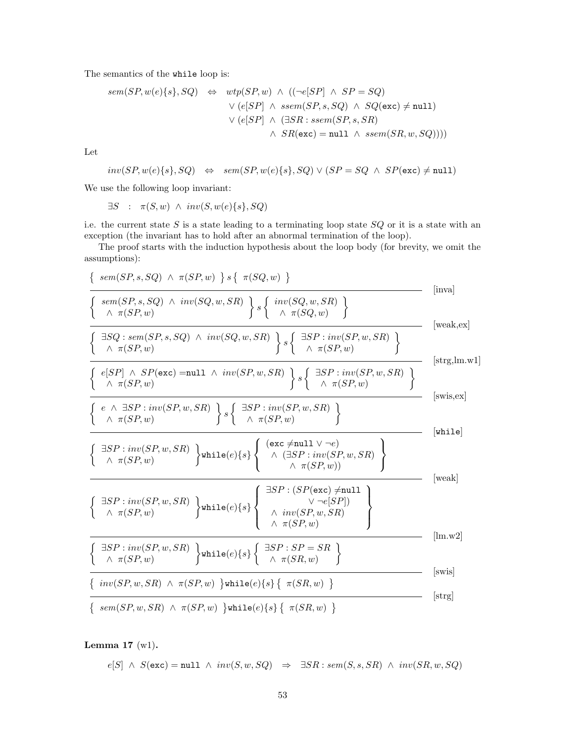The semantics of the while loop is:

$$
sem(SP, w(e)\{s\}, SQ) \Leftrightarrow \begin{aligned} \textit{wtp}(SP, w) &\wedge \ ((\neg e[SP] \ \wedge \ SP = SQ) \\ &\vee \ (e[SP] \ \wedge \ \textit{ssem}(SP, s, SQ) \ \wedge \ \textit{SQ}(\texttt{exc}) \neq \texttt{null}) \\ &\vee \ (e[SP] \ \wedge \ (\exists SR : \textit{ssem}(SP, s, SR) \\ &\wedge \ \textit{SR}(\texttt{exc}) = \texttt{null} \ \wedge \ \textit{ssem}(SR, w, SQ)))) \end{aligned}
$$

Let

$$
inv(SP, w(e)\{s\}, SQ) \Leftrightarrow sem(SP, w(e)\{s\}, SQ) \vee (SP = SQ \wedge SP(\texttt{exc}) \neq \texttt{null})
$$

We use the following loop invariant:

 $\exists S$  :  $\pi(S, w) \land inv(S, w(e) \{s\}, SQ)$ 

i.e. the current state  $S$  is a state leading to a terminating loop state  $SQ$  or it is a state with an exception (the invariant has to hold after an abnormal termination of the loop).

The proof starts with the induction hypothesis about the loop body (for brevity, we omit the assumptions):

$$
\frac{\left\{\begin{array}{l} sem(SP, s, SQ) \land \pi(SP, w) \end{array}\right\} s \left\{\begin{array}{l} \pi(SQ, w) \end{array}\right\}}{\left\{\begin{array}{l} sem(SP, s, SQ) \land inv(SQ, w, SR) \end{array}\right\} s \left\{\begin{array}{l} inv(SQ, w, SR) \end{array}\right\} s \left\{\begin{array}{l} inv(SQ, w, SR) \end{array}\right\}} \text{ [inval]} \right\}}
$$
 [inval  
\n
$$
\frac{\left\{\begin{array}{l} \exists SQ : sem(SP, s, SQ) \land inv(SQ, w, SR) \end{array}\right\} s \left\{\begin{array}{l} \exists SP : inv(SP, w, SR) \end{array}\right\}}{\left\{\begin{array}{l} e(SP] \land SP(\texttt{exc}) = \texttt{null} \land inv(SP, w, SR) \end{array}\right\} s \left\{\begin{array}{l} \exists SP : inv(SP, w, SR) \end{array}\right\}} \text{ [strg,lm.w1]}
$$
 [strg,lm.w1]  
\n
$$
\frac{\left\{\begin{array}{l} e \land \exists SP : inv(SP, w, SR) \end{array}\right\} s \left\{\begin{array}{l} \exists SP : inv(SP, w, SR) \end{array}\right\} s \left\{\begin{array}{l} \exists SP : inv(SP, w, SR) \end{array}\right\}}{\left\{\begin{array}{l} e \land \pi(SP, w) \end{array}\right\} \text{ while } e) \left\{\begin{array}{l} s \left\{\begin{array}{l} \exists SP : inv(SP, w, SR) \end{array}\right\} \text{ [while]} \right\}} \text{ [twile]} \right\}}
$$
 [inval  
\n
$$
\frac{\left\{\begin{array}{l} \exists SP : inv(SP, w, SR) \end{array}\right\} \text{ while } e) \left\{\begin{array}{l} s \left\{\begin{array}{l} \forall x \in P : inv(SP, w, SR) \end{array}\right\}}{\left\{\begin{array}{l} \forall x \in (SP, w) \end{array}\right\}} \text{ [weak]} \right\}}
$$
 [inval  
\n
$$
\frac{\left\{\begin{array}{l} \exists SP : inv(SP, w, SR) \end{array}\right\} \text{ while } e) \left\{\begin{array}{l} s \left\{\begin{array}{l} \
$$

Lemma 17  $(w1)$ .

$$
e[S] \ \land \ S(\text{exc}) = \text{null} \ \land \ inv(S, w, SQ) \ \Rightarrow \ \exists SR : sem(S, s, SR) \ \land \ inv(SR, w, SQ)
$$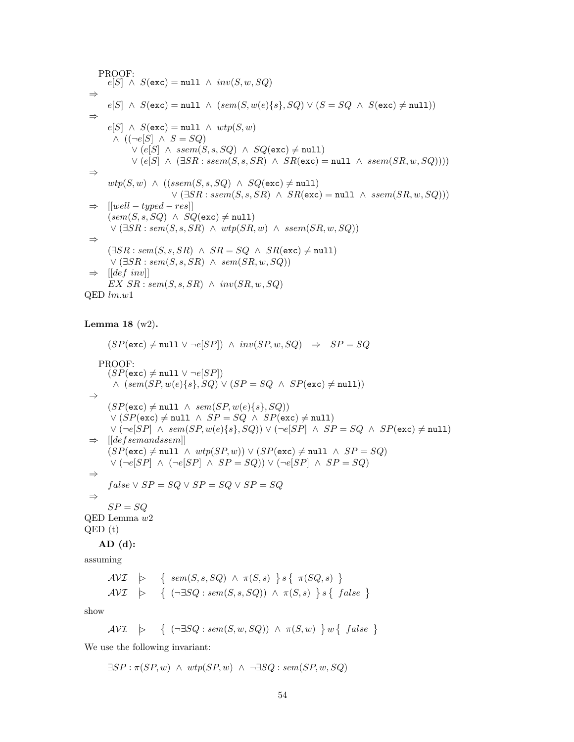PROOF:  $e[S] \wedge S(\text{exc}) = \text{null} \wedge inv(S, w, SQ)$ ⇒  $e[S] \wedge S(\text{exc}) = \text{null} \wedge (sem(S, w(e)\{s\}, SQ) \vee (S = SQ \wedge S(\text{exc}) \neq \text{null}))$ ⇒  $e[S] \wedge S(\text{exc}) = \text{null} \wedge \text{wtp}(S, w)$  $\wedge$  ((¬ $e[S] \wedge S = SQ$ )  $∨ (e[S] ∧ ssem(S, s, SQ) ∧ SQ(exc) ≠ null)$  $\vee$  (e[S]  $\wedge$  ( $\exists SR : sem(S, s, SR) \wedge SR(\text{exc}) = \text{null} \wedge ssem(SR, w, SQ))$ ) ⇒  $wtp(S, w) \wedge ((ssem(S, s, SQ) \wedge SQ(\text{exc}) \neq \text{null})$  $\vee$  ( $\exists SR : ssem(S, s, SR) \land SR(exc) = null \land ssem(SR, w, SQ))$ )  $\Rightarrow$  [[well – typed – res]]  $(\textit{sem}(S, s, SQ) \ \wedge \ SQ(\textsf{exc}) \neq \texttt{null})$  $\vee$  ( $\exists SR : sem(S, s, SR) \land \text{wtp}(SR, w) \land \text{ssem}(SR, w, SQ)$ ) ⇒  $(\exists SR : sem(S, s, SR) \land SR = SQ \land SR(exc) \neq null)$  $\vee$  ( $\exists SR : sem(S, s, SR) \land sem(SR, w, SQ)$ )  $\Rightarrow$  [[def inv]]  $EX\ SR : sem(S, s, SR) \wedge inv(SR, w, SQ)$  $QED$   $lm.w1$ 

## Lemma 18 (w2).

 $(SP(\text{exc}) \neq \text{null} \lor \neg e[SP]) \land inv(SP, w, SQ) \Rightarrow SP = SQ$ PROOF:  $(SP(\text{exc}) \neq \text{null} \vee \neg e[SP])$  $\wedge$   $(sem(SP, w(e)\{s\}, SQ) \vee (SP = SQ \wedge SP(\text{exc}) \neq \text{null})$ ⇒  $(SP(\texttt{exc}) \neq \texttt{null} \ \land \ sem(SP, w(e)\{s\}, SQ))$  $\vee (SP(\texttt{exc}) \neq \texttt{null} \wedge SP = SQ \wedge SP(\texttt{exc}) \neq \texttt{null})$  $\vee (\neg e[SP] \land sem(SP, w(e)\{s\}, SQ)) \vee (\neg e[SP] \land SP = SQ \land SP(\text{exc}) \neq \text{null})$  $\Rightarrow$  [[defsemandssem]]  $(SP(\texttt{exc}) \neq \texttt{null} \ \land \ wtp(SP, w)) \lor (SP(\texttt{exc}) \neq \texttt{null} \ \land \ SP = SQ)$  $\vee$  (¬e[SP] ∧ (¬e[SP] ∧ SP = SQ))  $\vee$  (¬e[SP] ∧ SP = SQ) ⇒  $false \vee SP = SQ \vee SP = SQ \vee SP = SQ$ ⇒  $SP = SO$ QED Lemma w2 QED (t)  $AD$   $(d)$ :

assuming

$$
\mathcal{AVI} \quad \succcurlyeq \quad \left\{ \begin{array}{l} sem(S, s, SQ) \land \pi(S, s) \end{array} \right\} s \left\{ \begin{array}{l} \pi(SQ, s) \end{array} \right\}
$$
\n
$$
\mathcal{AVI} \quad \succcurlyeq \quad \left\{ \begin{array}{l} (\neg \exists SQ : sem(S, s, SQ)) \land \pi(S, s) \end{array} \right\} s \left\{ \begin{array}{l} false \end{array} \right\}
$$

show

$$
\mathcal{AVI} \quad \succ \quad \left\{ \begin{array}{ll} (\neg \exists SQ : sem(S, w, SQ)) \ \wedge \ \pi(S, w) \end{array} \right\} w \left\{ \begin{array}{ll} false \end{array} \right\}
$$

We use the following invariant:

 $\exists SP : \pi(SP, w) \land \text{wtp}(SP, w) \land \neg \exists SQ : \text{sem}(SP, w, SQ)$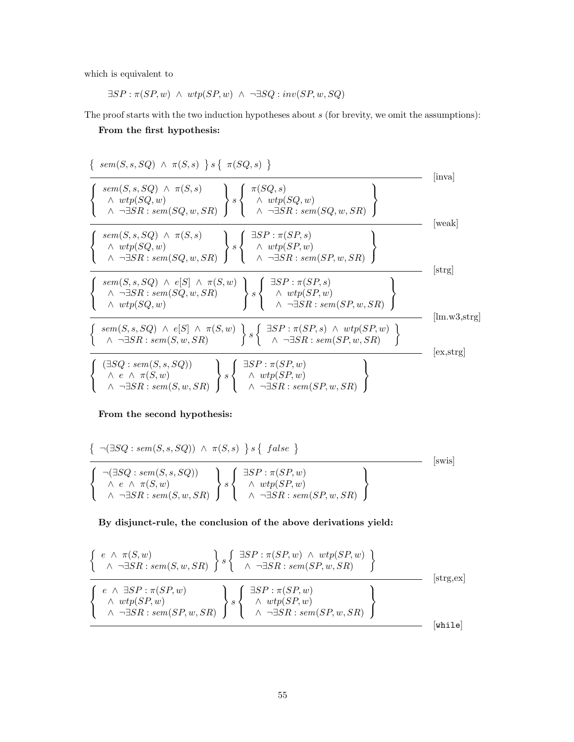which is equivalent to

 $\exists SP: \pi (SP, w) \;\wedge\; wtp (SP, w) \;\wedge\; \neg \exists SQ: inv (SP, w, SQ)$ 

The proof starts with the two induction hypotheses about  $s$  (for brevity, we omit the assumptions):

From the first hypothesis:

$$
\left\{\n\begin{array}{l}\n\text{sem}(S, s, SQ) \land \pi(S, s) \quad s \quad \pi(SQ, s) \\
\hline\n\left\{\n\begin{array}{l}\n\text{sem}(S, s, SQ) \land \pi(S, s) \\
\land \text{wtp}(SQ, w) \\
\land \neg \exists SR : sem(SQ, w, SR)\n\end{array}\n\right\}\n\right.\n\left\{\n\begin{array}{l}\n\pi(SQ, s) \\
\land \text{wtp}(SQ, w) \\
\land \neg \exists SR : sem(SQ, w, SR)\n\end{array}\n\right\}\n\left\{\n\begin{array}{l}\n\text{sem}(S, s, SQ) \land \pi(S, s) \\
\hline\n\text{wtp}(SQ, w) \\
\land \neg \exists SR : sem(SQ, w, SR)\n\end{array}\n\right\}\n\left\{\n\begin{array}{l}\n\exists SP : \pi(SP, s) \\
\land \text{wtp}(SP, w) \\
\land \neg \exists SR : sem(SQ, w, SR)\n\end{array}\n\right\}\n\left\{\n\begin{array}{l}\n\exists SP : \pi(SP, s) \\
\land \text{wtp}(SP, w, SR)\n\end{array}\n\right\}\n\left\{\n\begin{array}{l}\n\text{ster}(S, s, SQ) \land e[S] \land \pi(S, w) \\
\land \text{wtp}(SQ, w)\n\end{array}\n\right\}\n\left\{\n\begin{array}{l}\n\exists SP : \pi(SP, s) \\
\land \text{wtp}(SP, w)\n\end{array}\n\right\}\n\left\{\n\begin{array}{l}\n\text{strg}\n\end{array}\n\left\{\n\begin{array}{l}\n\text{sem}(S, s, SQ) \land e[S] \land \pi(S, w) \\
\land \text{vtp}(SQ, w)\n\end{array}\n\right\}\n\left\{\n\begin{array}{l}\n\exists SP : \pi(SP, s) \land \text{wtp}(SP, w) \\
\land \neg \exists SR : sem(SP, w, SR)\n\end{array}\n\right\}\n\left\{\n\begin{array}{l}\n\text{tem}(S, s, SQ) \land e[S] \land \pi(S, w) \\
\land \neg \exists SR : sem(SP, w, SR)\n\end{array}\n\right\}\n\left\{\n\begin{array}{l}\n\exists SP : \pi(SP, w) \\
\land \neg \exists SR : sem(SP, w, SR)\n\end{array}\
$$

## From the second hypothesis:

$$
\left\{\n\begin{array}{c}\n\big(\neg(\exists SQ: sem(S, s, SQ)) \land \pi(S, s) \big\} s \left\{\n\begin{array}{c}\n\{ \text{false} \} \\
\end{array}\n\right\} \\
\hline\n\left\{\n\begin{array}{c}\n\big(\exists SQ: sem(S, s, SQ)\big) \\
\land e \land \pi(S, w) \\
\land \neg\exists SR: sem(S, w, SR)\n\end{array}\n\right\} s \left\{\n\begin{array}{c}\n\exists SP: \pi(SP, w) \\
\land \text{wtp}(SP, w) \\
\land \neg\exists SR: sem(SP, w, SR)\n\end{array}\n\right\}\n\right\}
$$
\n[swis]

## By disjunct-rule, the conclusion of the above derivations yield:

$$
\begin{cases}\n e \wedge \pi(S, w) \\
 \wedge \neg \exists SR : sem(S, w, SR) \n\end{cases}\n s\n\begin{cases}\n \exists SP : \pi(SP, w) \wedge \text{wtp}(SP, w) \\
 \wedge \neg \exists SR : sem(SP, w, SR) \n\end{cases}\n \bigg\}\n \text{ (strg,ex)}\n \begin{cases}\n e \wedge \exists SP : \pi(SP, w) \\
 \wedge \text{wtp}(SP, w) \\
 \wedge \neg \exists SR : sem(SP, w, SR) \n\end{cases}\n \bigg\}\n \text{ (strg,ex)}\n \bigg\{\n \begin{cases}\n \exists SP : \pi(SP, w) \\
 \wedge \text{wtp}(SP, w) \\
 \wedge \neg \exists SR : sem(SP, w, SR) \n\end{cases}\n\bigg\}\n \text{ (strg,ex)}\n \bigg\}
$$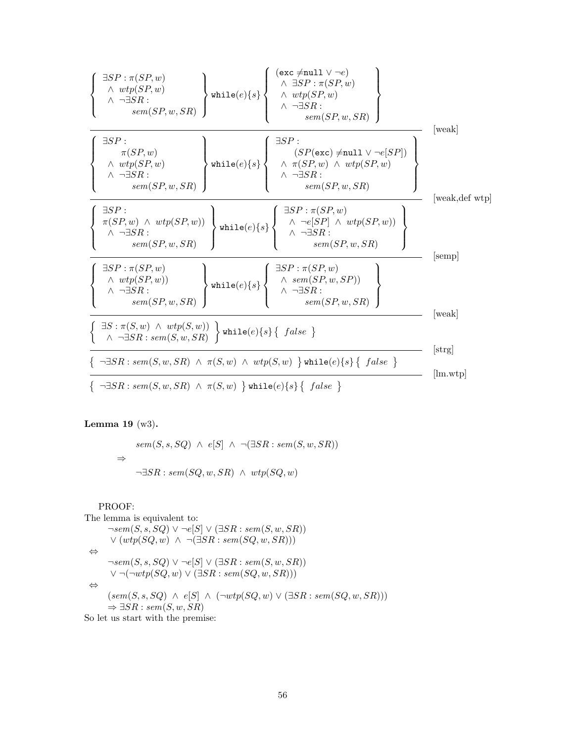

Lemma 19 (w3).

 $sem(S, s, SQ) \wedge e[S] \wedge \neg (\exists SR : sem(S, w, SR))$ ⇒  $\neg \exists SR : sem(SQ, w, SR) \land wtp(SQ, w)$ 

PROOF:

The lemma is equivalent to:  $\neg sem(S, s, SQ) \vee \neg e[S] \vee (\exists SR : sem(S, w, SR))$  $\vee (wtp(SQ, w) \wedge \neg (\exists SR : sem(SQ, w, SR)))$ ⇔  $\neg sem(S, s, SQ) \lor \neg e[S] \lor (\exists SR : sem(S, w, SR))$  $\vee \neg(\neg wtp(SQ, w) \vee (\exists SR : sem(SQ, w, SR)))$ ⇔  $(sem(S, s, SQ) \wedge e[S] \wedge (\neg wtp(SQ, w) \vee (\exists SR : sem(SQ, w, SR)))$  $\Rightarrow \exists SR : sem(S, w, SR)$ 

So let us start with the premise: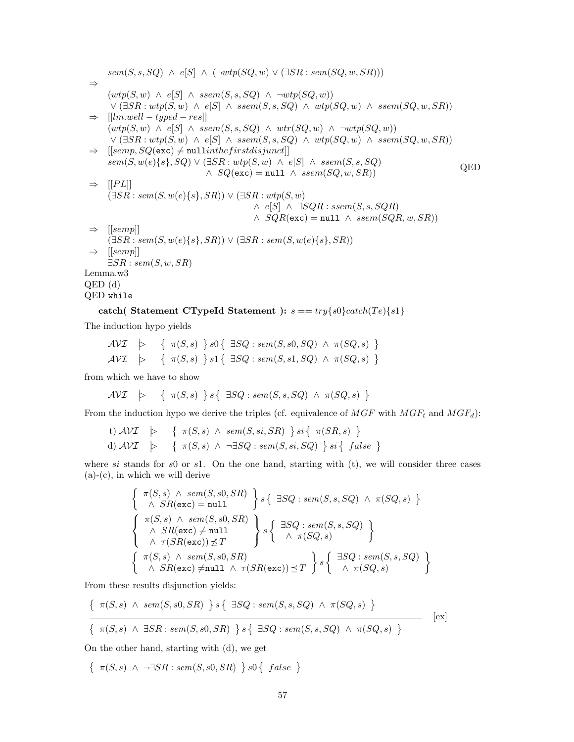$sem(S, s, SQ) \wedge e[S] \wedge (\neg wtp(SQ, w) \vee (\exists SR : sem(SQ, w, SR)))$ ⇒  $(wtp(S, w) \wedge e[S] \wedge ssem(S, s, SQ) \wedge \neg wtp(SQ, w))$  $\vee (\exists SR : wtp(S, w) \wedge e[S] \wedge ssem(S, s, SQ) \wedge wtp(SQ, w) \wedge ssem(SQ, w, SR))$  $\Rightarrow$   $[lm.well - typed - res]$  $(wtp(S, w) \wedge e[S] \wedge ssem(S, s, SQ) \wedge wr(SQ, w) \wedge \neg wtp(SQ, w))$  $\vee (\exists SR : wtp(S, w) \land e[S] \land ssem(S, s, SQ) \land wtp(SQ, w) \land ssem(SQ, w, SR))$  $\Rightarrow$  [[semp,  $SQ(\text{exc}) \neq \text{null}$ inthef irstdisjunct]]  $sem(S, w(e) \{s\}, SQ) \vee (\exists SR : wtp(S, w) \land e[S] \land ssem(S, s, SQ)$  $\land$   $SQ(\text{exc}) = \text{null} \land \text{seem}(SQ, w, SR)$  $\Rightarrow$  [[PL]]  $(\exists SR : sem(S, w(e) \{s\}, SR)) \vee (\exists SR : wtp(S, w))$  $∧ e[S] ∧ \exists SQR : ssem(S, s, SQR)$  $\land$   $SOR(exc) = null \land$   $ssem(SQR, w, SR)$  $\Rightarrow$  [[semp]]  $(\exists SR : sem(S, w(e) \{s\}, SR)) \vee (\exists SR : sem(S, w(e) \{s\}, SR))$  $\Rightarrow$  [[semp]]  $\exists SR : sem(S, w, SR)$ QED Lemma.w3 QED (d) QED while

catch( Statement CTypeId Statement ):  $s = \frac{try}{s0} \cdot \frac{col}{c}$ 

The induction hypo yields

$$
\mathcal{AVI} \quad \succcurlyeq \quad \left\{ \begin{array}{l} \pi(S,s) \end{array} \right\} s0 \left\{ \begin{array}{l} \exists SQ : sem(S, s0, SQ) \ \wedge \ \pi(SQ, s) \end{array} \right\} \n\mathcal{AVI} \quad \succcurlyeq \quad \left\{ \begin{array}{l} \pi(S,s) \end{array} \right\} s1 \left\{ \begin{array}{l} \exists SQ : sem(S, s1, SQ) \ \wedge \ \pi(SQ, s) \end{array} \right\}
$$

from which we have to show

$$
\mathcal{AVI} \quad \succ \quad \{ \ \pi(S,s) \ \} \ s \{ \ \exists SQ : sem(S,s,SQ) \ \wedge \ \pi(SQ,s) \ \}
$$

From the induction hypo we derive the triples (cf. equivalence of  $MGF$  with  $MGF_t$  and  $MGF_d$ ):

t) 
$$
AVI
$$
  $\rightarrow \{\pi(S, s) \land sem(S, si, SR) \} si \{\pi(SR, s) \}$   
d)  $AVI$   $\rightarrow \{\pi(S, s) \land \neg \exists SQ : sem(S, si, SQ) \} si \{\ false \}$ 

where si stands for s0 or s1. On the one hand, starting with  $(t)$ , we will consider three cases  $(a)-(c)$ , in which we will derive

$$
\left\{\begin{array}{l}\pi(S,s) \land sem(S, s0, SR) \\ \land SR(\texttt{exc}) = \texttt{null} \end{array}\right\} s \left\{\begin{array}{l}\exists SQ: sem(S,s, SQ) \land \pi(SQ, s) \end{array}\right\}
$$
\n
$$
\left\{\begin{array}{l}\pi(S,s) \land sem(S, s0, SR) \\ \land SR(\texttt{exc}) \neq \texttt{null} \\ \land \tau(SR(\texttt{exc})) \nleq T \end{array}\right\} s \left\{\begin{array}{l}\exists SQ: sem(S,s, SQ) \\ \land \pi(SQ, s) \end{array}\right\}
$$
\n
$$
\left\{\begin{array}{l}\pi(S,s) \land sem(S, s0, SR) \\ \land SR(\texttt{exc}) \neq \texttt{null} \land \tau(SR(\texttt{exc})) \preceq T \end{array}\right\} s \left\{\begin{array}{l}\exists SQ: sem(S, s, SQ) \\ \land \pi(SQ, s) \end{array}\right\}
$$

From these results disjunction yields:

$$
\frac{\{\pi(S,s) \land sem(S,s0,SR)\} s \{\exists SQ : sem(S,s,SQ) \land \pi(SQ,s) \}}{\{\pi(S,s) \land \exists SR : sem(S,s0,SR)\} s \{\exists SQ : sem(S,s,SQ) \land \pi(SQ,s) \}}
$$
 [ex]

On the other hand, starting with (d), we get

 $\{\ \pi(S, s) \land \neg \exists SR : sem(S, s0, SR) \ \} \ s0 \{ false \ \}$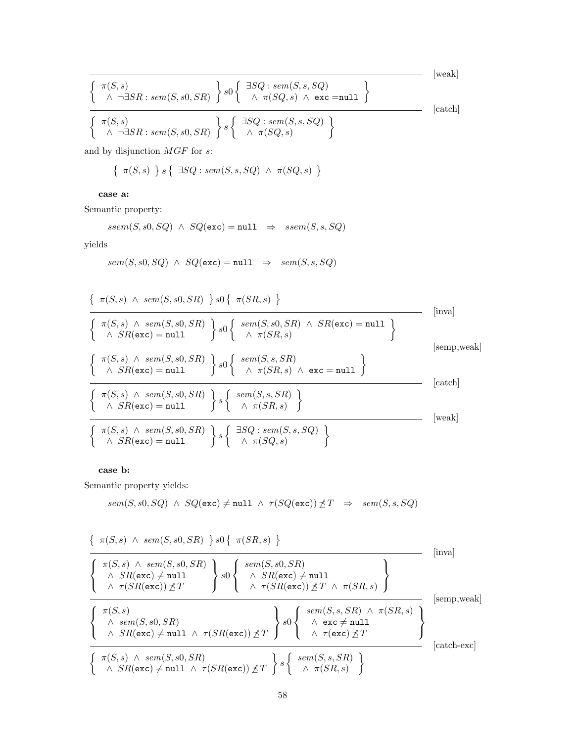$$
\frac{\left\{\begin{array}{c}\pi(S,s)\\ \wedge \neg \exists SR: sem(S,s0,SR)\end{array}\right\}s0\left\{\begin{array}{c}\exists SQ: sem(S,s,SQ)\\ \wedge \pi(SQ,s)\wedge \text{exc =null}\end{array}\right\}}{\left\{\begin{array}{c}\pi(S,s)\\ \wedge \neg \exists SR: sem(S,s0,SR)\end{array}\right\}s\left\{\begin{array}{c}\exists SQ: sem(S,s,SQ)\\ \wedge \pi(SQ,s)\end{array}\right\}}
$$
 [catch]

and by disjunction  $MGF$  for  $s\colon$ 

$$
\{ \pi(S,s) \} s \{ \exists SQ : sem(S,s,SQ) \land \pi(SQ,s) \}
$$

case a:

Semantic property:

$$
ssem(S, s0, SQ) \ \land \ SQ(\texttt{exc}) = \texttt{null} \ \ \Rightarrow \ \ ssem(S, s, SQ)
$$

yields

$$
sem(S, s0, SQ) \ \land \ SQ(\texttt{exc}) = \texttt{null} \ \ \Rightarrow \ \ sem(S, s, SQ)
$$

$$
\frac{\left\{\begin{array}{c}\pi(S,s) \ \land \ sem(S,s0,SR) \end{array}\right\} s0 \left\{\begin{array}{c}\pi(S,s) \ \land \ Sem(S,s0,SR) \end{array}\right\} s0 \left\{\begin{array}{c}\text{sem}(S,s0,SR) \ \land \ SR(\texttt{exc}) = \texttt{null} \end{array}\right\} \qquad \text{[inval]}
$$
\n
$$
\left\{\begin{array}{c}\pi(S,s) \ \land \ sem(S,s0,SR) \end{array}\right\} s0 \left\{\begin{array}{c}\text{sem}(S,s0,SR) \ \land \ SR(\texttt{exc}) = \texttt{null} \end{array}\right\} \qquad \text{[semp,weak]}
$$
\n
$$
\left\{\begin{array}{c}\pi(S,s) \ \land \ sem(S,s0,SR) \end{array}\right\} s0 \left\{\begin{array}{c}\text{sem}(S,s,SR) \ \land \ \text{exc} = \texttt{null} \end{array}\right\} \qquad \text{[catch]}
$$
\n
$$
\left\{\begin{array}{c}\pi(S,s) \ \land \ sem(S,s0,SR) \end{array}\right\} s \left\{\begin{array}{c}\text{sem}(S,s,SR) \ \land \ \pi(SR,s) \end{array}\right\} \qquad \text{[catch]}
$$
\n
$$
\left\{\begin{array}{c}\pi(S,s) \ \land \ sem(S,s0,SR) \end{array}\right\} s \left\{\begin{array}{c}\text{sem}(S,s,SR) \ \land \ \pi(SR,s) \end{array}\right\} \qquad \text{[weak]}
$$
\n
$$
\left\{\begin{array}{c}\pi(S,s) \ \land \ sem(S,s0,SR) \end{array}\right\} s \left\{\begin{array}{c}\n\exists SQ : \ sem(S,s,SQ) \end{array}\right\} \qquad \text{[weak]}
$$

case b:

Semantic property yields:

$$
sem(S, s0, SQ) \ \wedge \ SQ(\text{exc}) \neq \texttt{null} \ \wedge \ \tau(SQ(\text{exc})) \not\preceq T \ \Rightarrow \ sem(S, s, SQ)
$$

$$
\frac{\left\{\begin{array}{c}\pi(S,s) \land sem(S,s0,SR) \quad\} \ s0 \left\{\begin{array}{c}\pi(S,s) \land sem(S,s0,SR) \quad\end{array}\right\}}{\left\{\begin{array}{c}\pi(S,s) \land sem(S,s0,SR) \quad\land\ S\mathcal{R}(\texttt{exc}) \neq \texttt{null} \quad\land \ S\mathcal{R}(\texttt{exc}) \neq \texttt{null} \quad\land \ \tau(S\mathcal{R}(\texttt{exc})) \not\preceq T \quad\land \ \tau(S\mathcal{R}(\texttt{exc})) \not\preceq T \quad\land \ \tau(S\mathcal{R}(\texttt{exc})) \not\preceq T \quad\land \ \pi(S\mathcal{R}(\texttt{exc})) \not\preceq T \quad\land \ \pi(S\mathcal{R},s) \end{array}\right\}} \quad [\text{temp},\text{weak}]
$$
\n
$$
\frac{\left\{\begin{array}{c}\pi(S,s) \quad\land\ sem(S,s0,SR) \quad\land\ S\mathcal{R}(\texttt{exc}) \neq \texttt{null} \quad\land \ \tau(S\mathcal{R}(\texttt{exc})) \not\preceq T \quad\end{array}\right\}}{\left\{\begin{array}{c}\pi(S,s) \land \ sem(S,s0,SR) \quad\land\ sem(S,s0,SR) \quad\land \ \tau(S\mathcal{R}(\texttt{exc})) \not\preceq T \quad\end{array}\right\}} \quad \text{[catch-exc]} \quad [\text{catch-exc}]
$$
\n
$$
\left\{\begin{array}{c}\pi(S,s) \land sem(S,s0,SR) \quad\land \ \tau(S\mathcal{R}(\texttt{exc})) \not\preceq T \quad\end{array}\right\} s \left\{\begin{array}{c}\text{sem}(S,s,SR) \quad\land \ \pi(S\mathcal{R},s) \quad\land \ \pi(S\mathcal{R},s) \quad\land \ \pi(S\mathcal{R}(\texttt{exc})) \not\preceq T \quad\end{array}\right\}} \quad [\text{catch-exc}]
$$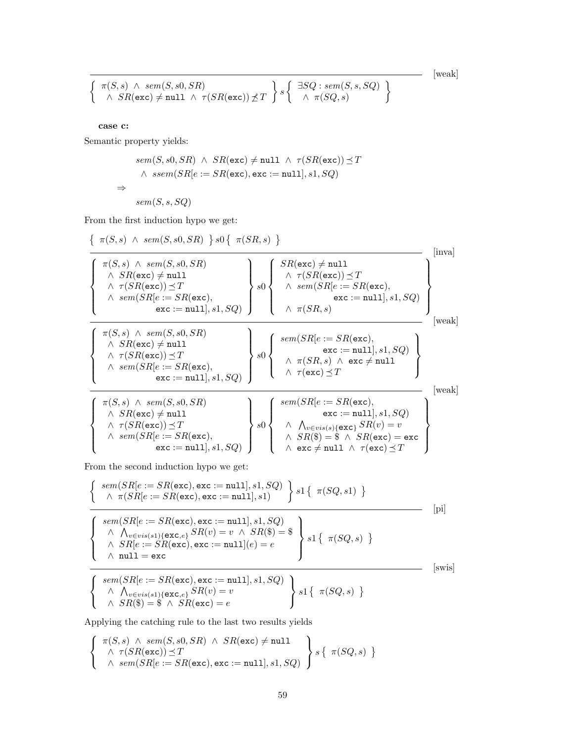[weak]

$$
\left\{\begin{array}{l} \pi(S,s) \ \wedge \ sem(S,s0,SR) \\ \wedge \ SR(\texttt{exc}) \neq \texttt{null} \ \wedge \ \tau(SR(\texttt{exc})) \not\preceq T \end{array}\right\}s\left\{\begin{array}{l} \exists SQ: sem(S,s,SQ) \\ \wedge \ \pi(SQ,s) \end{array}\right\}
$$

case c:

Semantic property yields:

$$
\begin{aligned} sem(S,s0,SR) \ \wedge \ SR(\mathsf{exc}) &\neq \texttt{null} \ \wedge \ \tau(SR(\mathsf{exc})) \preceq T \\ \wedge \ ssem(SR[e := SR(\mathsf{exc}), \mathsf{exc} := \texttt{null}], s1, SQ) \\ \Rightarrow \\ sem(S,s,SQ) \end{aligned}
$$

From the first induction hypo we get:

$$
\left\{\begin{array}{l} \pi(S,s) \ \wedge \ sem(S, s0, SR) \ \} \ s0 \left\{\begin{array}{l} \pi(S,s) \ \wedge \ sem(S, s0, SR) \\ \wedge \ S R(\text{exc}) \neq \text{null} \\ \wedge \ \tau(S R(\text{exc})) \preceq T \\ \wedge \ sem(S R[e := SR(\text{exc}), \\ \text{exc} := \text{null}, s1, SQ) \end{array}\right\} \ s0 \left\{\begin{array}{l} SR(\text{exc}) \neq \text{null} \\ \wedge \ \tau(S R(\text{exc})) \preceq T \\ \wedge \ sem(S R[e := SR(\text{exc}), \\ \text{exc} := \text{null}, s1, SQ) \end{array}\right\} \ \text{(i)}
$$
 [inval] (inval) 
$$
\left\{\begin{array}{l} \pi(S,s) \ \wedge \ sem(S R[e := SR(\text{exc}), \\ \wedge \ \text{sec} := \text{null}, s1, SQ) \end{array}\right\} \ s0 \left\{\begin{array}{l} \text{sem}(SR[e := SR(\text{exc}), \\ \wedge \ \pi(S R, s) \end{array}\right\} \ \text{(weak)} \ \text{(weak)} \\ \text{(weak)} \ \wedge \ \text{sem}(SR[e := SR(\text{exc}), \\ \text{exc} := \text{null}, s1, SQ) \end{array}\right\} \ \text{(weak)} \ \text{(weak)} \ \text{(weak)} \ \text{(weak)} \ \text{(weak)} \ \text{(weak)} \ \text{(weak)} \ \text{(weak)} \ \text{(weak)} \ \text{(weak)} \ \text{(weak)} \ \text{(weak)} \ \text{(weak)} \ \text{(weak)} \ \text{(weak)} \ \text{(weak)} \ \text{(weak)} \ \text{(weak)} \ \text{(weak)} \ \text{(weak)} \ \text{(weak)} \ \text{(weak)} \ \text{(weak)} \ \text{(weak)} \ \text{(weak)} \ \text{(real)} \ \text{(real)} \ \text{(real)} \ \text{(real)} \ \text{(real)} \ \text{(real)} \ \text{(real)} \ \text{(real)} \ \text{(real)} \ \text{(real)} \ \text{(real)} \ \text{(real)} \ \text{(real)} \ \text{(real)} \ \text{(real)} \ \text{(real)} \ \text{(real)} \ \text{(real)} \ \text{(real)} \ \text{(real)} \ \text{(real)} \ \text{(real)} \ \text{(real)} \ \text{(real)} \ \text{(real)} \ \text{(real)} \ \text{(real)} \ \text{(real)} \ \text{(real)} \ \text{(real)} \ \text{(real)} \ \text{(real
$$

From the second induction hypo we get:

 $\mathcal{L}$ 

$$
\left\{\n\begin{array}{l}\nsem(SR[e := SR(\text{exc}), \text{exc} := \text{null}], s1, SQ) \\
\wedge \pi(SR[e := SR(\text{exc}), \text{exc} := \text{null}], s1)\n\end{array}\n\right\}\n\text{s1}\n\left\{\n\begin{array}{l}\n\pi(SQ, s1) \\
\wedge \pi(SR[e := SR(\text{exc}), \text{exc} := \text{null}], s1, SQ) \\
\wedge \wedge_{v \in vis(s1)\{\text{exc}, e\}} SR(v) = v \wedge SR(\$) = \$ \\
\wedge \text{SR}[e := SR(\text{exc}), \text{exc} := \text{null}](e) = e \\
\wedge \text{null} = \text{exc}\n\end{array}\n\right\}
$$
\n[swis]

sem(Sn[e := SR(exc), exc := null], s1, SQ)  
\n
$$
\land \bigwedge_{v \in vis(s1) \{ \text{exc}, e\}} SR(v) = v
$$
\n
$$
\land SR(\$) = \$ \land SR(\text{exc}) = e
$$
\n
$$
\Bigg\} s1 \{ \pi(SQ, s) \}
$$

Applying the catching rule to the last two results yields

$$
\left\{\begin{array}{l}\pi(S,s) \ \wedge \ sem(S,s0,SR) \ \wedge \ SR(\mathsf{exc}) \neq \texttt{null} \\ \wedge \ \tau(SR(\mathsf{exc})) \preceq T \\ \wedge \ sem(SR[e := SR(\mathsf{exc}), \mathsf{exc} := \texttt{null}], s1, SQ)\end{array}\right\}s\left\{\begin{array}{l}\pi(SQ,s) \ \end{array}\right\}
$$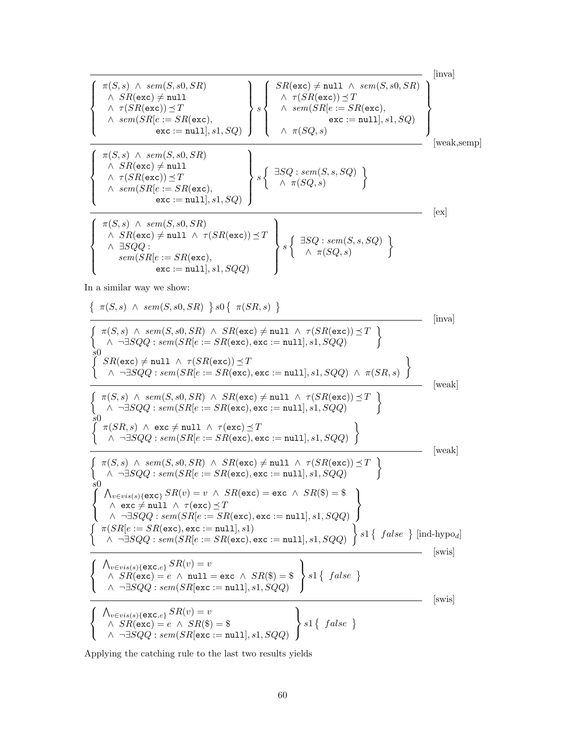$$
\left(\begin{array}{c}\n\pi(S, s) \land sem(S, s0, SR) \\
\land SR(\texttt{exc}) \neq null1 \\
\land \tau(SR(\texttt{exc})) \preceq T \\
\land sem(SR[e := SR(\texttt{exc}), \\
\land sem(SR[e := SR(\texttt{exc}), \\
\texttt{exc} := null], s1, SQ)\n\end{array}\right) \left\{\n\begin{array}{c}\nSR(\texttt{exc}) \neq null \land sem(S, s0, SR) \\
\land sem(SR[e := SR(\texttt{exc}), \\
\texttt{exc} := null], s1, SQ)\n\end{array}\n\right\} \text{ [iwa]}
$$
\n
$$
\left(\begin{array}{c}\n\pi(S, s) \land sem(S, s0, SR) \\
\land sem(S, s0, SR) \\
\land \texttt{SR}(\texttt{exc}) \preceq T \\
\land sem(SR[e := SR(\texttt{exc}), \\
\texttt{exc} := null], s1, SQ)\n\end{array}\n\right) \left\{\n\begin{array}{c}\n\exists SQ : sem(S, s, SQ) \\
\land \pi(SQ, s)\n\end{array}\n\right\}
$$
\n
$$
\left(\begin{array}{c}\n\pi(S, s) \land sem(S, s0, SR) \\
\land sem(SR[e := SR(\texttt{exc}), \\
\texttt{exc} := null], s1, SQ\n\end{array}\n\right) \left\{\n\begin{array}{c}\n\exists SQ : sem(S, s, SQ) \\
\land \pi(SQ, s)\n\end{array}\n\right\}
$$
\n
$$
\left[\n\begin{array}{c}\n\text{exl} \\
\text{exl} \\
\text{sem}(SR[e := SR(\texttt{exc}), \\
\texttt{exc} := null], s1, SQQ)\n\end{array}\n\right\}
$$

In a similar way we show:

$$
\left\{\begin{array}{l} \pi(S,s) \ \wedge \ sem(S,s0,SR) \ \} \text{ } s0 \left\{\begin{array}{l} \pi(S,s) \ \wedge \ sem(S,0,SR) \ \wedge \ \text{ } S\text{ } R(\text{exc}) \neq \text{null} \ \wedge \ \text{ } \tau(SR(\text{exc})) \preceq T \\ \text{ } \wedge \ \neg \exists SQQ: \ sem(SR[e := SR(\text{exc}), \text{exc} := \text{null}, s1, SQQ) \\ \text{ } \end{array} \right\} \text{ [inval]} \\ \left\{\begin{array}{l} \pi(\text{exc}) \neq \text{null} \ \wedge \ \tau(SR(\text{exc})) \preceq T \\ \text{ } \wedge \ \neg \exists SQQ: \ sem(SR[e := SR(\text{exc}), \text{exc} := \text{null}, s1, SQQ) \ \wedge \ \pi(SR,s) \end{array} \right\} \text{ [weak]} \\ \text{ } \left\{\begin{array}{l} \pi(S,s) \ \wedge \ sem(S, s0, SR) \ \wedge \ \text{ } SR(\text{exc}) \neq \text{null} \ \wedge \ \tau(SR(\text{exc})) \preceq T \\ \text{ } \wedge \ \neg \exists SQQ: \ sem(SR[e := SR(\text{exc}), \text{exc} := \text{null}, s1, SQQ) \\ \text{ } \end{array} \right\} \text{ [weak]} \\ \text{ } \left\{\begin{array}{l} \pi(SR,s) \ \wedge \ \text{exc} \neq \text{null} \ \wedge \ \tau(\text{exc}) \preceq T \\ \text{ } \wedge \ \neg \exists SQQ: \ sem(SR[e := SR(\text{exc}), \text{exc} := \text{null}, s1, SQQ) \\ \text{ } \end{array} \right\} \text{ [weak]} \\ \text{ } \left\{\begin{array}{l} \pi(S,s) \ \wedge \ sem(S, S, SR) \ \wedge \ \text{ } SR(\text{exc}) \neq \text{null} \ \wedge \ \tau(SR(\text{exc})) \preceq T \\ \text{ } \wedge \ \neg \exists SQQ: \ sem(SR[e := SR(\text{exc}), \text{exc} := \text{null}, s1, SQQ) \\ \text{ } \end{array} \right\} \text{ [weak]} \\ \text{ } \left\{\begin{array}{l} \text{ } \text{Ave} \neq \text{null} \ \wedge \ \tau(SR(\text{exc}) \neq \text{null} \ \wedge \ \tau(SR
$$

Applying the catching rule to the last two results yields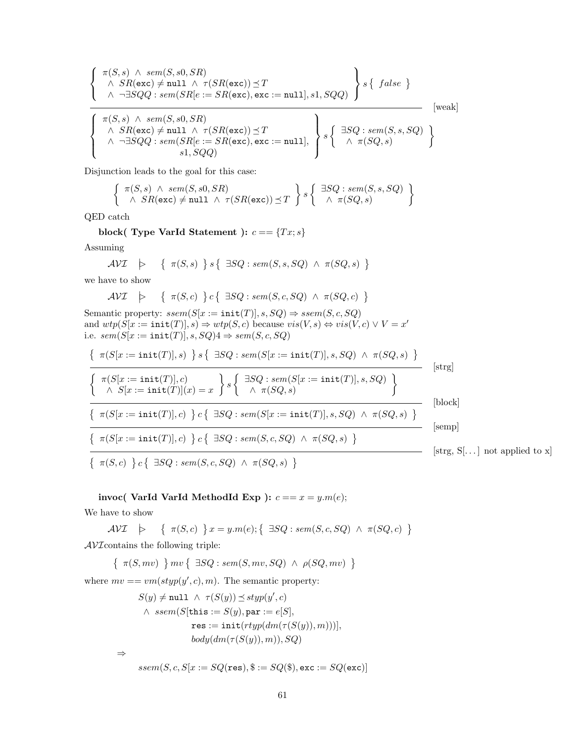$$
\left\{\n\begin{array}{l}\n\pi(S, s) \land sem(S, s0, SR) \\
\land SR(\texttt{exc}) \neq \texttt{null} \land \tau(SR(\texttt{exc})) \preceq T \\
\land \neg \exists SQQ : sem(SR[e := SR(\texttt{exc}), \texttt{exc} := \texttt{null}], s1, SQQ)\n\end{array}\n\right\}\ns\left\{\n\begin{array}{l}\n\text{false }\n\\
\uparrow\text{disc}\n\end{array}\n\right\}
$$
\n[weak]

\n
$$
\left\{\n\begin{array}{l}\n\pi(S, s) \land sem(S, s0, SR) \\
\land SR(\texttt{exc}) \neq \texttt{null} \land \tau(SR(\texttt{exc})) \preceq T \\
\land \neg \exists SQQ : sem(SR[e := SR(\texttt{exc}), \texttt{exc} := \texttt{null}],\n\end{array}\n\right\}\ns\left\{\n\begin{array}{l}\n\exists SQ : sem(S, s, SQ) \\
\land \pi(SQ, s)\n\end{array}\n\right\}
$$

Disjunction leads to the goal for this case:

$$
\left\{\begin{array}{c}\pi(S,s) \land sem(S,s0,SR) \\ \land SR(\text{exc}) \neq \text{null} \land \tau(SR(\text{exc})) \preceq T\end{array}\right\} s \left\{\begin{array}{c} \exists SQ : sem(S,s,SQ) \\ \land \pi(SQ,s) \end{array}\right\}
$$

QED catch

block( Type VarId Statement ):  $c == \{Tx; s\}$ 

Assuming

$$
\mathcal{AVI} \quad \succ \quad \{ \ \pi(S,s) \ \} \ s \{ \ \exists SQ : sem(S,s,SQ) \ \wedge \ \pi(SQ,s) \ \}
$$

we have to show

$$
\mathcal{AVI} \quad \succ \quad \{ \ \pi(S,c) \ \} c \{ \ \exists SQ : sem(S,c,SQ) \ \wedge \ \pi(SQ,c) \ \}
$$

Semantic property:  $ssem(S[x := init(T)], s, SQ) \Rightarrow ssem(S, c, SQ)$ and  $wtp(S[x := init(T)], s) \Rightarrow wtp(S, c)$  because  $vis(V, s) \Leftrightarrow vis(V, c) \vee V = x'$ i.e.  $sem(S[x := init(T)], s, SQ)4 \Rightarrow sem(S, c, SQ)$ 

$$
\frac{\{\pi(S[x := init(T)], s) \} s \{\exists SQ : sem(S[x := init(T)], s, SQ) \land \pi(SQ, s) \}}{\{\pi(S[x := init(T)](x) = x \} s \{\exists SQ : sem(S[x := init(T)], s, SQ) \}} \quad [\text{strg}]\n\frac{\{\pi(S[x := init(T)](x) = x \} s \{\exists SQ : sem(S[x := init(T)], s, SQ) \} }{\{\pi(S[x := init(T)], c) \} c \{\exists SQ : sem(S[x := init(T)], s, SQ) \land \pi(SQ, s) \}} \quad [\text{block}]\n\frac{\{\pi(S[x := init(T)], c) \} c \{\exists SQ : sem(S, c, SQ) \land \pi(SQ, s) \}}{\{\pi(S, c) \} c \{\exists SQ : sem(S, c, SQ) \land \pi(SQ, s) \}} \quad [\text{strg}, S[...] \text{ not applied to x}]\n\frac{\{\pi(S, c) \} c \{\exists SQ : sem(S, c, SQ) \land \pi(SQ, s) \}}{\{\pi(S, c) \} c \{\exists SQ : sem(S, c, SQ) \land \pi(SQ, s) \}} \quad [\text{strg}, S[...] \text{ not applied to x}]
$$

invoc( VarId VarId MethodId Exp ):  $c == x = y.m(e);$ 

We have to show

$$
\mathcal{AVI} \quad \succ \quad \left\{ \begin{array}{c} \pi(S,c) \end{array} \right\} x = y.m(e); \left\{ \begin{array}{c} \exists SQ : sem(S,c,SQ) \;\wedge\; \pi(SQ,c) \end{array} \right\}
$$

 $\mathcal{AVI}$  contains the following triple:

 $\{\pi(S, mv) \mid mv \{ \exists SQ : sem(S, mv, SQ) \land \rho(SQ, mv) \}$ 

where  $mv ==vm (styp(y', c), m)$ . The semantic property:

$$
S(y) \neq \text{null} \ \land \ \tau(S(y)) \preceq \text{styp}(y', c)
$$
\n
$$
\land \ \text{ssem}(S[\text{this} := S(y), \text{par} := e[S],
$$
\n
$$
\text{res} := \text{init}(\text{rtyp}(dm(\tau(S(y)), m)))],
$$
\n
$$
\text{body}(dm(\tau(S(y)), m)), SQ)
$$
\n
$$
\Rightarrow
$$

 $ssem(S, c, S[x := SQ(\texttt{res}), \$ := SQ(\$), \texttt{exc} := SQ(\texttt{exc})]$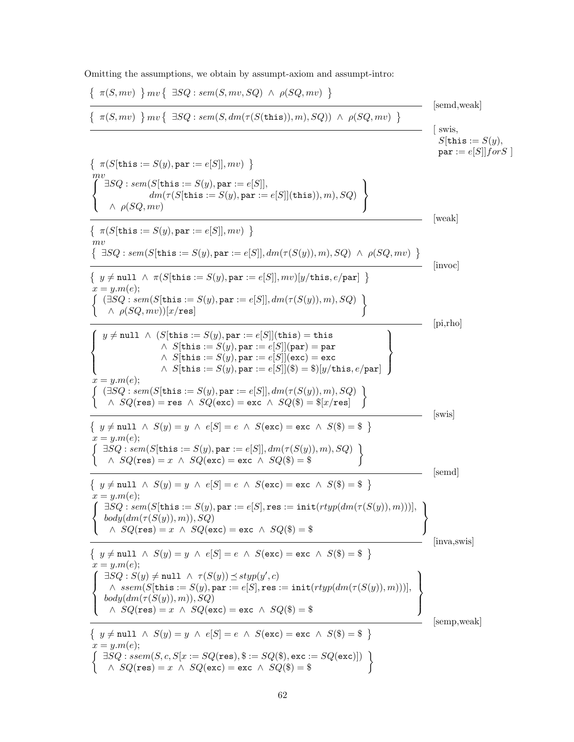Omitting the assumptions, we obtain by assumpt-axiom and assumpt-intro:

$$
\left\{\begin{array}{ll} \pi(S,mv) \mid m v \{ \exists SQ : sem(S,mv,SQ) \land \rho(SQ,mv) \} \\ \hline \{\pi(S,mv) \mid m v \{ \exists SQ : sem(S, dm(\tau(S(\text{this})),m),SQ)) \land \rho(SQ,mv) \} \\ \text{sums} \end{array} \right\} \text{ [swe]} \\ \begin{array}{ll} \pi(S[\text{this} := S(y), \text{par} := e[S]], mv) \\ \hline \text{max}([s] = S(y), \text{par} := e[S]], mv) \\ \hline \text{max}([s] = S(y), \text{par} := e[S]], mv) \\ \hline \text{max}([s] = S(y), \text{par} := e[S], \text{tris}), m), SQ \} \\ \text{max}([s] = S(y), \text{par} := e[S], \text{tris}), m), SQ \} \\ \text{max}([s] = S(y), \text{par} := e[S], \text{par})[y/\text{this}, e/\text{par}] \} \\ \text{max}([s] = S(y), \text{par} := e[S], \text{par})[y/\text{this}, e/\text{par}] \} \\ \text{max}([s] = S(y), \text{par} := e[S], \text{par})[y/\text{this}, e/\text{par}] \} \\ \text{sum}([sQ : sem(S[\text{this} := S(y), \text{par} := e[S]], mv)]y/\text{this}, e/\text{par}] \} \\ \text{sum}([sQ : sem(S[\text{this} := S(y), \text{par} := e[S], \text{char}(S(y)), m), SQ) \\ \text{sum}([sQ : sem(S[\text{this} := S(y), \text{par} := e[S], \text{char}(S(y), m), SQ) \} \\ \text{sum}([sQ : sem(S[\text{this} := S(y), \text{par} := e[S], \text{char}(S(y), m), SQ) \} \\ \text{sum}([sQ : sem(S[\text{this} := S(y), \text{par} := e[S], \text{char}(S(y), m), SQ) \} \\ \text{sum}([sQ : sem(S[\text{this} := S(y), \text{par} := e[S], \text{char}(S(y), m), SQ) \} \\ \text{sum}([sQ : sem(S[\text{this} := S(y), \text{par} := e[S], \text{char}(S(y), m), SQ) \} \\ \text{sum}([sQ : sem(S[\text{this} := S(y), \text{par} := e[S], \text{char}(S(y), m), SQ) \} \\ \text{sum}([sQ : sem(S
$$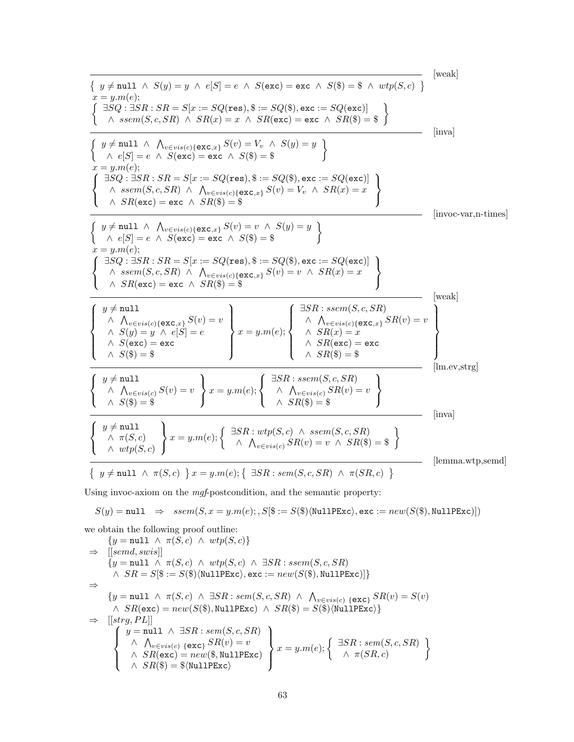[weak] y 6= null ∧ S(y) = y ∧ e[S] = e ∧ S(exc) = exc ∧ S(\$) = \$ ∧ wtp(S, c) x = y.m(e); ∃SQ : ∃SR : SR = S[x := SQ(res), \$ := SQ(\$), exc := SQ(exc)] <sup>∧</sup> ssem(S, c, SR) <sup>∧</sup> SR(x) = <sup>x</sup> <sup>∧</sup> SR(exc) = exc <sup>∧</sup> SR(\$) = \$ [inva] y 6= null ∧ V <sup>v</sup>∈vis(c){exc,x} S(v) = V<sup>v</sup> ∧ S(y) = y <sup>∧</sup> <sup>e</sup>[S] = <sup>e</sup> <sup>∧</sup> <sup>S</sup>(exc) = exc <sup>∧</sup> <sup>S</sup>(\$) = \$ x = y.m(e); ∃SQ : ∃SR : SR = S[x := SQ(res), \$ := SQ(\$), exc := SQ(exc)] ∧ ssem(S, c, SR) ∧ V <sup>v</sup>∈vis(c){exc,x} S(v) = V<sup>v</sup> ∧ SR(x) = x ∧ SR(exc) = exc ∧ SR(\$) = \$ [invoc-var,n-times] y 6= null ∧ V <sup>v</sup>∈vis(c){exc,x} S(v) = v ∧ S(y) = y <sup>∧</sup> <sup>e</sup>[S] = <sup>e</sup> <sup>∧</sup> <sup>S</sup>(exc) = exc <sup>∧</sup> <sup>S</sup>(\$) = \$ x = y.m(e); ∃SQ : ∃SR : SR = S[x := SQ(res), \$ := SQ(\$), exc := SQ(exc)] ∧ ssem(S, c, SR) ∧ V <sup>v</sup>∈vis(c){exc,x} S(v) = v ∧ SR(x) = x ∧ SR(exc) = exc ∧ SR(\$) = \$ [weak] y 6= null ∧ V <sup>v</sup>∈vis(c){exc,x} S(v) = v ∧ S(y) = y ∧ e[S] = e ∧ S(exc) = exc ∧ S(\$) = \$ x = y.m(e); ∃SR : ssem(S, c, SR) ∧ V <sup>v</sup>∈vis(c){exc,x} SR(v) = v ∧ SR(x) = x ∧ SR(exc) = exc ∧ SR(\$) = \$ [lm.ev,strg] y 6= null ∧ V <sup>v</sup>∈vis(c) S(v) = v ∧ S(\$) = \$ x = y.m(e); ∃SR : ssem(S, c, SR) ∧ V <sup>v</sup>∈vis(c) SR(v) = v ∧ SR(\$) = \$ [inva] y 6= null ∧ π(S, c) ∧ wtp(S, c) <sup>x</sup> <sup>=</sup> y.m(e); ∃SR : wtp(S, c) ∧ ssem(S, c, SR) ∧ V <sup>v</sup>∈vis(c) SR(v) = <sup>v</sup> <sup>∧</sup> SR(\$) = \$ [lemma.wtp,semd] y 6= null ∧ π(S, c) x = y.m(e); ∃SR : sem(S, c, SR) ∧ π(SR, c) 

Using invoc-axiom on the  $\it{mgf}\mbox{-}$  postcondition, and the semantic property:

$$
S(y) = \texttt{null} \Rightarrow \textit{ssem}(S, x = y.m(e); S[\$, := S(\$)\langle \texttt{NullPExc} \rangle, \texttt{exc} := \textit{new}(S(\$), \texttt{NullPExc})])
$$

we obtain the following proof outline:  
\n
$$
\{y = \text{null} \land \pi(S, c) \land wtp(S, c)\}
$$
\n
$$
\Rightarrow [[semd, swis]]
$$
\n
$$
\{y = \text{null} \land \pi(S, c) \land wtp(S, c) \land \exists SR : sem(S, c, SR)
$$
\n
$$
\land SR = S[\$ := S(\$)\langle \text{NullPExc}\rangle, \text{exc} := new(S(\$), \text{NullPExc})]\}
$$
\n
$$
\Rightarrow
$$
\n
$$
\{y = \text{null} \land \pi(S, c) \land \exists SR : sem(S, c, SR) \land \bigwedge_{v \in vis(c)} \{\text{exc}\} SR(v) = S(v)
$$
\n
$$
\land SR(\text{exc}) = new(S(\$), \text{NullPExc}) \land SR(\$) = S(\$)\langle \text{NullPExc}\rangle\}
$$
\n
$$
\Rightarrow [[strg, PL]]
$$
\n
$$
\{y = \text{null} \land \exists SR : sem(S, c, SR)
$$
\n
$$
\land \bigwedge_{v \in vis(c)} \{\text{exc}\} SR(v) = v
$$
\n
$$
\land SR(\text{exc}) = new(\$, \text{NullPExc})
$$
\n
$$
\{x = y.m(e); \{\exists SR : sem(S, c, SR) \land SR(\$) = \$ \langle \text{NullPExc}\rangle\}
$$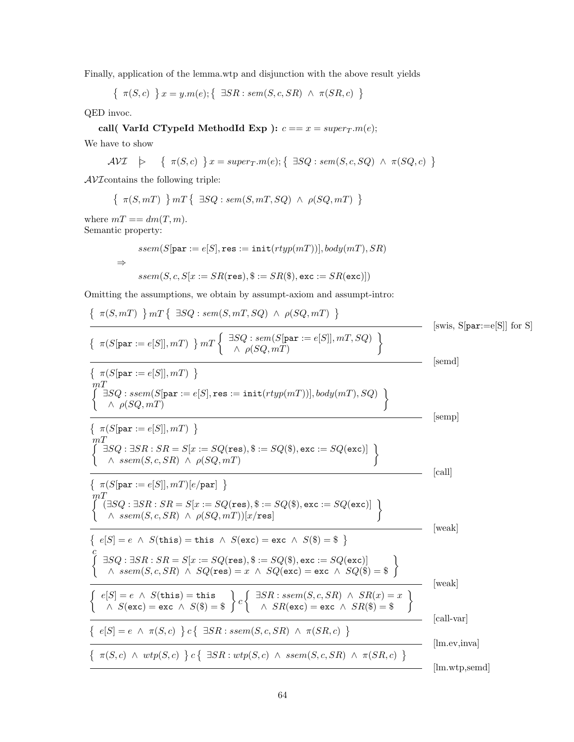Finally, application of the lemma.wtp and disjunction with the above result yields

$$
\{ \pi(S, c) \} x = y.m(e); \{ \exists SR : sem(S, c, SR) \land \pi(SR, c) \}
$$

QED invoc.

call( VarId CTypeId MethodId Exp): 
$$
c == x = super_T.m(e);
$$

We have to show

$$
\mathcal{AVI} \quad \succ \quad \{ \ \pi(S, c) \ \} \, x = super_T.m(e); \{ \ \exists SQ : sem(S, c, SQ) \ \wedge \ \pi(SQ, c) \ \}
$$

 $\mathcal{AVI}$  contains the following triple:

 $\{\pi(S, mT) \} mT \{ \exists SQ : sem(S, mT, SQ) \land \rho(SQ, mT) \}$ 

where  $mT = dm(T, m)$ . Semantic property:

⇒

$$
ssem(S[\texttt{par} := e[S], \texttt{res} := \texttt{init}(rtyp(mT))], body(mT), SR)
$$
  

$$
ssem(S, c, S[x := SR(\texttt{res}), \$ := SR(\$), \texttt{exc} := SR(\texttt{exc})])
$$

Omitting the assumptions, we obtain by assumpt-axiom and assumpt-intro:

$$
\left\{\n\begin{array}{l}\n\pi(S, mT) \quad \text{Im } T \quad \text{S} \cdot S = \text{Im } S \cdot S = \text{Im } S \cdot S = \text{Im } S \cdot S = \text{Im } S \cdot S = \text{Im } S \cdot S = \text{Im } S \cdot S = \text{Im } S \cdot S = \text{Im } S \cdot S = \text{Im } S \cdot S = \text{Im } S \cdot S = \text{Im } S \cdot S = \text{Im } S = \text{Im } S = \text{Im } S = \text{Im } S = \text{Im } S = \text{Im } S = \text{Im } S = \text{Im } S = \text{Im } S = \text{Im } S = \text{Im } S = \text{Im } S = \text{Im } S = \text{Im } S = \text{Im } S = \text{Im } S = \text{Im } S = \text{Im } S = \text{Im } S = \text{Im } S = \text{Im } S = \text{Im } S = \text{Im } S = \text{Im } S = \text{Im } S = \text{Im } S = \text{Im } S = \text{Im } S = \text{Im } S = \text{Im } S = \text{Im } S = \text{Im } S = \text{Im } S = \text{Im } S = \text{Im } S = \text{Im } S = \text{Im } S = \text{Im } S = \text{Im } S = \text{Im } S = \text{Im } S = \text{Im } S = \text{Im } S = \text{Im } S = \text{Im } S = \text{Im } S = \text{Im } S = \text{Im } S = \text{Im } S = \text{Im } S = \text{Im } S = \text{Im } S = \text{Im } S = \text{Im } S = \text{Im } S = \text{Im } S = \text{Im } S = \text{Im } S = \text{Im } S = \text{Im } S = \text{Im } S = \text{Im } S = \text{Im } S = \text{Im } S = \text{Im } S = \text{Im } S = \text{Im } S = \text{Im } S = \text{Im } S = \text{Im } S = \text{Im } S = \text{Im } S = \text{Im } S = \text{Im } S = \text{Im } S = \text{Im } S = \text{Im } S = \text{Im } S = \text{Im } S = \text{Im } S = \text{Im } S = \text{Im } S = \text{Im } S = \text{Im } S = \text{Im } S = \text{Im } S = \text{Im } S = \text
$$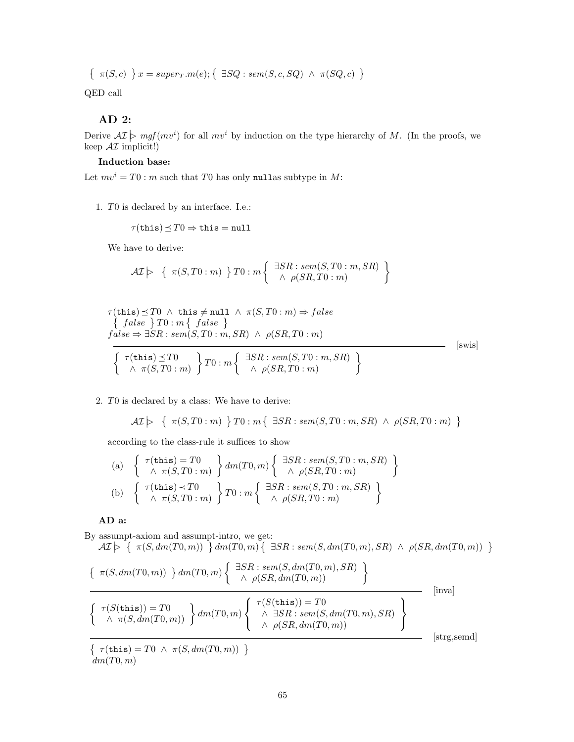$$
\{ \pi(S, c) \} x = super_T.m(e); \{ \exists SQ : sem(S, c, SQ) \land \pi(SQ, c) \}
$$

QED call

## AD 2:

Derive  $\mathcal{AI} \models mgf(mv^i)$  for all  $mv^i$  by induction on the type hierarchy of M. (In the proofs, we keep  $\mathcal{AI}$  implicit!)

## Induction base:

Let  $mv^i = T0$ : m such that T0 has only nullas subtype in M:

1. T0 is declared by an interface. I.e.:

$$
\tau(\mathtt{this})\!\preceq\! T0 \Rightarrow \mathtt{this}=\mathtt{null}
$$

We have to derive:

$$
\mathcal{AI}\big\}\quad\Set{\pi(S,T0:m)}{T0:m}\big\} \big\} \big\} \colon m\left\{\begin{array}{l} \exists SR: sem(S,T0:m,SR) \\ \wedge \ \rho(SR,T0:m) \end{array}\right\}
$$

$$
\tau(\text{this}) \preceq T0 \ \land \ \text{this} \neq \text{null} \ \land \ \pi(S, T0 : m) \Rightarrow false
$$
\n
$$
\left\{ \begin{array}{l} false \end{array} \right\} T0 : m \left\{ \begin{array}{l} false \end{array} \right\}
$$
\n
$$
false \Rightarrow \exists SR : sem(S, T0 : m, SR) \ \land \ \rho(SR, T0 : m)
$$
\n
$$
\left\{ \begin{array}{l} \tau(\text{this}) \preceq T0 \\ \land \ \pi(S, T0 : m) \end{array} \right\} T0 : m \left\{ \begin{array}{l} \exists SR : sem(S, T0 : m, SR) \\ \land \ \rho(SR, T0 : m) \end{array} \right\}
$$
\n[swis]

## 2. T0 is declared by a class: We have to derive:

$$
\mathcal{AI}\models \{ \ \pi(S,T0:m) \ \} \, T0:m\{ \ \exists SR: sem(S,T0:m,SR) \ \wedge \ \rho(SR,T0:m) \ \}
$$

according to the class-rule it suffices to show

(a) 
$$
\begin{Bmatrix} \tau(\text{this}) = T0 \\ \wedge \pi(S, T0 : m) \end{Bmatrix} dm(T0, m) \begin{Bmatrix} \exists SR : sem(S, T0 : m, SR) \\ \wedge \rho(SR, T0 : m) \end{Bmatrix}
$$
  
(b) 
$$
\begin{Bmatrix} \tau(\text{this}) \prec T0 \\ \wedge \pi(S, T0 : m) \end{Bmatrix} T0 : m \begin{Bmatrix} \exists SR : sem(S, T0 : m, SR) \\ \wedge \rho(SR, T0 : m) \end{Bmatrix}
$$

## AD a:

By assumpt-axiom and assumpt-intro, we get:  $\mathcal{AI} \geq \left\{ \begin{array}{l} \pi(S, dm(T0,m)) \end{array} \right\} dm(T0,m) \left\{ \begin{array}{l} \exists SR: sem(S, dm(T0,m), SR) \; \wedge \; \rho(SR, dm(T0,m)) \end{array} \right\}$ 

$$
\left\{\begin{array}{c}\pi(S, dm(T0, m))\end{array}\right\}dm(T0, m)\left\{\begin{array}{c}\exists SR: sem(S, dm(T0, m), SR)\\
\wedge \rho(SR, dm(T0, m))\end{array}\right\}
$$
 [inva]  

$$
\left\{\begin{array}{c}\tau(S(\text{this})) = T0\\
\wedge \pi(S, dm(T0, m))\end{array}\right\}dm(T0, m)\left\{\begin{array}{c}\tau(S(\text{this})) = T0\\
\wedge \exists SR: sem(S, dm(T0, m), SR)\\
\wedge \rho(SR, dm(T0, m))\end{array}\right\}
$$
 [inva]  

$$
\left\{\begin{array}{c}\tau(\text{this}) = T0 \wedge \pi(S, dm(T0, m))\\
\end{array}\right\}
$$
 [strg, semd]

 $dm(T0, m)$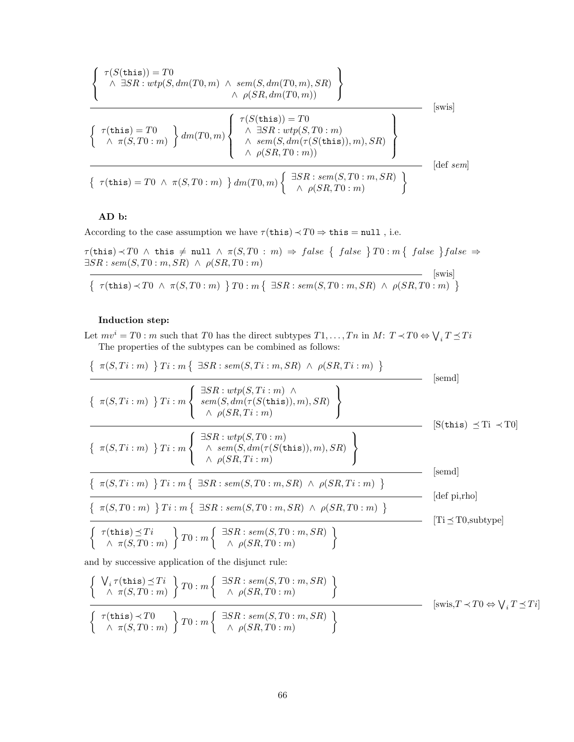$$
\left\{\begin{array}{c}\n\tau(S(\text{this})) = T0 \\
\wedge \exists SR: wtp(S, dm(T0, m) \land sem(S, dm(T0, m), SR) \\
\wedge \rho(SR, dm(T0, m))\n\end{array}\right\}
$$
\n[swis]\n
$$
\left\{\begin{array}{c}\n\tau(\text{this}) = T0 \\
\wedge \pi(S, T0 : m)\n\end{array}\right\} dm(T0, m) \left\{\begin{array}{c}\n\tau(S(\text{this})) = T0 \\
\wedge \exists SR: wtp(S, T0 : m) \\
\wedge sem(S, dm(\tau(S(\text{this})), m), SR) \\
\wedge \rho(SR, T0 : m))\n\end{array}\right\}
$$
\n[sets]\n
$$
\left\{\begin{array}{c}\n\tau(\text{this}) = T0 \land \pi(S, T0 : m) \\
\uparrow d m(T0, m)\n\end{array}\right\} dm(T0, m) \left\{\begin{array}{c}\n\exists SR: sem(S, T0 : m, SR) \\
\wedge \rho(SR, T0 : m)\n\end{array}\right\}
$$

## AD b:

According to the case assumption we have  $\tau$ (this)  $\prec T0 \Rightarrow$  this = null, i.e.

 $\tau(\texttt{this}) \prec T0$   $\land$  this  $\neq$  null  $\land$   $\pi(S, T0 : m) \Rightarrow false$   $\{false \}$   $T0 : m\{false \}$  $\exists SR : sem(S, T0 : m, SR) \land \rho(SR, T0 : m)$ [swis]

$$
\left\{\begin{array}{l}\tau(\mathtt{this}) \prec T0 \;\wedge\; \pi(S, T0:m) \end{array}\right\} T0:m\left\{\begin{array}{l}\exists SR: sem(S, T0:m, SR) \;\wedge\; \rho(SR, T0:m) \end{array}\right\}
$$

## Induction step:

Let  $mv^i = T0$ : m such that T0 has the direct subtypes  $T1, \ldots, Tn$  in  $M: T \prec T0 \Leftrightarrow \bigvee_i T \preceq Ti$ The properties of the subtypes can be combined as follows:

$$
\frac{\{\pi(S, Ti : m) \} Ti : m \{\exists SR : sem(S, Ti : m, SR) \land \rho(SR, Ti : m) \}}{\{\pi(S, Ti : m) \} Ti : m \{\exists SR : wp(S, Ti : m) \land \rho(SR, Ti : m) \}} \qquad \text{[send]}
$$
\n
$$
\frac{\{\pi(S, Ti : m) \} Ti : m \{\exists SR : wp(S, fm(\tau(S(this)), m), SR)\}}{\land \rho(SR, Ti : m)} \qquad \text{[S(this) $\preceq Ti \prec T0$]}
$$
\n
$$
\frac{\{\pi(S, Ti : m) \} Ti : m \{\exists SR : wrp(S, Ti : m) \}}{\land \rho(SR, Ti : m)} \qquad \text{[send]}
$$
\n
$$
\frac{\{\pi(S, Ti : m) \} Ti : m \{\exists SR : sem(S, T0 : m, SR) \land \rho(SR, Ti : m) \}}{\{\pi(S, T0 : m) \} Ti : m \{\exists SR : sem(S, T0 : m, SR) \land \rho(SR, T0 : m) \}} \qquad \text{[def p,rho]}
$$
\n
$$
\frac{\{\pi(his) \preceq Ti}{\land \pi(S, T0 : m)} \} Ti : m \{\exists SR : sem(S, T0 : m, SR) \land \rho(SR, T0 : m) \}} \qquad \text{[Ti \preceq To,subtype]}
$$

and by successive application of the disjunct rule:

$$
\begin{cases} \n\bigvee_{i} \tau(\text{this}) \preceq Ti \\ \n\wedge \pi(S, T0 : m) \n\end{cases} \nT0 : m \n\begin{cases} \n\exists SR : sem(S, T0 : m, SR) \\ \n\wedge \rho(SR, T0 : m) \n\end{cases} \n\end{cases} \n\text{[swis,} T \prec T0 \Leftrightarrow \bigvee_{i} T \preceq Ti]
$$
\n
$$
\left\{ \begin{array}{l} \tau(\text{this}) \prec T0 \\ \n\wedge \pi(S, T0 : m) \n\end{array} \right\} \nT0 : m \n\begin{cases} \n\exists SR : sem(S, T0 : m, SR) \\ \n\wedge \rho(SR, T0 : m) \n\end{cases} \n\text{[swis,} T \prec T0 \Leftrightarrow \bigvee_{i} T \preceq Ti]
$$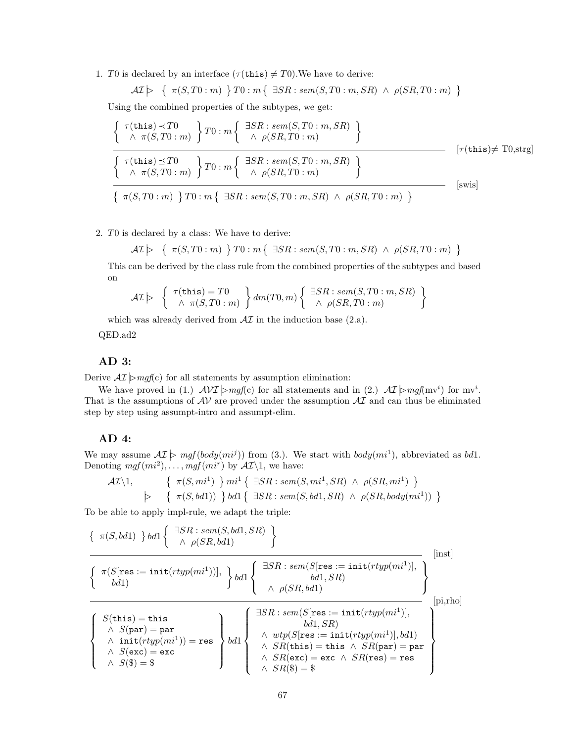1. T0 is declared by an interface  $(\tau(\text{this}) \neq T0)$ . We have to derive:

$$
\mathcal{AI} \rightarrow \{ \pi(S, T0:m) \} \, T0:m \{ \exists SR: sem(S, T0:m, SR) \land \rho(SR, T0:m) \}
$$

Using the combined properties of the subtypes, we get:

$$
\begin{cases}\n\tau(\text{this}) \prec T0 \\
\land \pi(S, T0 : m)\n\end{cases}\nT0 : m\n\begin{cases}\n\exists SR : sem(S, T0 : m, SR) \\
\land \rho(SR, T0 : m)\n\end{cases}\n\bigg\}
$$
\n
$$
\tau(\text{this}) \preceq T0\n\begin{cases}\n\tau(\text{this}) \preceq T0 \\
\land \pi(S, T0 : m)\n\end{cases}\nT0 : m\n\begin{cases}\n\exists SR : sem(S, T0 : m, SR) \\
\land \rho(SR, T0 : m)\n\end{cases}\n\bigg\}
$$
\n
$$
\left\{\n\pi(S, T0 : m) \right\} T0 : m \left\{\n\exists SR : sem(S, T0 : m, SR) \land \rho(SR, T0 : m)\n\right\}
$$
\n
$$
\text{[swis]} \tag{5.12}
$$

2. T0 is declared by a class: We have to derive:

 $\mathcal{AI} \rightarrow \{ \pi(S, T0 : m) \} \top 0 : m \{ \exists SR : sem(S, T0 : m, SR) \land \rho(SR, T0 : m) \}$ 

This can be derived by the class rule from the combined properties of the subtypes and based on

$$
\mathcal{AI}\rhd \left\{\begin{array}{c} \tau(\mathtt{this})=T0\\ \wedge \ \pi(S,T0:m) \end{array}\right\}dm(T0,m)\left\{\begin{array}{c} \exists SR: sem(S,T0:m,SR)\\ \wedge \ \rho(SR,T0:m) \end{array}\right\}
$$

which was already derived from  $\mathcal{AI}$  in the induction base (2.a).

QED.ad2

## AD 3:

Derive  $\mathcal{AI} \models mgf(c)$  for all statements by assumption elimination:

We have proved in (1.)  $AVI \rightarrow mgf(c)$  for all statements and in (2.)  $AT \rightarrow mgf(mv^i)$  for  $mv^i$ . That is the assumptions of  $AV$  are proved under the assumption  $AT$  and can thus be eliminated step by step using assumpt-intro and assumpt-elim.

## AD 4:

We may assume  $\mathcal{AI} \models \textit{mgf}(body(\textit{mi}^j))$  from (3.). We start with  $body(\textit{mi}^1)$ , abbreviated as bd1. Denoting  $mgf(mi^2), \ldots, mgf(mi^r)$  by  $\mathcal{AI}\backslash 1$ , we have:

$$
\mathcal{AI}\setminus 1, \qquad \left\{ \begin{array}{l} \pi(S, mi^1) \end{array} \right\} mi^1 \left\{ \begin{array}{l} \exists SR : sem(S, mi^1, SR) \land \rho(SR, mi^1) \end{array} \right\} \n\Rightarrow \left\{ \begin{array}{l} \pi(S, bd1)) \end{array} \right\} bd1 \left\{ \begin{array}{l} \exists SR : sem(S, bd1, SR) \land \rho(SR, body(mi^1)) \end{array} \right\}
$$

To be able to apply impl-rule, we adapt the triple:

$$
\left\{\begin{array}{l}\pi(S, bd1) \end{array}\right\}bd1\left\{\begin{array}{l}\exists SR: sem(S, bd1, SR) \\ \wedge \rho(SR, bd1)\end{array}\right\} \text{[inst]}
$$
\n
$$
\left\{\begin{array}{l}\pi(S[\text{res}:=\text{init}(rtyp(mi^1))], \\ bd1)\end{array}\right\}bd1\left\{\begin{array}{l}\exists SR: sem(S[\text{res}:=\text{init}(rtyp(mi^1)], \\ bd1, SR)\end{array}\right\} \text{[inst]}
$$
\n
$$
\left\{\begin{array}{l}\pi(S[\text{res}:=\text{init}(rtyp(mi^1)], \\ bd1, SR)\end{array}\right\} \text{[pi,rho]}
$$
\n
$$
\left\{\begin{array}{l}\pi(\text{this})=\text{this} \\ \wedge S(\text{par})=\text{par} \\ \wedge \text{init}(rtyp(mi^1))=\text{res} \\ \wedge S(\text{exc})=\text{exc} \\ \wedge S(\text{\$})=\text{\$}\end{array}\right\}bd1\left\{\begin{array}{l}\exists SR: sem(S[\text{res}:=\text{init}(rtyp(mi^1)], \\ bd1, SR) \\ \wedge SR(\text{this})=\text{this} \wedge SR(\text{par})=\text{par} \\ \wedge SR(\text{exc})=\text{exc} \wedge SR(\text{res})=\text{res} \\ \wedge SR(\text{\$})=\text{\$}\end{array}\right\}
$$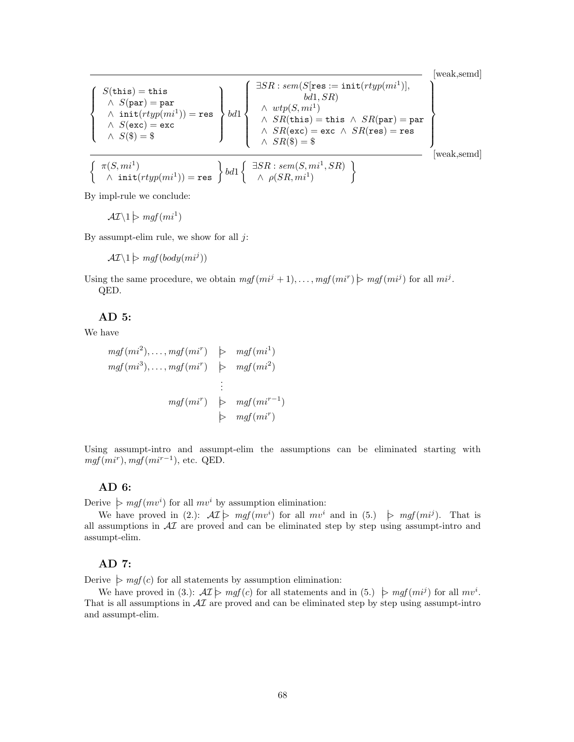[weak,semd]

$$
\left\{\begin{array}{l} S(\texttt{this}) = \texttt{this} \\ \wedge \ S(\texttt{par}) = \texttt{par} \\ \wedge \ \texttt{init}(rtyp(mi^1)) = \texttt{res} \\ \wedge \ S(\texttt{exc}) = \texttt{exc} \\ \wedge \ S(\texttt{\$}) = \$ \\ \left\{\begin{array}{l} \pi(S, mi^1) \\ \wedge \ S(\texttt{\$}) = \$ \\ \end{array}\right\} \end{array}\right\} \quad \left\{\begin{array}{l} \exists SR: sem(S[\texttt{res} := \texttt{init}(rtyp(mi^1)], \\ bd1, SR) \\ \wedge \ \texttt{wtp}(S, mi^1) \\ \wedge \ SR(\texttt{this}) = \texttt{this} \ \wedge \ SR(\texttt{par}) = \texttt{par} \\ \wedge \ SR(\texttt{exc}) = \texttt{exc} \ \wedge \ SR(\texttt{res}) = \texttt{res} \\ \wedge \ SR(\texttt{\$}) = \$ \\ \wedge \ SR(\texttt{\$}) = \$ \\ \wedge \ \texttt{p}(SR, mi^1, SR) \end{array}\right\} \quad \text{[weak,semal]}
$$

By impl-rule we conclude:

 $\mathcal{AI}\backslash 1 \triangleright \mathit{mgf}(\mathit{mi}^1)$ 

By assumpt-elim rule, we show for all  $j$ :

 $\mathcal{AI}\backslash 1 \triangleright \mathit{mgf}(body(\mathit{mi}^j))$ 

Using the same procedure, we obtain  $mgf(mi^j + 1), \ldots, mgf(mi^r) \ge mgf(mi^j)$  for all  $mi^j$ . QED.

## AD 5:

We have

$$
mgf(mi^{2}), \ldots, mgf(mi^{r}) \quad \triangleright \quad mgf(mi^{1})
$$
\n
$$
mgf(mi^{3}), \ldots, mgf(mi^{r}) \quad \triangleright \quad mgf(mi^{2})
$$
\n
$$
\vdots
$$
\n
$$
mgf(mi^{r}) \quad \triangleright \quad mgf(mi^{r-1})
$$
\n
$$
\triangleright \quad mgf(mi^{r})
$$

Using assumpt-intro and assumpt-elim the assumptions can be eliminated starting with  $mgf(mi^r), mgf(mi^{r-1}),$  etc. QED.

#### AD 6:

Derive  $\triangleright$  mgf $(mv^i)$  for all  $mv^i$  by assumption elimination:

We have proved in (2.):  $\mathcal{AI} \rightarrow mgf(mv^i)$  for all  $mv^i$  and in (5.)  $\rightarrow mgf(mi^j)$ . That is all assumptions in  $\mathcal{A}I$  are proved and can be eliminated step by step using assumpt-intro and assumpt-elim.

## AD 7:

Derive  $\triangleright$  mgf(c) for all statements by assumption elimination:

We have proved in (3.):  $\mathcal{AI} \models mgf(c)$  for all statements and in (5.)  $\models mgf(mi^j)$  for all  $mv^i$ . That is all assumptions in  $\mathcal{A}I$  are proved and can be eliminated step by step using assumpt-intro and assumpt-elim.